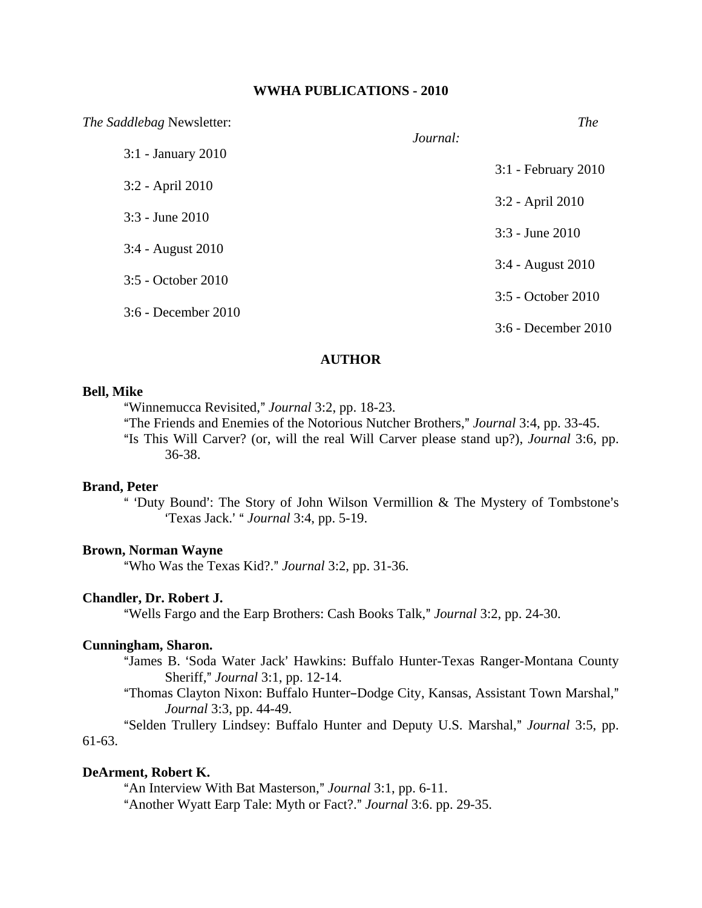#### **WWHA PUBLICATIONS - 2010**

| The Saddlebag Newsletter: |          | <i>The</i>            |
|---------------------------|----------|-----------------------|
| 3:1 - January 2010        | Journal: |                       |
| 3:2 - April 2010          |          | 3:1 - February 2010   |
|                           |          | 3:2 - April 2010      |
| $3:3$ - June $2010$       |          | $3:3$ - June $2010$   |
| 3:4 - August 2010         |          | 3:4 - August 2010     |
| 3:5 - October 2010        |          |                       |
| 3:6 - December 2010       |          | 3:5 - October 2010    |
|                           |          | $3:6$ - December 2010 |

#### **AUTHOR**

## **Bell, Mike**

"Winnemucca Revisited," *Journal* 3:2, pp. 18-23.

"The Friends and Enemies of the Notorious Nutcher Brothers," *Journal* 3:4, pp. 33-45. "Is This Will Carver? (or, will the real Will Carver please stand up?), *Journal* 3:6, pp. 36-38.

### **Brand, Peter**

" 'Duty Bound': The Story of John Wilson Vermillion & The Mystery of Tombstone's >Texas Jack.= A *Journal* 3:4, pp. 5-19.

#### **Brown, Norman Wayne**

"Who Was the Texas Kid?." Journal 3:2, pp. 31-36.

## **Chandler, Dr. Robert J.**

"Wells Fargo and the Earp Brothers: Cash Books Talk," *Journal* 3:2, pp. 24-30.

### **Cunningham, Sharon.**

- "James B. 'Soda Water Jack' Hawkins: Buffalo Hunter-Texas Ranger-Montana County Sheriff," *Journal* 3:1, pp. 12-14.
- "Thomas Clayton Nixon: Buffalo Hunter-Dodge City, Kansas, Assistant Town Marshal," *Journal* 3:3, pp. 44-49.

"Selden Trullery Lindsey: Buffalo Hunter and Deputy U.S. Marshal," *Journal* 3:5, pp. 61-63.

### **DeArment, Robert K.**

"An Interview With Bat Masterson," *Journal* 3:1, pp. 6-11. "Another Wyatt Earp Tale: Myth or Fact?." *Journal* 3:6. pp. 29-35.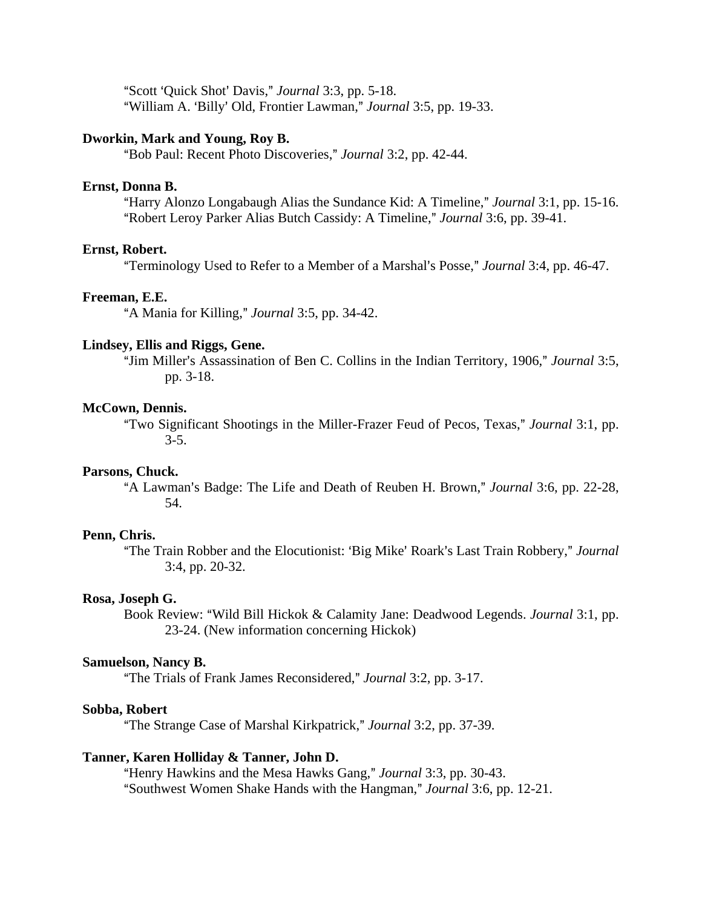"Scott 'Quick Shot' Davis," *Journal* 3:3, pp. 5-18. "William A. 'Billy' Old, Frontier Lawman," *Journal* 3:5, pp. 19-33.

## **Dworkin, Mark and Young, Roy B.**

"Bob Paul: Recent Photo Discoveries," *Journal* 3:2, pp. 42-44.

## **Ernst, Donna B.**

"Harry Alonzo Longabaugh Alias the Sundance Kid: A Timeline," *Journal* 3:1, pp. 15-16. "Robert Leroy Parker Alias Butch Cassidy: A Timeline," *Journal* 3:6, pp. 39-41.

#### **Ernst, Robert.**

"Terminology Used to Refer to a Member of a Marshal's Posse," *Journal* 3:4, pp. 46-47.

#### **Freeman, E.E.**

"A Mania for Killing," *Journal* 3:5, pp. 34-42.

#### **Lindsey, Ellis and Riggs, Gene.**

"Jim Miller's Assassination of Ben C. Collins in the Indian Territory, 1906," *Journal* 3:5, pp. 3-18.

#### **McCown, Dennis.**

ATwo Significant Shootings in the Miller-Frazer Feud of Pecos, Texas,@ *Journal* 3:1, pp. 3-5.

### **Parsons, Chuck.**

"A Lawman's Badge: The Life and Death of Reuben H. Brown," *Journal* 3:6, pp. 22-28, 54.

## **Penn, Chris.**

"The Train Robber and the Elocutionist: 'Big Mike' Roark's Last Train Robbery," *Journal* 3:4, pp. 20-32.

## **Rosa, Joseph G.**

Book Review: "Wild Bill Hickok & Calamity Jane: Deadwood Legends. *Journal* 3:1, pp. 23-24. (New information concerning Hickok)

## **Samuelson, Nancy B.**

"The Trials of Frank James Reconsidered," *Journal* 3:2, pp. 3-17.

## **Sobba, Robert**

AThe Strange Case of Marshal Kirkpatrick,@ *Journal* 3:2, pp. 37-39.

### **Tanner, Karen Holliday & Tanner, John D.**

"Henry Hawkins and the Mesa Hawks Gang," *Journal* 3:3, pp. 30-43. "Southwest Women Shake Hands with the Hangman," *Journal* 3:6, pp. 12-21.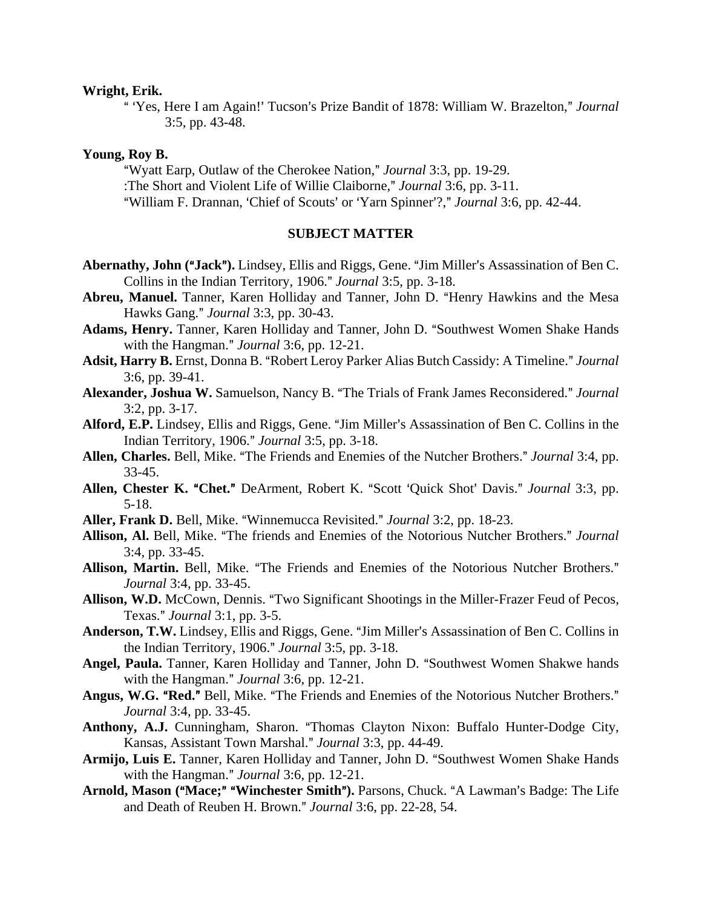#### **Wright, Erik.**

<sup>"</sup> 'Yes, Here I am Again!' Tucson's Prize Bandit of 1878: William W. Brazelton," *Journal* 3:5, pp. 43-48.

#### **Young, Roy B.**

"Wyatt Earp, Outlaw of the Cherokee Nation," *Journal* 3:3, pp. 19-29. :The Short and Violent Life of Willie Claiborne," *Journal* 3:6, pp. 3-11. "William F. Drannan, 'Chief of Scouts' or 'Yarn Spinner'?," *Journal* 3:6, pp. 42-44.

## **SUBJECT MATTER**

- Abernathy, John ("Jack"). Lindsey, Ellis and Riggs, Gene. "Jim Miller's Assassination of Ben C. Collins in the Indian Territory, 1906." *Journal* 3:5, pp. 3-18.
- Abreu, Manuel. Tanner, Karen Holliday and Tanner, John D. "Henry Hawkins and the Mesa Hawks Gang." *Journal* 3:3, pp. 30-43.
- Adams, Henry. Tanner, Karen Holliday and Tanner, John D. "Southwest Women Shake Hands with the Hangman." *Journal* 3:6, pp. 12-21.
- Adsit, Harry B. Ernst, Donna B. "Robert Leroy Parker Alias Butch Cassidy: A Timeline." Journal 3:6, pp. 39-41.
- Alexander, Joshua W. Samuelson, Nancy B. "The Trials of Frank James Reconsidered." Journal 3:2, pp. 3-17.
- Alford, E.P. Lindsey, Ellis and Riggs, Gene. "Jim Miller's Assassination of Ben C. Collins in the Indian Territory, 1906.@ *Journal* 3:5, pp. 3-18.
- Allen, Charles. Bell, Mike. "The Friends and Enemies of the Nutcher Brothers." *Journal* 3:4, pp. 33-45.
- Allen, Chester K. "Chet." DeArment, Robert K. "Scott 'Quick Shot' Davis." *Journal* 3:3, pp. 5-18.
- Aller, Frank D. Bell, Mike. "Winnemucca Revisited." *Journal* 3:2, pp. 18-23.
- Allison, Al. Bell, Mike. "The friends and Enemies of the Notorious Nutcher Brothers." Journal 3:4, pp. 33-45.
- Allison, Martin. Bell, Mike. "The Friends and Enemies of the Notorious Nutcher Brothers." *Journal* 3:4, pp. 33-45.
- Allison, W.D. McCown, Dennis. "Two Significant Shootings in the Miller-Frazer Feud of Pecos, Texas.@ *Journal* 3:1, pp. 3-5.
- Anderson, T.W. Lindsey, Ellis and Riggs, Gene. "Jim Miller's Assassination of Ben C. Collins in the Indian Territory, 1906." *Journal* 3:5, pp. 3-18.
- Angel, Paula. Tanner, Karen Holliday and Tanner, John D. "Southwest Women Shakwe hands with the Hangman." *Journal* 3:6, pp. 12-21.
- Angus, W.G. "Red." Bell, Mike. "The Friends and Enemies of the Notorious Nutcher Brothers." *Journal* 3:4, pp. 33-45.
- Anthony, A.J. Cunningham, Sharon. "Thomas Clayton Nixon: Buffalo Hunter-Dodge City, Kansas, Assistant Town Marshal.@ *Journal* 3:3, pp. 44-49.
- Armijo, Luis E. Tanner, Karen Holliday and Tanner, John D. "Southwest Women Shake Hands with the Hangman." *Journal* 3:6, pp. 12-21.
- Arnold, Mason ("Mace;" "Winchester Smith"). Parsons, Chuck. "A Lawman's Badge: The Life and Death of Reuben H. Brown." *Journal* 3:6, pp. 22-28, 54.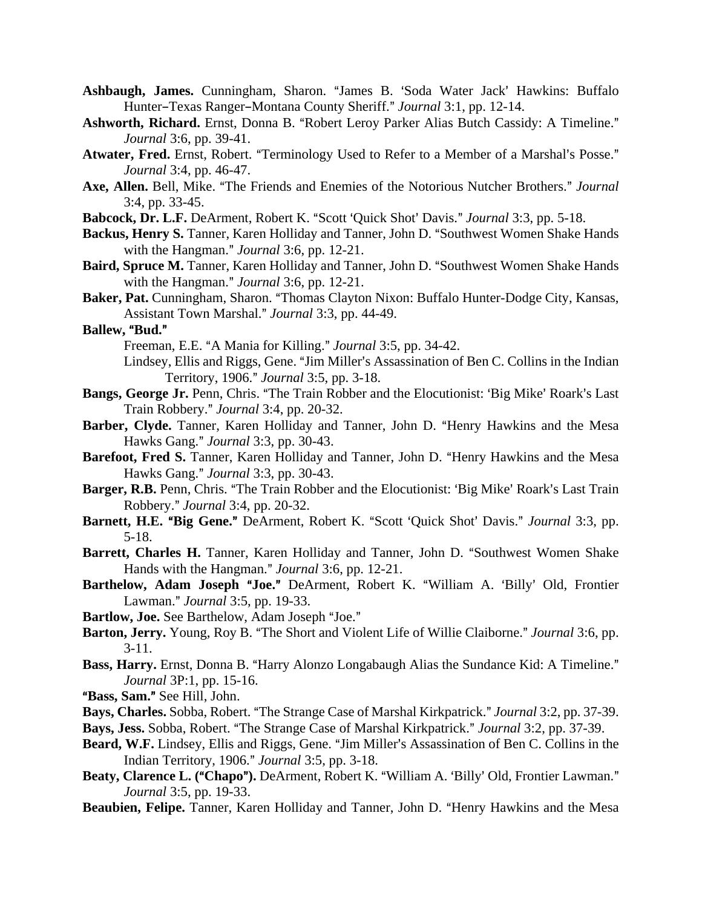- Ashbaugh, James. Cunningham, Sharon. "James B. 'Soda Water Jack' Hawkins: Buffalo Hunter-Texas Ranger-Montana County Sheriff." *Journal* 3:1, pp. 12-14.
- Ashworth, Richard. Ernst, Donna B. "Robert Leroy Parker Alias Butch Cassidy: A Timeline." *Journal* 3:6, pp. 39-41.
- Atwater, Fred. Ernst, Robert. "Terminology Used to Refer to a Member of a Marshal's Posse." *Journal* 3:4, pp. 46-47.
- Axe, Allen. Bell, Mike. "The Friends and Enemies of the Notorious Nutcher Brothers." Journal 3:4, pp. 33-45.
- **Babcock, Dr. L.F.** DeArment, Robert K. "Scott 'Quick Shot' Davis." *Journal* 3:3, pp. 5-18.
- **Backus, Henry S.** Tanner, Karen Holliday and Tanner, John D. "Southwest Women Shake Hands with the Hangman." *Journal* 3:6, pp. 12-21.
- **Baird, Spruce M.** Tanner, Karen Holliday and Tanner, John D. "Southwest Women Shake Hands with the Hangman." *Journal* 3:6, pp. 12-21.
- Baker, Pat. Cunningham, Sharon. "Thomas Clayton Nixon: Buffalo Hunter-Dodge City, Kansas, Assistant Town Marshal.@ *Journal* 3:3, pp. 44-49.
- **Ballew, "Bud."**

Freeman, E.E. "A Mania for Killing." *Journal* 3:5, pp. 34-42.

- Lindsey, Ellis and Riggs, Gene. "Jim Miller's Assassination of Ben C. Collins in the Indian Territory, 1906.@ *Journal* 3:5, pp. 3-18.
- **Bangs, George Jr.** Penn, Chris. "The Train Robber and the Elocutionist: 'Big Mike' Roark's Last Train Robbery." *Journal* 3:4, pp. 20-32.
- Barber, Clyde. Tanner, Karen Holliday and Tanner, John D. "Henry Hawkins and the Mesa Hawks Gang." *Journal* 3:3, pp. 30-43.
- Barefoot, Fred S. Tanner, Karen Holliday and Tanner, John D. "Henry Hawkins and the Mesa Hawks Gang." *Journal* 3:3, pp. 30-43.
- Barger, R.B. Penn, Chris. "The Train Robber and the Elocutionist: 'Big Mike' Roark's Last Train Robbery.@ *Journal* 3:4, pp. 20-32.
- **Barnett, H.E. "Big Gene."** DeArment, Robert K. "Scott 'Quick Shot' Davis." *Journal* 3:3, pp. 5-18.
- Barrett, Charles H. Tanner, Karen Holliday and Tanner, John D. "Southwest Women Shake Hands with the Hangman." *Journal* 3:6, pp. 12-21.
- Barthelow, Adam Joseph "Joe." DeArment, Robert K. "William A. 'Billy' Old, Frontier Lawman.@ *Journal* 3:5, pp. 19-33.
- Bartlow, Joe. See Barthelow, Adam Joseph "Joe."
- **Barton, Jerry.** Young, Roy B. "The Short and Violent Life of Willie Claiborne." *Journal* 3:6, pp. 3-11.
- Bass, Harry. Ernst, Donna B. "Harry Alonzo Longabaugh Alias the Sundance Kid: A Timeline." *Journal* 3P:1, pp. 15-16.
- "Bass, Sam." See Hill, John.
- Bays, Charles. Sobba, Robert. "The Strange Case of Marshal Kirkpatrick." *Journal* 3:2, pp. 37-39.
- Bays, Jess. Sobba, Robert. "The Strange Case of Marshal Kirkpatrick." *Journal* 3:2, pp. 37-39.
- **Beard, W.F.** Lindsey, Ellis and Riggs, Gene. "Jim Miller's Assassination of Ben C. Collins in the Indian Territory, 1906.@ *Journal* 3:5, pp. 3-18.
- Beaty, Clarence L. ("Chapo"). DeArment, Robert K. "William A. 'Billy' Old, Frontier Lawman." *Journal* 3:5, pp. 19-33.
- **Beaubien, Felipe.** Tanner, Karen Holliday and Tanner, John D. "Henry Hawkins and the Mesa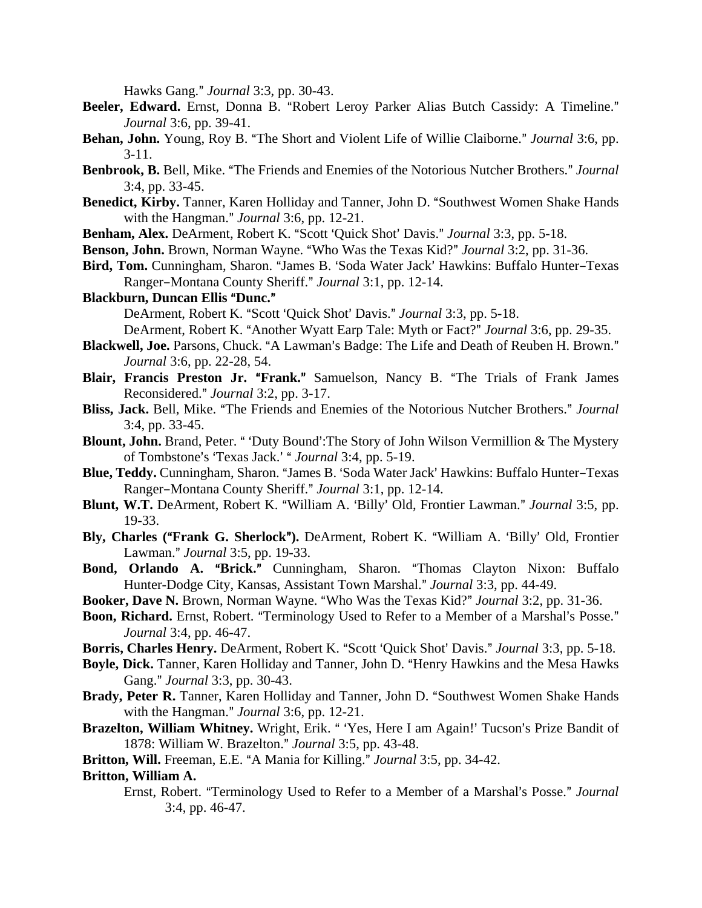Hawks Gang." *Journal* 3:3, pp. 30-43.

- Beeler, Edward. Ernst, Donna B. "Robert Leroy Parker Alias Butch Cassidy: A Timeline." *Journal* 3:6, pp. 39-41.
- **Behan, John.** Young, Roy B. "The Short and Violent Life of Willie Claiborne." *Journal* 3:6, pp. 3-11.
- Benbrook, B. Bell, Mike. "The Friends and Enemies of the Notorious Nutcher Brothers." Journal 3:4, pp. 33-45.
- Benedict, Kirby. Tanner, Karen Holliday and Tanner, John D. "Southwest Women Shake Hands with the Hangman." *Journal* 3:6, pp. 12-21.
- **Benham, Alex.** DeArment, Robert K. "Scott 'Ouick Shot' Davis." *Journal* 3:3, pp. 5-18.
- **Benson, John.** Brown, Norman Wayne. "Who Was the Texas Kid?" *Journal* 3:2, pp. 31-36.
- Bird, Tom. Cunningham, Sharon. "James B. 'Soda Water Jack' Hawkins: Buffalo Hunter-Texas Ranger-Montana County Sheriff." *Journal* 3:1, pp. 12-14.
- **Blackburn, Duncan Ellis "Dunc."**

DeArment, Robert K. "Scott 'Quick Shot' Davis." *Journal* 3:3, pp. 5-18.

DeArment, Robert K. "Another Wyatt Earp Tale: Myth or Fact?" *Journal* 3:6, pp. 29-35.

- Blackwell, Joe. Parsons, Chuck. "A Lawman's Badge: The Life and Death of Reuben H. Brown." *Journal* 3:6, pp. 22-28, 54.
- **Blair, Francis Preston Jr. "Frank."** Samuelson, Nancy B. "The Trials of Frank James Reconsidered." *Journal* 3:2, pp. 3-17.
- Bliss, Jack. Bell, Mike. "The Friends and Enemies of the Notorious Nutcher Brothers." Journal 3:4, pp. 33-45.
- **Blount, John.** Brand, Peter. " 'Duty Bound': The Story of John Wilson Vermillion & The Mystery of Tombstone's 'Texas Jack.' " *Journal* 3:4, pp. 5-19.
- **Blue, Teddy.** Cunningham, Sharon. "James B. 'Soda Water Jack' Hawkins: Buffalo Hunter-Texas Ranger-Montana County Sheriff." *Journal* 3:1, pp. 12-14.
- **Blunt, W.T.** DeArment, Robert K. "William A. 'Billy' Old, Frontier Lawman." *Journal* 3:5, pp. 19-33.
- **Bly, Charles ("Frank G. Sherlock").** DeArment, Robert K. "William A. 'Billy' Old, Frontier Lawman.@ *Journal* 3:5, pp. 19-33.
- Bond, Orlando A. "Brick." Cunningham, Sharon. "Thomas Clayton Nixon: Buffalo Hunter-Dodge City, Kansas, Assistant Town Marshal.@ *Journal* 3:3, pp. 44-49.
- **Booker, Dave N.** Brown, Norman Wayne. "Who Was the Texas Kid?" *Journal* 3:2, pp. 31-36.
- Boon, Richard. Ernst, Robert. "Terminology Used to Refer to a Member of a Marshal's Posse." *Journal* 3:4, pp. 46-47.
- **Borris, Charles Henry.** DeArment, Robert K. "Scott 'Quick Shot' Davis." *Journal* 3:3, pp. 5-18.
- **Boyle, Dick.** Tanner, Karen Holliday and Tanner, John D. "Henry Hawkins and the Mesa Hawks Gang." *Journal* 3:3, pp. 30-43.
- Brady, Peter R. Tanner, Karen Holliday and Tanner, John D. "Southwest Women Shake Hands with the Hangman." *Journal* 3:6, pp. 12-21.
- **Brazelton, William Whitney.** Wright, Erik. "Yes, Here I am Again!' Tucson's Prize Bandit of 1878: William W. Brazelton.@ *Journal* 3:5, pp. 43-48.
- Britton, Will. Freeman, E.E. "A Mania for Killing." *Journal* 3:5, pp. 34-42.

## **Britton, William A.**

Ernst, Robert. "Terminology Used to Refer to a Member of a Marshal's Posse." Journal 3:4, pp. 46-47.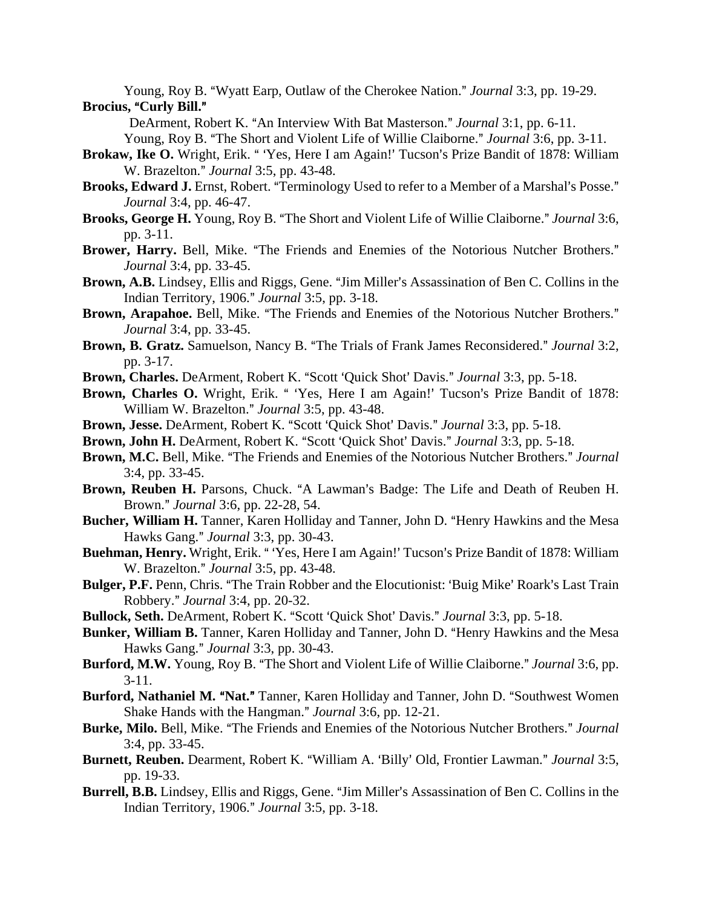Young, Roy B. "Wyatt Earp, Outlaw of the Cherokee Nation." *Journal* 3:3, pp. 19-29. **Brocius, "Curly Bill."** 

DeArment, Robert K. "An Interview With Bat Masterson." *Journal* 3:1, pp. 6-11.

Young, Roy B. "The Short and Violent Life of Willie Claiborne." *Journal* 3:6, pp. 3-11.

- Brokaw, Ike O. Wright, Erik. "Yes, Here I am Again!' Tucson's Prize Bandit of 1878: William W. Brazelton." *Journal* 3:5, pp. 43-48.
- Brooks, Edward J. Ernst, Robert. "Terminology Used to refer to a Member of a Marshal's Posse." *Journal* 3:4, pp. 46-47.
- **Brooks, George H.** Young, Roy B. "The Short and Violent Life of Willie Claiborne." *Journal* 3:6, pp. 3-11.
- Brower, Harry. Bell, Mike. "The Friends and Enemies of the Notorious Nutcher Brothers." *Journal* 3:4, pp. 33-45.
- **Brown, A.B.** Lindsey, Ellis and Riggs, Gene. "Jim Miller's Assassination of Ben C. Collins in the Indian Territory, 1906.@ *Journal* 3:5, pp. 3-18.
- Brown, Arapahoe. Bell, Mike. "The Friends and Enemies of the Notorious Nutcher Brothers." *Journal* 3:4, pp. 33-45.
- **Brown, B. Gratz.** Samuelson, Nancy B. "The Trials of Frank James Reconsidered." Journal 3:2, pp. 3-17.
- Brown, Charles. DeArment, Robert K. "Scott 'Quick Shot' Davis." *Journal* 3:3, pp. 5-18.
- Brown, Charles O. Wright, Erik. " 'Yes, Here I am Again!' Tucson's Prize Bandit of 1878: William W. Brazelton." *Journal* 3:5, pp. 43-48.
- **Brown, Jesse.** DeArment, Robert K. "Scott 'Quick Shot' Davis." *Journal* 3:3, pp. 5-18.
- Brown, John H. DeArment, Robert K. "Scott 'Quick Shot' Davis." Journal 3:3, pp. 5-18.
- Brown, M.C. Bell, Mike. "The Friends and Enemies of the Notorious Nutcher Brothers." *Journal* 3:4, pp. 33-45.
- Brown, Reuben H. Parsons, Chuck. "A Lawman's Badge: The Life and Death of Reuben H. Brown.@ *Journal* 3:6, pp. 22-28, 54.
- Bucher, William H. Tanner, Karen Holliday and Tanner, John D. "Henry Hawkins and the Mesa Hawks Gang.@ *Journal* 3:3, pp. 30-43.
- Buehman, Henry. Wright, Erik. "Yes, Here I am Again!' Tucson's Prize Bandit of 1878: William W. Brazelton." Journal 3:5, pp. 43-48.
- **Bulger, P.F.** Penn, Chris. "The Train Robber and the Elocutionist: 'Buig Mike' Roark's Last Train Robbery.@ *Journal* 3:4, pp. 20-32.
- Bullock, Seth. DeArment, Robert K. "Scott 'Quick Shot' Davis." *Journal* 3:3, pp. 5-18.
- **Bunker, William B.** Tanner, Karen Holliday and Tanner, John D. "Henry Hawkins and the Mesa Hawks Gang." *Journal* 3:3, pp. 30-43.
- **Burford, M.W.** Young, Roy B. "The Short and Violent Life of Willie Claiborne." *Journal* 3:6, pp. 3-11.
- Burford, Nathaniel M. "Nat." Tanner, Karen Holliday and Tanner, John D. "Southwest Women Shake Hands with the Hangman." *Journal* 3:6, pp. 12-21.
- Burke, Milo. Bell, Mike. "The Friends and Enemies of the Notorious Nutcher Brothers." Journal 3:4, pp. 33-45.
- **Burnett, Reuben.** Dearment, Robert K. "William A. 'Billy' Old, Frontier Lawman." Journal 3:5, pp. 19-33.
- Burrell, B.B. Lindsey, Ellis and Riggs, Gene. "Jim Miller's Assassination of Ben C. Collins in the Indian Territory, 1906.@ *Journal* 3:5, pp. 3-18.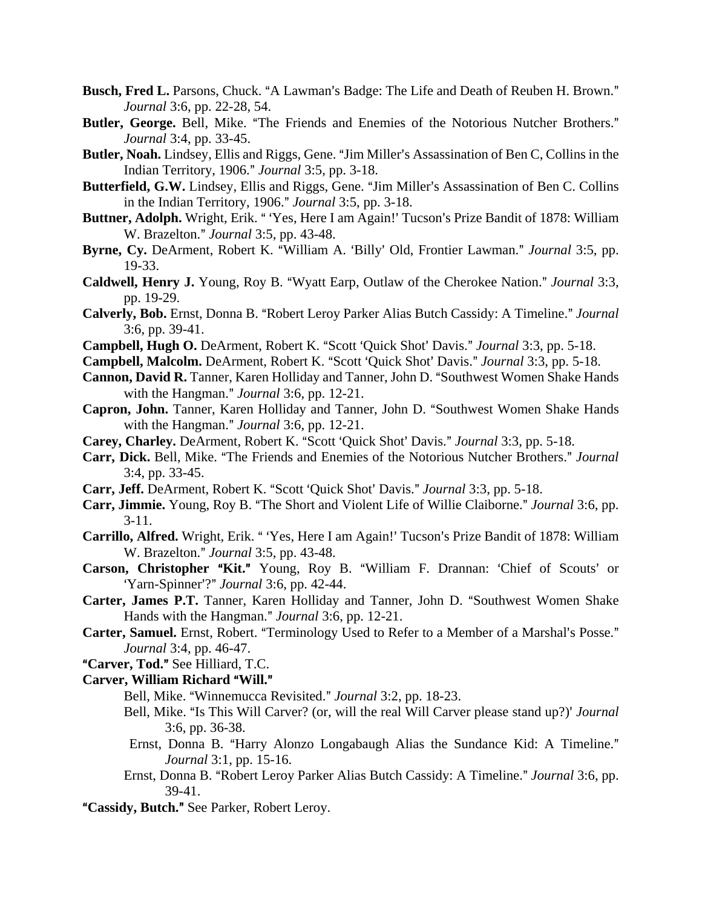- Busch, Fred L. Parsons, Chuck. "A Lawman's Badge: The Life and Death of Reuben H. Brown." *Journal* 3:6, pp. 22-28, 54.
- **Butler, George.** Bell, Mike. "The Friends and Enemies of the Notorious Nutcher Brothers." *Journal* 3:4, pp. 33-45.
- Butler, Noah. Lindsey, Ellis and Riggs, Gene. "Jim Miller's Assassination of Ben C, Collins in the Indian Territory, 1906.@ *Journal* 3:5, pp. 3-18.
- **Butterfield, G.W.** Lindsey, Ellis and Riggs, Gene. "Jim Miller's Assassination of Ben C. Collins in the Indian Territory, 1906." *Journal* 3:5, pp. 3-18.
- Buttner, Adolph. Wright, Erik. " 'Yes, Here I am Again!' Tucson's Prize Bandit of 1878: William W. Brazelton." *Journal* 3:5, pp. 43-48.
- Byrne, Cy. DeArment, Robert K. "William A. 'Billy' Old, Frontier Lawman." *Journal* 3:5, pp. 19-33.
- **Caldwell, Henry J.** Young, Roy B. "Wyatt Earp, Outlaw of the Cherokee Nation." *Journal* 3:3, pp. 19-29.
- Calverly, Bob. Ernst, Donna B. "Robert Leroy Parker Alias Butch Cassidy: A Timeline." Journal 3:6, pp. 39-41.
- Campbell, Hugh O. DeArment, Robert K. "Scott 'Quick Shot' Davis." Journal 3:3, pp. 5-18.
- **Campbell, Malcolm.** DeArment, Robert K. "Scott 'Quick Shot' Davis." *Journal* 3:3, pp. 5-18.
- Cannon, David R. Tanner, Karen Holliday and Tanner, John D. "Southwest Women Shake Hands with the Hangman." *Journal* 3:6, pp. 12-21.
- Capron, John. Tanner, Karen Holliday and Tanner, John D. "Southwest Women Shake Hands with the Hangman." *Journal* 3:6, pp. 12-21.
- **Carey, Charley.** DeArment, Robert K. "Scott 'Quick Shot' Davis." *Journal* 3:3, pp. 5-18.
- Carr, Dick. Bell, Mike. "The Friends and Enemies of the Notorious Nutcher Brothers." *Journal* 3:4, pp. 33-45.
- **Carr, Jeff.** DeArment, Robert K. "Scott 'Quick Shot' Davis." *Journal* 3:3, pp. 5-18.
- **Carr, Jimmie.** Young, Roy B. "The Short and Violent Life of Willie Claiborne." *Journal* 3:6, pp. 3-11.
- **Carrillo, Alfred.** Wright, Erik. "Yes, Here I am Again!' Tucson's Prize Bandit of 1878: William W. Brazelton." *Journal* 3:5, pp. 43-48.
- **Carson, Christopher "Kit."** Young, Roy B. "William F. Drannan: 'Chief of Scouts' or 'Yarn-Spinner'?" *Journal* 3:6, pp. 42-44.
- Carter, James P.T. Tanner, Karen Holliday and Tanner, John D. "Southwest Women Shake Hands with the Hangman." *Journal* 3:6, pp. 12-21.
- Carter, Samuel. Ernst, Robert. "Terminology Used to Refer to a Member of a Marshal's Posse." *Journal* 3:4, pp. 46-47.
- "Carver, Tod." See Hilliard, T.C.

#### **Carver, William Richard "Will."**

- Bell, Mike. "Winnemucca Revisited." *Journal* 3:2, pp. 18-23.
- Bell, Mike. "Is This Will Carver? (or, will the real Will Carver please stand up?)' *Journal* 3:6, pp. 36-38.
- Ernst, Donna B. "Harry Alonzo Longabaugh Alias the Sundance Kid: A Timeline." *Journal* 3:1, pp. 15-16.
- Ernst, Donna B. "Robert Leroy Parker Alias Butch Cassidy: A Timeline." *Journal* 3:6, pp. 39-41.
- "Cassidy, Butch." See Parker, Robert Leroy.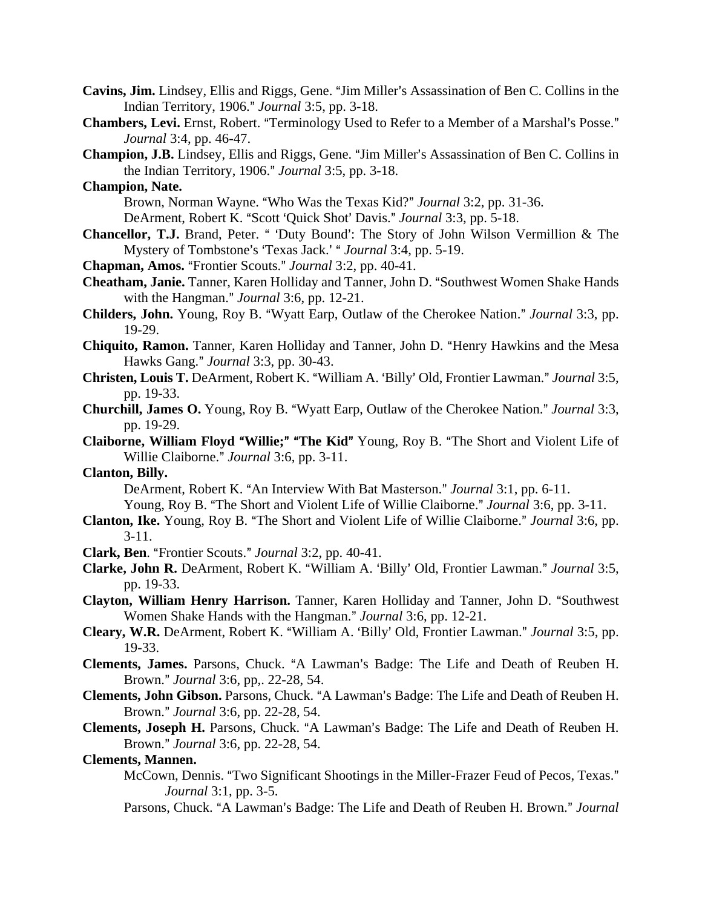- **Cavins, Jim.** Lindsey, Ellis and Riggs, Gene. "Jim Miller's Assassination of Ben C. Collins in the Indian Territory, 1906.@ *Journal* 3:5, pp. 3-18.
- Chambers, Levi. Ernst, Robert. "Terminology Used to Refer to a Member of a Marshal's Posse." *Journal* 3:4, pp. 46-47.
- **Champion, J.B.** Lindsey, Ellis and Riggs, Gene. "Jim Miller's Assassination of Ben C. Collins in the Indian Territory, 1906." *Journal* 3:5, pp. 3-18.
- **Champion, Nate.**

Brown, Norman Wayne. "Who Was the Texas Kid?" *Journal* 3:2, pp. 31-36.

DeArment, Robert K. "Scott 'Quick Shot' Davis." *Journal* 3:3, pp. 5-18.

**Chancellor, T.J.** Brand, Peter. " 'Duty Bound': The Story of John Wilson Vermillion & The Mystery of Tombstone's 'Texas Jack.' " *Journal* 3:4, pp. 5-19.

**Chapman, Amos.** "Frontier Scouts." *Journal* 3:2, pp. 40-41.

- **Cheatham, Janie.** Tanner, Karen Holliday and Tanner, John D. "Southwest Women Shake Hands with the Hangman." *Journal* 3:6, pp. 12-21.
- **Childers, John.** Young, Roy B. "Wyatt Earp, Outlaw of the Cherokee Nation." *Journal* 3:3, pp. 19-29.
- **Chiquito, Ramon.** Tanner, Karen Holliday and Tanner, John D. "Henry Hawkins and the Mesa Hawks Gang." *Journal* 3:3, pp. 30-43.
- **Christen, Louis T.** DeArment, Robert K. "William A. 'Billy' Old, Frontier Lawman." *Journal* 3:5, pp. 19-33.
- **Churchill, James O.** Young, Roy B. "Wyatt Earp, Outlaw of the Cherokee Nation." *Journal* 3:3, pp. 19-29.
- **Claiborne, William Floyd "Willie;" "The Kid"** Young, Roy B. "The Short and Violent Life of Willie Claiborne." *Journal* 3:6, pp. 3-11.

# **Clanton, Billy.**

DeArment, Robert K. "An Interview With Bat Masterson." *Journal* 3:1, pp. 6-11.

Young, Roy B. "The Short and Violent Life of Willie Claiborne." *Journal* 3:6, pp. 3-11.

- **Clanton, Ike.** Young, Roy B. "The Short and Violent Life of Willie Claiborne." *Journal* 3:6, pp. 3-11.
- **Clark, Ben.** "Frontier Scouts." *Journal* 3:2, pp. 40-41.
- Clarke, John R. DeArment, Robert K. "William A. 'Billy' Old, Frontier Lawman." *Journal* 3:5, pp. 19-33.
- Clayton, William Henry Harrison. Tanner, Karen Holliday and Tanner, John D. "Southwest Women Shake Hands with the Hangman." *Journal* 3:6, pp. 12-21.
- **Cleary, W.R.** DeArment, Robert K. "William A. 'Billy' Old, Frontier Lawman." *Journal* 3:5, pp. 19-33.
- **Clements, James.** Parsons, Chuck. "A Lawman's Badge: The Life and Death of Reuben H. Brown.@ *Journal* 3:6, pp,. 22-28, 54.
- **Clements, John Gibson.** Parsons, Chuck. "A Lawman's Badge: The Life and Death of Reuben H. Brown.@ *Journal* 3:6, pp. 22-28, 54.
- Clements, Joseph H. Parsons, Chuck. "A Lawman's Badge: The Life and Death of Reuben H. Brown.@ *Journal* 3:6, pp. 22-28, 54.

## **Clements, Mannen.**

- McCown, Dennis. "Two Significant Shootings in the Miller-Frazer Feud of Pecos, Texas." *Journal* 3:1, pp. 3-5.
- Parsons, Chuck. "A Lawman's Badge: The Life and Death of Reuben H. Brown." *Journal*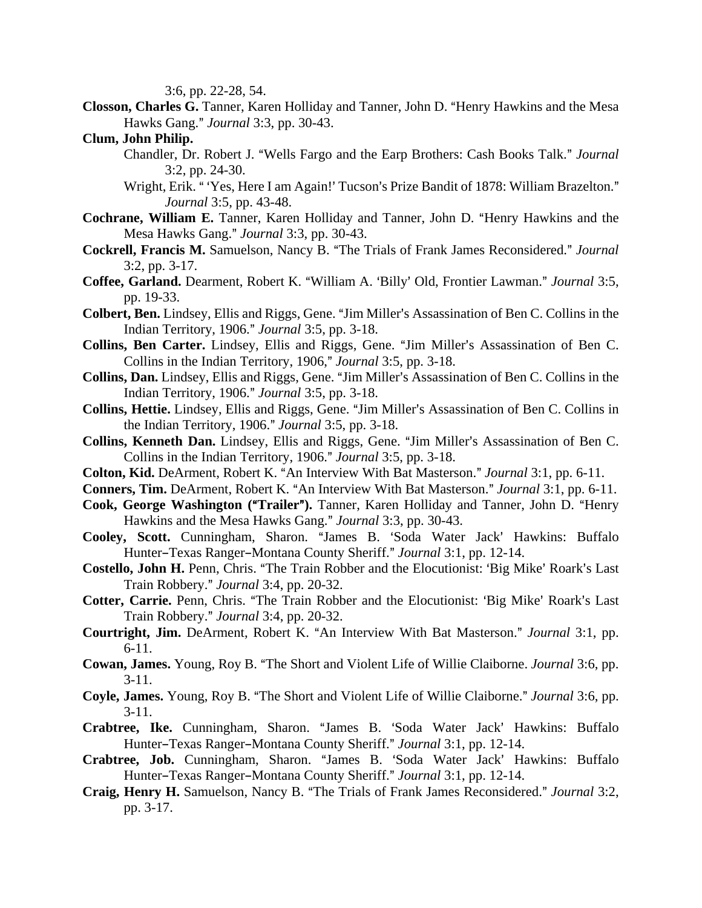3:6, pp. 22-28, 54.

- **Closson, Charles G.** Tanner, Karen Holliday and Tanner, John D. "Henry Hawkins and the Mesa Hawks Gang.@ *Journal* 3:3, pp. 30-43.
- **Clum, John Philip.**
	- Chandler, Dr. Robert J. "Wells Fargo and the Earp Brothers: Cash Books Talk." *Journal* 3:2, pp. 24-30.
	- Wright, Erik. "Yes, Here I am Again!' Tucson's Prize Bandit of 1878: William Brazelton." *Journal* 3:5, pp. 43-48.
- Cochrane, William E. Tanner, Karen Holliday and Tanner, John D. "Henry Hawkins and the Mesa Hawks Gang." *Journal* 3:3, pp. 30-43.
- **Cockrell, Francis M.** Samuelson, Nancy B. "The Trials of Frank James Reconsidered." *Journal* 3:2, pp. 3-17.
- **Coffee, Garland.** Dearment, Robert K. "William A. 'Billy' Old, Frontier Lawman." *Journal* 3:5, pp. 19-33.
- **Colbert, Ben.** Lindsey, Ellis and Riggs, Gene. "Jim Miller's Assassination of Ben C. Collins in the Indian Territory, 1906.@ *Journal* 3:5, pp. 3-18.
- Collins, Ben Carter. Lindsey, Ellis and Riggs, Gene. "Jim Miller's Assassination of Ben C. Collins in the Indian Territory, 1906," *Journal* 3:5, pp. 3-18.
- **Collins, Dan.** Lindsey, Ellis and Riggs, Gene. "Jim Miller's Assassination of Ben C. Collins in the Indian Territory, 1906.@ *Journal* 3:5, pp. 3-18.
- **Collins, Hettie.** Lindsey, Ellis and Riggs, Gene. "Jim Miller's Assassination of Ben C. Collins in the Indian Territory, 1906." *Journal* 3:5, pp. 3-18.
- **Collins, Kenneth Dan.** Lindsey, Ellis and Riggs, Gene. "Jim Miller's Assassination of Ben C. Collins in the Indian Territory, 1906." *Journal* 3:5, pp. 3-18.
- **Colton, Kid.** DeArment, Robert K. "An Interview With Bat Masterson." *Journal* 3:1, pp. 6-11.
- **Conners, Tim.** DeArment, Robert K. "An Interview With Bat Masterson." *Journal* 3:1, pp. 6-11.
- **Cook, George Washington ("Trailer").** Tanner, Karen Holliday and Tanner, John D. "Henry Hawkins and the Mesa Hawks Gang." *Journal* 3:3, pp. 30-43.
- Cooley, Scott. Cunningham, Sharon. "James B. 'Soda Water Jack' Hawkins: Buffalo Hunter-Texas Ranger-Montana County Sheriff." *Journal* 3:1, pp. 12-14.
- **Costello, John H.** Penn, Chris. "The Train Robber and the Elocutionist: 'Big Mike' Roark's Last Train Robbery.@ *Journal* 3:4, pp. 20-32.
- **Cotter, Carrie.** Penn, Chris. "The Train Robber and the Elocutionist: 'Big Mike' Roark's Last Train Robbery.@ *Journal* 3:4, pp. 20-32.
- **Courtright, Jim.** DeArment, Robert K. "An Interview With Bat Masterson." *Journal* 3:1, pp. 6-11.
- **Cowan, James.** Young, Roy B. "The Short and Violent Life of Willie Claiborne. *Journal* 3:6, pp. 3-11.
- **Coyle, James.** Young, Roy B. "The Short and Violent Life of Willie Claiborne." *Journal* 3:6, pp. 3-11.
- **Crabtree, Ike.** Cunningham, Sharon. "James B. 'Soda Water Jack' Hawkins: Buffalo Hunter-Texas Ranger-Montana County Sheriff." *Journal* 3:1, pp. 12-14.
- Crabtree, Job. Cunningham, Sharon. "James B. 'Soda Water Jack' Hawkins: Buffalo Hunter–Texas Ranger–Montana County Sheriff." *Journal* 3:1, pp. 12-14.
- Craig, Henry H. Samuelson, Nancy B. "The Trials of Frank James Reconsidered." *Journal* 3:2, pp. 3-17.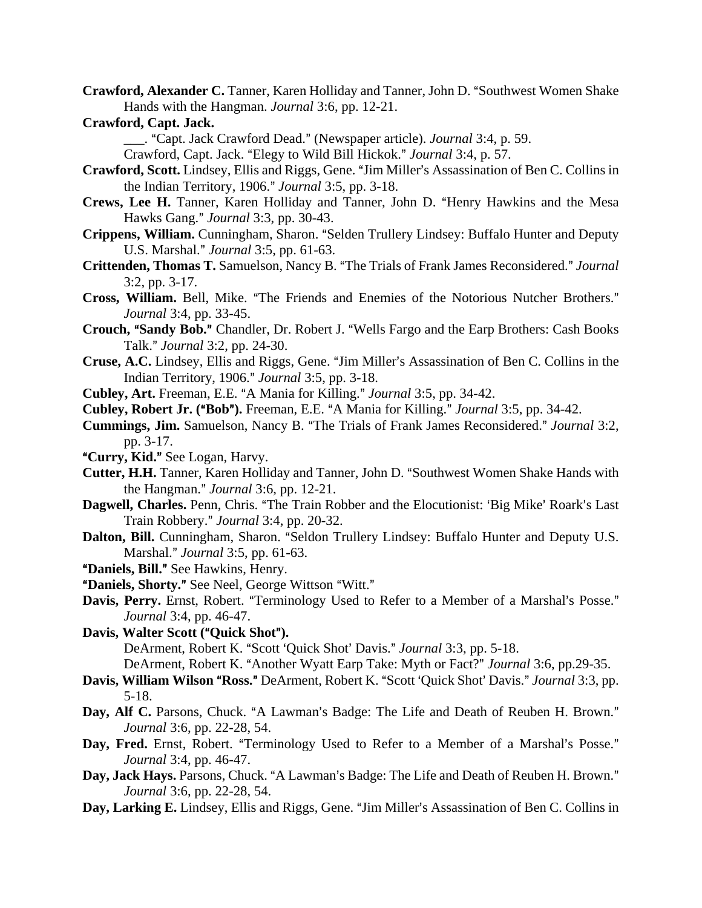- **Crawford, Alexander C.** Tanner, Karen Holliday and Tanner, John D. "Southwest Women Shake Hands with the Hangman. *Journal* 3:6, pp. 12-21.
- **Crawford, Capt. Jack.**

\_\_\_. ACapt. Jack Crawford Dead.@ (Newspaper article). *Journal* 3:4, p. 59.

Crawford, Capt. Jack. "Elegy to Wild Bill Hickok." *Journal* 3:4, p. 57.

- **Crawford, Scott.** Lindsey, Ellis and Riggs, Gene. "Jim Miller's Assassination of Ben C. Collins in the Indian Territory, 1906." *Journal* 3:5, pp. 3-18.
- Crews, Lee H. Tanner, Karen Holliday and Tanner, John D. "Henry Hawkins and the Mesa Hawks Gang.@ *Journal* 3:3, pp. 30-43.
- **Crippens, William.** Cunningham, Sharon. "Selden Trullery Lindsey: Buffalo Hunter and Deputy U.S. Marshal." *Journal* 3:5, pp. 61-63.
- **Crittenden, Thomas T.** Samuelson, Nancy B. "The Trials of Frank James Reconsidered." Journal 3:2, pp. 3-17.
- Cross, William. Bell, Mike. "The Friends and Enemies of the Notorious Nutcher Brothers." *Journal* 3:4, pp. 33-45.
- **Crouch, "Sandy Bob."** Chandler, Dr. Robert J. "Wells Fargo and the Earp Brothers: Cash Books Talk.@ *Journal* 3:2, pp. 24-30.
- **Cruse, A.C.** Lindsey, Ellis and Riggs, Gene. "Jim Miller's Assassination of Ben C. Collins in the Indian Territory, 1906.@ *Journal* 3:5, pp. 3-18.
- **Cubley, Art.** Freeman, E.E. "A Mania for Killing." *Journal* 3:5, pp. 34-42.
- **Cubley, Robert Jr. ("Bob").** Freeman, E.E. "A Mania for Killing." *Journal* 3:5, pp. 34-42.
- **Cummings, Jim.** Samuelson, Nancy B. "The Trials of Frank James Reconsidered." *Journal* 3:2, pp. 3-17.
- "Curry, Kid." See Logan, Harvy.
- **Cutter, H.H.** Tanner, Karen Holliday and Tanner, John D. "Southwest Women Shake Hands with the Hangman." *Journal* 3:6, pp. 12-21.
- **Dagwell, Charles.** Penn, Chris. "The Train Robber and the Elocutionist: 'Big Mike' Roark's Last Train Robbery.@ *Journal* 3:4, pp. 20-32.
- **Dalton, Bill.** Cunningham, Sharon. "Seldon Trullery Lindsey: Buffalo Hunter and Deputy U.S. Marshal.@ *Journal* 3:5, pp. 61-63.
- "Daniels, Bill." See Hawkins, Henry.
- "Daniels, Shorty." See Neel, George Wittson "Witt."
- **Davis, Perry.** Ernst, Robert. "Terminology Used to Refer to a Member of a Marshal's Posse." *Journal* 3:4, pp. 46-47.
- **Davis, Walter Scott ("Quick Shot").** DeArment, Robert K. "Scott 'Quick Shot' Davis." *Journal* 3:3, pp. 5-18. DeArment, Robert K. "Another Wyatt Earp Take: Myth or Fact?" *Journal* 3:6, pp.29-35.
- **Davis, William Wilson "Ross."** DeArment, Robert K. "Scott 'Quick Shot' Davis." *Journal* 3:3, pp. 5-18.
- Day, Alf C. Parsons, Chuck. "A Lawman's Badge: The Life and Death of Reuben H. Brown." *Journal* 3:6, pp. 22-28, 54.
- Day, Fred. Ernst, Robert. "Terminology Used to Refer to a Member of a Marshal's Posse." *Journal* 3:4, pp. 46-47.
- Day, Jack Hays. Parsons, Chuck. "A Lawman's Badge: The Life and Death of Reuben H. Brown." *Journal* 3:6, pp. 22-28, 54.
- Day, Larking E. Lindsey, Ellis and Riggs, Gene. "Jim Miller's Assassination of Ben C. Collins in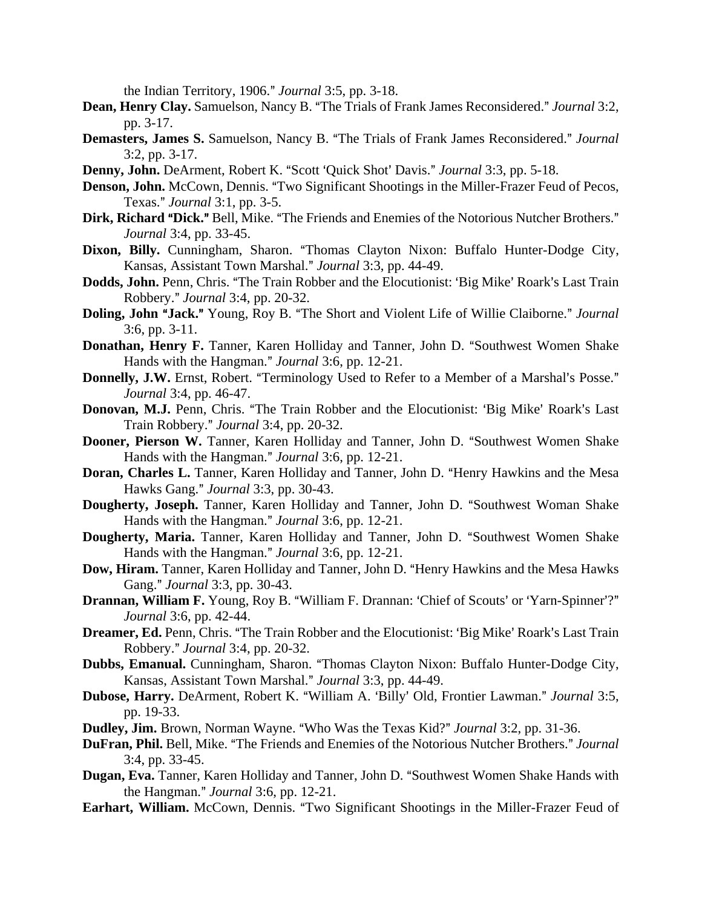the Indian Territory, 1906." *Journal* 3:5, pp. 3-18.

- **Dean, Henry Clay.** Samuelson, Nancy B. "The Trials of Frank James Reconsidered." *Journal* 3:2, pp. 3-17.
- **Demasters, James S.** Samuelson, Nancy B. "The Trials of Frank James Reconsidered." Journal 3:2, pp. 3-17.
- **Denny, John.** DeArment, Robert K. "Scott 'Quick Shot' Davis." *Journal* 3:3, pp. 5-18.
- **Denson, John.** McCown, Dennis. "Two Significant Shootings in the Miller-Frazer Feud of Pecos, Texas.@ *Journal* 3:1, pp. 3-5.
- **Dirk, Richard "Dick."** Bell, Mike. "The Friends and Enemies of the Notorious Nutcher Brothers." *Journal* 3:4, pp. 33-45.
- Dixon, Billy. Cunningham, Sharon. "Thomas Clayton Nixon: Buffalo Hunter-Dodge City, Kansas, Assistant Town Marshal.@ *Journal* 3:3, pp. 44-49.
- **Dodds, John.** Penn, Chris. "The Train Robber and the Elocutionist: 'Big Mike' Roark's Last Train Robbery.@ *Journal* 3:4, pp. 20-32.
- **Doling, John "Jack."** Young, Roy B. "The Short and Violent Life of Willie Claiborne." Journal 3:6, pp. 3-11.
- **Donathan, Henry F.** Tanner, Karen Holliday and Tanner, John D. "Southwest Women Shake Hands with the Hangman." *Journal* 3:6, pp. 12-21.
- **Donnelly, J.W.** Ernst, Robert. "Terminology Used to Refer to a Member of a Marshal's Posse." *Journal* 3:4, pp. 46-47.
- **Donovan, M.J.** Penn, Chris. "The Train Robber and the Elocutionist: 'Big Mike' Roark's Last Train Robbery.@ *Journal* 3:4, pp. 20-32.
- **Dooner, Pierson W.** Tanner, Karen Holliday and Tanner, John D. "Southwest Women Shake Hands with the Hangman." *Journal* 3:6, pp. 12-21.
- **Doran, Charles L.** Tanner, Karen Holliday and Tanner, John D. "Henry Hawkins and the Mesa Hawks Gang.@ *Journal* 3:3, pp. 30-43.
- **Dougherty, Joseph.** Tanner, Karen Holliday and Tanner, John D. "Southwest Woman Shake Hands with the Hangman." *Journal* 3:6, pp. 12-21.
- **Dougherty, Maria.** Tanner, Karen Holliday and Tanner, John D. "Southwest Women Shake Hands with the Hangman." *Journal* 3:6, pp. 12-21.
- **Dow, Hiram.** Tanner, Karen Holliday and Tanner, John D. "Henry Hawkins and the Mesa Hawks Gang." *Journal* 3:3, pp. 30-43.
- **Drannan, William F.** Young, Roy B. "William F. Drannan: 'Chief of Scouts' or 'Yarn-Spinner'?" *Journal* 3:6, pp. 42-44.
- **Dreamer, Ed.** Penn, Chris. "The Train Robber and the Elocutionist: 'Big Mike' Roark's Last Train Robbery.@ *Journal* 3:4, pp. 20-32.
- Dubbs, Emanual. Cunningham, Sharon. "Thomas Clayton Nixon: Buffalo Hunter-Dodge City, Kansas, Assistant Town Marshal." *Journal* 3:3, pp. 44-49.
- Dubose, Harry. DeArment, Robert K. "William A. 'Billy' Old, Frontier Lawman." *Journal* 3:5, pp. 19-33.
- **Dudley, Jim.** Brown, Norman Wayne. "Who Was the Texas Kid?" *Journal* 3:2, pp. 31-36.
- **DuFran, Phil.** Bell, Mike. "The Friends and Enemies of the Notorious Nutcher Brothers." Journal 3:4, pp. 33-45.
- **Dugan, Eva.** Tanner, Karen Holliday and Tanner, John D. "Southwest Women Shake Hands with the Hangman." *Journal* 3:6, pp. 12-21.
- Earhart, William. McCown, Dennis. "Two Significant Shootings in the Miller-Frazer Feud of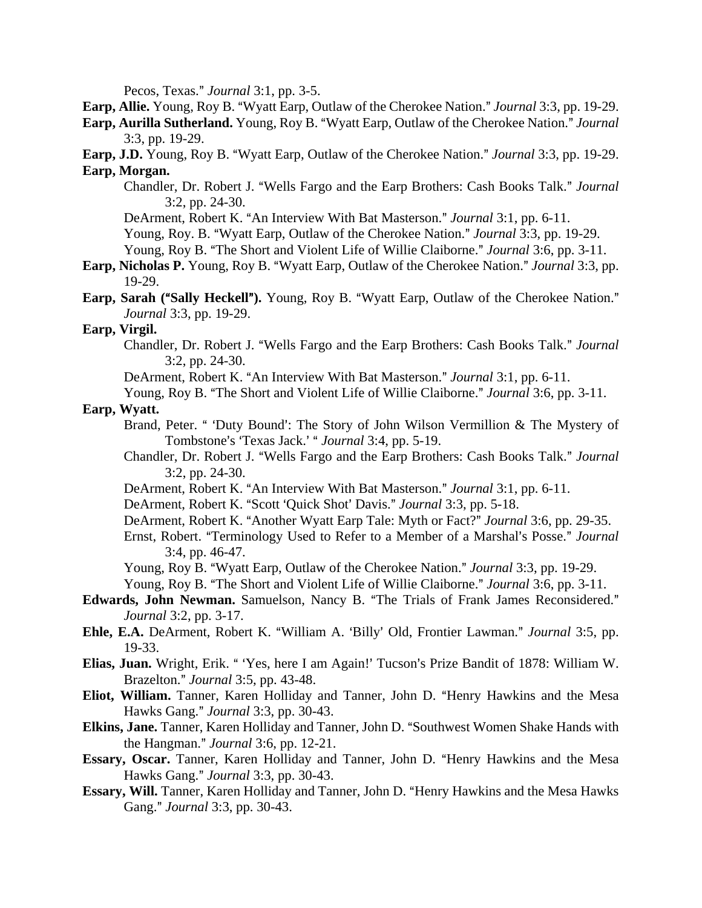Pecos, Texas." *Journal* 3:1, pp. 3-5.

**Earp, Allie.** Young, Roy B. "Wyatt Earp, Outlaw of the Cherokee Nation." *Journal* 3:3, pp. 19-29.

**Earp, Aurilla Sutherland.** Young, Roy B. "Wyatt Earp, Outlaw of the Cherokee Nation." *Journal* 3:3, pp. 19-29.

**Earp, J.D.** Young, Roy B. "Wyatt Earp, Outlaw of the Cherokee Nation." *Journal* 3:3, pp. 19-29. **Earp, Morgan.**

Chandler, Dr. Robert J. "Wells Fargo and the Earp Brothers: Cash Books Talk." *Journal* 3:2, pp. 24-30.

DeArment, Robert K. "An Interview With Bat Masterson." *Journal* 3:1, pp. 6-11.

Young, Roy. B. "Wyatt Earp, Outlaw of the Cherokee Nation." *Journal* 3:3, pp. 19-29.

Young, Roy B. "The Short and Violent Life of Willie Claiborne." *Journal* 3:6, pp. 3-11.

- **Earp, Nicholas P.** Young, Roy B. "Wyatt Earp, Outlaw of the Cherokee Nation." *Journal* 3:3, pp. 19-29.
- **Earp, Sarah ("Sally Heckell").** Young, Roy B. "Wyatt Earp, Outlaw of the Cherokee Nation." *Journal* 3:3, pp. 19-29.

# **Earp, Virgil.**

Chandler, Dr. Robert J. "Wells Fargo and the Earp Brothers: Cash Books Talk." *Journal* 3:2, pp. 24-30.

DeArment, Robert K. "An Interview With Bat Masterson." *Journal* 3:1, pp. 6-11.

Young, Roy B. "The Short and Violent Life of Willie Claiborne." *Journal* 3:6, pp. 3-11.

## **Earp, Wyatt.**

- Brand, Peter. " 'Duty Bound': The Story of John Wilson Vermillion & The Mystery of Tombstone's 'Texas Jack.' " *Journal* 3:4, pp. 5-19.
- Chandler, Dr. Robert J. "Wells Fargo and the Earp Brothers: Cash Books Talk." *Journal* 3:2, pp. 24-30.
- DeArment, Robert K. "An Interview With Bat Masterson." *Journal* 3:1, pp. 6-11.

DeArment, Robert K. "Scott 'Quick Shot' Davis." *Journal* 3:3, pp. 5-18.

- DeArment, Robert K. "Another Wyatt Earp Tale: Myth or Fact?" *Journal* 3:6, pp. 29-35.
- Ernst, Robert. "Terminology Used to Refer to a Member of a Marshal's Posse." *Journal* 3:4, pp. 46-47.

Young, Roy B. "Wyatt Earp, Outlaw of the Cherokee Nation." *Journal* 3:3, pp. 19-29. Young, Roy B. "The Short and Violent Life of Willie Claiborne." *Journal* 3:6, pp. 3-11.

- **Edwards, John Newman.** Samuelson, Nancy B. "The Trials of Frank James Reconsidered." *Journal* 3:2, pp. 3-17.
- **Ehle, E.A.** DeArment, Robert K. "William A. 'Billy' Old, Frontier Lawman." *Journal* 3:5, pp. 19-33.
- Elias, Juan. Wright, Erik. "Yes, here I am Again!' Tucson's Prize Bandit of 1878: William W. Brazelton.@ *Journal* 3:5, pp. 43-48.
- Eliot, William. Tanner, Karen Holliday and Tanner, John D. "Henry Hawkins and the Mesa Hawks Gang." *Journal* 3:3, pp. 30-43.
- **Elkins, Jane.** Tanner, Karen Holliday and Tanner, John D. "Southwest Women Shake Hands with the Hangman." *Journal* 3:6, pp. 12-21.
- **Essary, Oscar.** Tanner, Karen Holliday and Tanner, John D. "Henry Hawkins and the Mesa Hawks Gang.@ *Journal* 3:3, pp. 30-43.
- **Essary, Will.** Tanner, Karen Holliday and Tanner, John D. "Henry Hawkins and the Mesa Hawks Gang." *Journal* 3:3, pp. 30-43.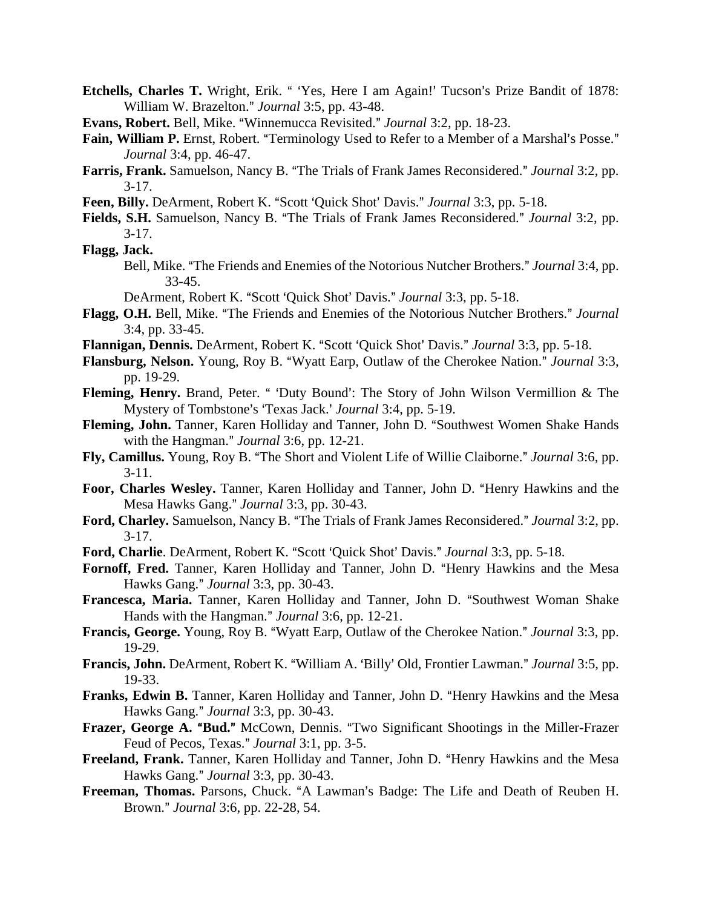- Etchells, Charles T. Wright, Erik. " 'Yes, Here I am Again!' Tucson's Prize Bandit of 1878: William W. Brazelton." *Journal* 3:5, pp. 43-48.
- **Evans, Robert.** Bell, Mike. "Winnemucca Revisited." *Journal* 3:2, pp. 18-23.
- Fain, William P. Ernst, Robert. "Terminology Used to Refer to a Member of a Marshal's Posse." *Journal* 3:4, pp. 46-47.
- **Farris, Frank.** Samuelson, Nancy B. "The Trials of Frank James Reconsidered." *Journal* 3:2, pp.  $3 - 17$ .
- Feen, Billy. DeArment, Robert K. "Scott 'Quick Shot' Davis." *Journal* 3:3, pp. 5-18.
- Fields, S.H. Samuelson, Nancy B. "The Trials of Frank James Reconsidered." Journal 3:2, pp. 3-17.
- **Flagg, Jack.**
	- Bell, Mike. "The Friends and Enemies of the Notorious Nutcher Brothers." *Journal* 3:4, pp. 33-45.
	- DeArment, Robert K. "Scott 'Quick Shot' Davis." *Journal* 3:3, pp. 5-18.
- Flagg, O.H. Bell, Mike. "The Friends and Enemies of the Notorious Nutcher Brothers." *Journal* 3:4, pp. 33-45.
- Flannigan, Dennis. DeArment, Robert K. "Scott 'Quick Shot' Davis." *Journal* 3:3, pp. 5-18.
- **Flansburg, Nelson.** Young, Roy B. "Wyatt Earp, Outlaw of the Cherokee Nation." *Journal* 3:3, pp. 19-29.
- **Fleming, Henry.** Brand, Peter. " 'Duty Bound': The Story of John Wilson Vermillion & The Mystery of Tombstone's 'Texas Jack.' *Journal* 3:4, pp. 5-19.
- Fleming, John. Tanner, Karen Holliday and Tanner, John D. "Southwest Women Shake Hands with the Hangman." *Journal* 3:6, pp. 12-21.
- Fly, Camillus. Young, Roy B. "The Short and Violent Life of Willie Claiborne." *Journal* 3:6, pp. 3-11.
- Foor, Charles Wesley. Tanner, Karen Holliday and Tanner, John D. "Henry Hawkins and the Mesa Hawks Gang." *Journal* 3:3, pp. 30-43.
- Ford, Charley. Samuelson, Nancy B. "The Trials of Frank James Reconsidered." *Journal* 3:2, pp.  $3 - 17$ .
- Ford, Charlie. DeArment, Robert K. "Scott 'Quick Shot' Davis." *Journal* 3:3, pp. 5-18.
- Fornoff, Fred. Tanner, Karen Holliday and Tanner, John D. "Henry Hawkins and the Mesa Hawks Gang." *Journal* 3:3, pp. 30-43.
- Francesca, Maria. Tanner, Karen Holliday and Tanner, John D. "Southwest Woman Shake Hands with the Hangman." *Journal* 3:6, pp. 12-21.
- **Francis, George.** Young, Roy B. "Wyatt Earp, Outlaw of the Cherokee Nation." *Journal* 3:3, pp. 19-29.
- **Francis, John.** DeArment, Robert K. "William A. 'Billy' Old, Frontier Lawman." *Journal* 3:5, pp. 19-33.
- **Franks, Edwin B.** Tanner, Karen Holliday and Tanner, John D. "Henry Hawkins and the Mesa Hawks Gang.@ *Journal* 3:3, pp. 30-43.
- **Frazer, George A. "Bud."** McCown, Dennis. "Two Significant Shootings in the Miller-Frazer Feud of Pecos, Texas." *Journal* 3:1, pp. 3-5.
- **Freeland, Frank.** Tanner, Karen Holliday and Tanner, John D. "Henry Hawkins and the Mesa Hawks Gang.@ *Journal* 3:3, pp. 30-43.
- Freeman, Thomas. Parsons, Chuck. "A Lawman's Badge: The Life and Death of Reuben H. Brown.@ *Journal* 3:6, pp. 22-28, 54.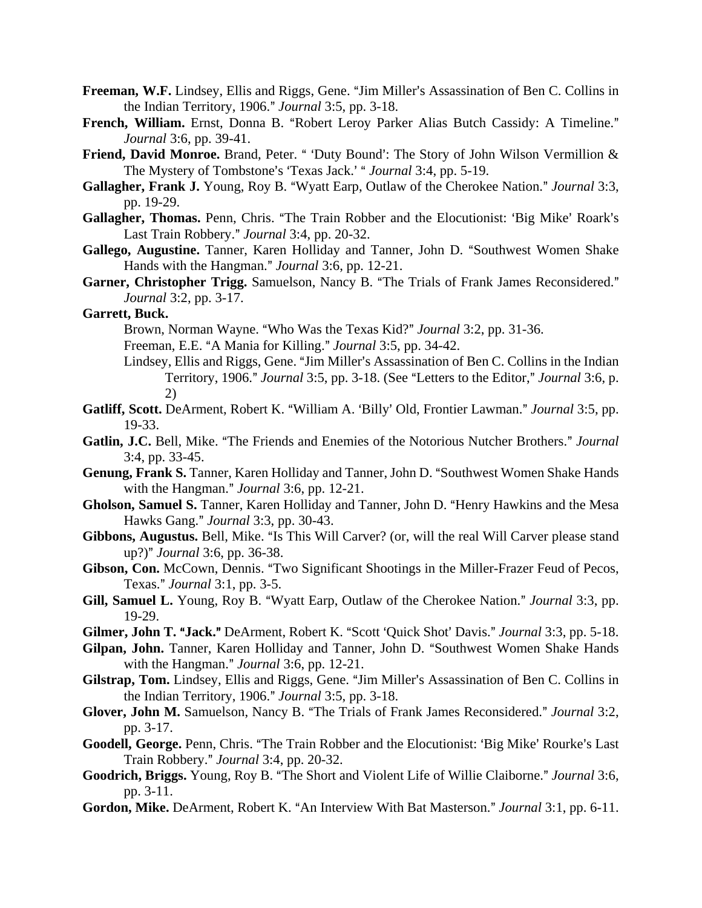- **Freeman, W.F.** Lindsey, Ellis and Riggs, Gene. "Jim Miller's Assassination of Ben C. Collins in the Indian Territory, 1906." *Journal* 3:5, pp. 3-18.
- French, William. Ernst, Donna B. "Robert Leroy Parker Alias Butch Cassidy: A Timeline." *Journal* 3:6, pp. 39-41.
- Friend, David Monroe. Brand, Peter. " 'Duty Bound': The Story of John Wilson Vermillion & The Mystery of Tombstone's 'Texas Jack.' " *Journal* 3:4, pp. 5-19.
- Gallagher, Frank J. Young, Roy B. "Wyatt Earp, Outlaw of the Cherokee Nation." *Journal* 3:3, pp. 19-29.
- Gallagher, Thomas. Penn, Chris. "The Train Robber and the Elocutionist: 'Big Mike' Roark's Last Train Robbery." *Journal* 3:4, pp. 20-32.
- Gallego, Augustine. Tanner, Karen Holliday and Tanner, John D. "Southwest Women Shake Hands with the Hangman." *Journal* 3:6, pp. 12-21.
- Garner, Christopher Trigg. Samuelson, Nancy B. "The Trials of Frank James Reconsidered." *Journal* 3:2, pp. 3-17.

## **Garrett, Buck.**

- Brown, Norman Wayne. "Who Was the Texas Kid?" *Journal* 3:2, pp. 31-36.
- Freeman, E.E. "A Mania for Killing." *Journal* 3:5, pp. 34-42.
- Lindsey, Ellis and Riggs, Gene. "Jim Miller's Assassination of Ben C. Collins in the Indian Territory, 1906." *Journal* 3:5, pp. 3-18. (See "Letters to the Editor," *Journal* 3:6, p. 2)
- **Gatliff, Scott.** DeArment, Robert K. "William A. 'Billy' Old, Frontier Lawman." *Journal* 3:5, pp. 19-33.
- Gatlin, J.C. Bell, Mike. "The Friends and Enemies of the Notorious Nutcher Brothers." Journal 3:4, pp. 33-45.
- Genung, Frank S. Tanner, Karen Holliday and Tanner, John D. "Southwest Women Shake Hands with the Hangman." *Journal* 3:6, pp. 12-21.
- Gholson, Samuel S. Tanner, Karen Holliday and Tanner, John D. "Henry Hawkins and the Mesa Hawks Gang.@ *Journal* 3:3, pp. 30-43.
- **Gibbons, Augustus.** Bell, Mike. "Is This Will Carver? (or, will the real Will Carver please stand up?)" *Journal* 3:6, pp. 36-38.
- Gibson, Con. McCown, Dennis. "Two Significant Shootings in the Miller-Frazer Feud of Pecos, Texas.@ *Journal* 3:1, pp. 3-5.
- **Gill, Samuel L.** Young, Roy B. "Wyatt Earp, Outlaw of the Cherokee Nation." *Journal* 3:3, pp. 19-29.
- **Gilmer, John T. "Jack."** DeArment, Robert K. "Scott 'Ouick Shot' Davis." *Journal* 3:3, pp. 5-18.
- Gilpan, John. Tanner, Karen Holliday and Tanner, John D. "Southwest Women Shake Hands with the Hangman." *Journal* 3:6, pp. 12-21.
- Gilstrap, Tom. Lindsey, Ellis and Riggs, Gene. "Jim Miller's Assassination of Ben C. Collins in the Indian Territory, 1906." *Journal* 3:5, pp. 3-18.
- Glover, John M. Samuelson, Nancy B. "The Trials of Frank James Reconsidered." Journal 3:2, pp. 3-17.
- Goodell, George. Penn, Chris. "The Train Robber and the Elocutionist: 'Big Mike' Rourke's Last Train Robbery." *Journal* 3:4, pp. 20-32.
- Goodrich, Briggs. Young, Roy B. "The Short and Violent Life of Willie Claiborne." *Journal* 3:6, pp. 3-11.
- Gordon, Mike. DeArment, Robert K. "An Interview With Bat Masterson." *Journal* 3:1, pp. 6-11.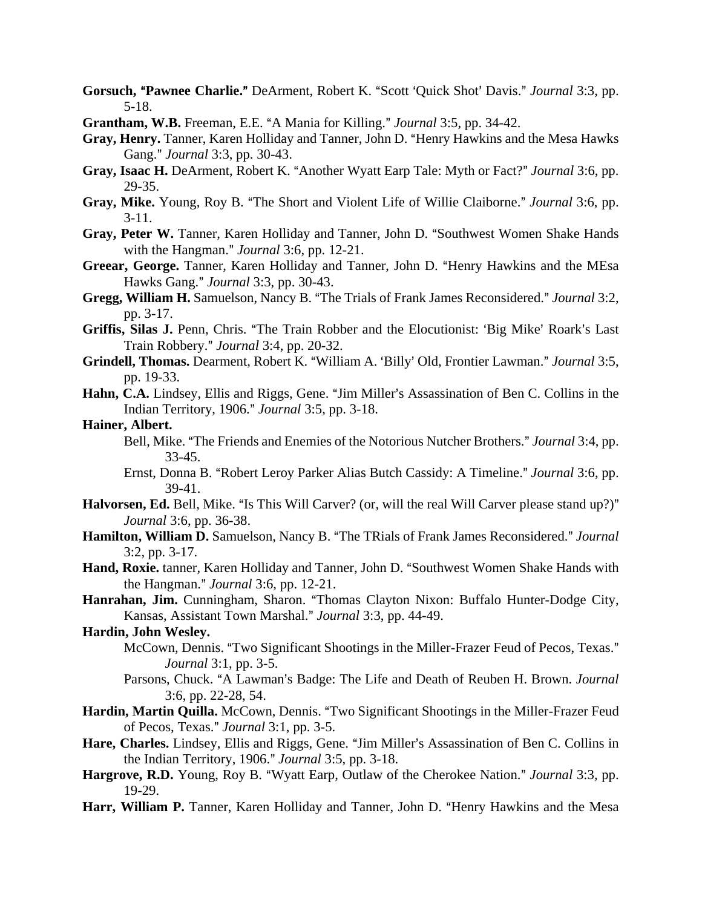- **Gorsuch, "Pawnee Charlie."** DeArment, Robert K. "Scott 'Quick Shot' Davis." *Journal* 3:3, pp. 5-18.
- **Grantham, W.B.** Freeman, E.E. "A Mania for Killing." *Journal* 3:5, pp. 34-42.
- Gray, Henry. Tanner, Karen Holliday and Tanner, John D. "Henry Hawkins and the Mesa Hawks Gang." *Journal* 3:3, pp. 30-43.
- **Gray, Isaac H.** DeArment, Robert K. "Another Wyatt Earp Tale: Myth or Fact?" *Journal* 3:6, pp. 29-35.
- Gray, Mike. Young, Roy B. "The Short and Violent Life of Willie Claiborne." *Journal* 3:6, pp. 3-11.
- **Gray, Peter W.** Tanner, Karen Holliday and Tanner, John D. "Southwest Women Shake Hands" with the Hangman." *Journal* 3:6, pp. 12-21.
- **Greear, George.** Tanner, Karen Holliday and Tanner, John D. "Henry Hawkins and the MEsa Hawks Gang.@ *Journal* 3:3, pp. 30-43.
- **Gregg, William H.** Samuelson, Nancy B. "The Trials of Frank James Reconsidered." *Journal* 3:2, pp. 3-17.
- Griffis, Silas J. Penn, Chris. "The Train Robber and the Elocutionist: 'Big Mike' Roark's Last Train Robbery.@ *Journal* 3:4, pp. 20-32.
- Grindell, Thomas. Dearment, Robert K. "William A. 'Billy' Old, Frontier Lawman." Journal 3:5, pp. 19-33.
- Hahn, C.A. Lindsey, Ellis and Riggs, Gene. "Jim Miller's Assassination of Ben C. Collins in the Indian Territory, 1906.@ *Journal* 3:5, pp. 3-18.

# **Hainer, Albert.**

- Bell, Mike. "The Friends and Enemies of the Notorious Nutcher Brothers." *Journal* 3:4, pp. 33-45.
- Ernst, Donna B. "Robert Leroy Parker Alias Butch Cassidy: A Timeline." *Journal* 3:6, pp. 39-41.
- **Halvorsen, Ed.** Bell, Mike. "Is This Will Carver? (or, will the real Will Carver please stand up?)" *Journal* 3:6, pp. 36-38.
- Hamilton, William D. Samuelson, Nancy B. "The TRials of Frank James Reconsidered." Journal 3:2, pp. 3-17.
- Hand, Roxie. tanner, Karen Holliday and Tanner, John D. "Southwest Women Shake Hands with the Hangman." *Journal* 3:6, pp. 12-21.
- Hanrahan, Jim. Cunningham, Sharon. "Thomas Clayton Nixon: Buffalo Hunter-Dodge City, Kansas, Assistant Town Marshal.@ *Journal* 3:3, pp. 44-49.

## **Hardin, John Wesley.**

- McCown, Dennis. "Two Significant Shootings in the Miller-Frazer Feud of Pecos, Texas." *Journal* 3:1, pp. 3-5.
- Parsons, Chuck. "A Lawman's Badge: The Life and Death of Reuben H. Brown. *Journal* 3:6, pp. 22-28, 54.
- Hardin, Martin Quilla. McCown, Dennis. "Two Significant Shootings in the Miller-Frazer Feud of Pecos, Texas." *Journal* 3:1, pp. 3-5.
- Hare, Charles. Lindsey, Ellis and Riggs, Gene. "Jim Miller's Assassination of Ben C. Collins in the Indian Territory, 1906." *Journal* 3:5, pp. 3-18.
- Hargrove, R.D. Young, Roy B. "Wyatt Earp, Outlaw of the Cherokee Nation." *Journal* 3:3, pp. 19-29.
- Harr, William P. Tanner, Karen Holliday and Tanner, John D. "Henry Hawkins and the Mesa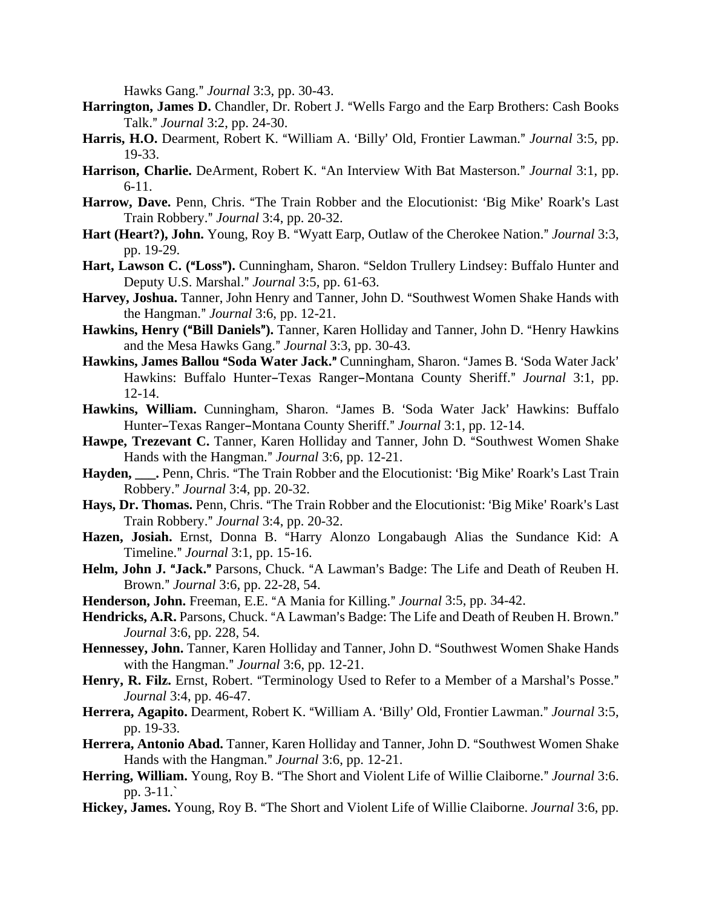Hawks Gang." *Journal* 3:3, pp. 30-43.

- Harrington, James D. Chandler, Dr. Robert J. "Wells Fargo and the Earp Brothers: Cash Books Talk.@ *Journal* 3:2, pp. 24-30.
- Harris, H.O. Dearment, Robert K. "William A. 'Billy' Old, Frontier Lawman." Journal 3:5, pp. 19-33.
- Harrison, Charlie. DeArment, Robert K. "An Interview With Bat Masterson." *Journal* 3:1, pp. 6-11.
- **Harrow, Dave.** Penn, Chris. "The Train Robber and the Elocutionist: 'Big Mike' Roark's Last Train Robbery.@ *Journal* 3:4, pp. 20-32.
- **Hart (Heart?), John.** Young, Roy B. "Wyatt Earp, Outlaw of the Cherokee Nation." *Journal* 3:3, pp. 19-29.
- Hart, Lawson C. ("Loss"). Cunningham, Sharon. "Seldon Trullery Lindsey: Buffalo Hunter and Deputy U.S. Marshal.@ *Journal* 3:5, pp. 61-63.
- Harvey, Joshua. Tanner, John Henry and Tanner, John D. "Southwest Women Shake Hands with the Hangman." *Journal* 3:6, pp. 12-21.
- Hawkins, Henry ("Bill Daniels"). Tanner, Karen Holliday and Tanner, John D. "Henry Hawkins and the Mesa Hawks Gang." Journal 3:3, pp. 30-43.
- Hawkins, James Ballou "Soda Water Jack." Cunningham, Sharon. "James B. 'Soda Water Jack' Hawkins: Buffalo Hunter-Texas Ranger-Montana County Sheriff." *Journal* 3:1, pp. 12-14.
- Hawkins, William. Cunningham, Sharon. "James B. 'Soda Water Jack' Hawkins: Buffalo Hunter–Texas Ranger–Montana County Sheriff." *Journal* 3:1, pp. 12-14.
- Hawpe, Trezevant C. Tanner, Karen Holliday and Tanner, John D. "Southwest Women Shake Hands with the Hangman." *Journal* 3:6, pp. 12-21.
- Hayden, Penn, Chris. "The Train Robber and the Elocutionist: 'Big Mike' Roark's Last Train Robbery.@ *Journal* 3:4, pp. 20-32.
- Hays, Dr. Thomas. Penn, Chris. "The Train Robber and the Elocutionist: 'Big Mike' Roark's Last Train Robbery.@ *Journal* 3:4, pp. 20-32.
- Hazen, Josiah. Ernst, Donna B. "Harry Alonzo Longabaugh Alias the Sundance Kid: A Timeline.@ *Journal* 3:1, pp. 15-16.
- Helm, John J. "Jack." Parsons, Chuck. "A Lawman's Badge: The Life and Death of Reuben H. Brown.@ *Journal* 3:6, pp. 22-28, 54.
- **Henderson, John.** Freeman, E.E. "A Mania for Killing." *Journal* 3:5, pp. 34-42.
- Hendricks, A.R. Parsons, Chuck. "A Lawman's Badge: The Life and Death of Reuben H. Brown." *Journal* 3:6, pp. 228, 54.
- Hennessey, John. Tanner, Karen Holliday and Tanner, John D. "Southwest Women Shake Hands with the Hangman." *Journal* 3:6, pp. 12-21.
- Henry, R. Filz. Ernst, Robert. "Terminology Used to Refer to a Member of a Marshal's Posse." *Journal* 3:4, pp. 46-47.
- Herrera, Agapito. Dearment, Robert K. "William A. 'Billy' Old, Frontier Lawman." Journal 3:5, pp. 19-33.
- Herrera, Antonio Abad. Tanner, Karen Holliday and Tanner, John D. "Southwest Women Shake Hands with the Hangman." *Journal* 3:6, pp. 12-21.
- **Herring, William.** Young, Roy B. "The Short and Violent Life of Willie Claiborne." *Journal* 3:6. pp. 3-11.`
- Hickey, James. Young, Roy B. "The Short and Violent Life of Willie Claiborne. *Journal* 3:6, pp.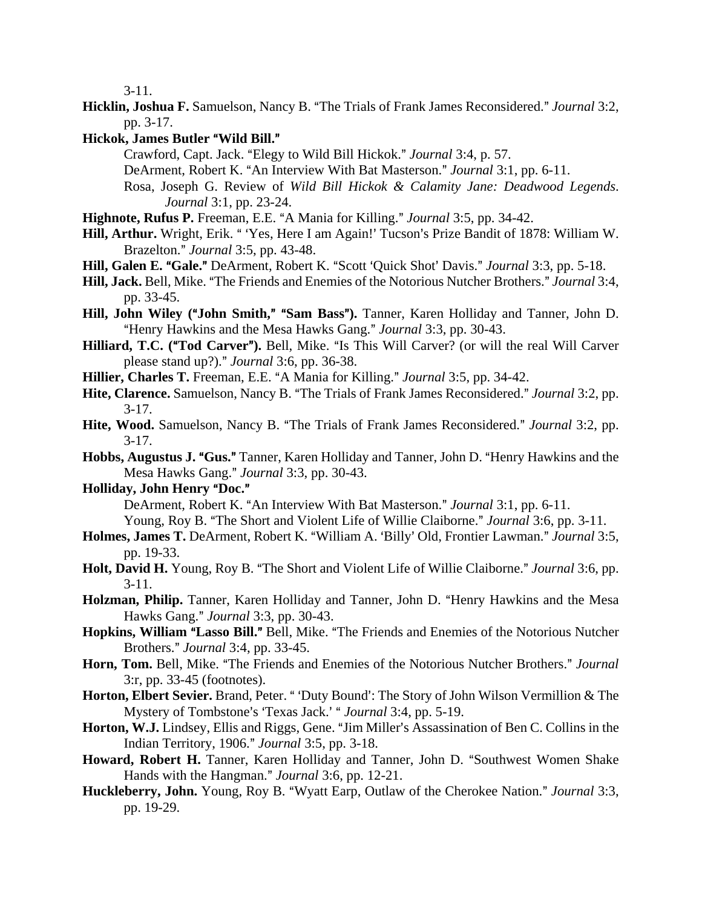3-11.

- **Hicklin, Joshua F.** Samuelson, Nancy B. "The Trials of Frank James Reconsidered." *Journal* 3:2, pp. 3-17.
- **Hickok, James Butler "Wild Bill."** 
	- Crawford, Capt. Jack. "Elegy to Wild Bill Hickok." *Journal* 3:4, p. 57.
	- DeArment, Robert K. "An Interview With Bat Masterson." *Journal* 3:1, pp. 6-11.
	- Rosa, Joseph G. Review of *Wild Bill Hickok & Calamity Jane: Deadwood Legends*. *Journal* 3:1, pp. 23-24.
- **Highnote, Rufus P.** Freeman, E.E. "A Mania for Killing." *Journal* 3:5, pp. 34-42.
- Hill, Arthur. Wright, Erik. "Yes, Here I am Again!' Tucson's Prize Bandit of 1878: William W. Brazelton.@ *Journal* 3:5, pp. 43-48.
- Hill, Galen E. "Gale." DeArment, Robert K. "Scott 'Quick Shot' Davis." *Journal* 3:3, pp. 5-18.
- **Hill, Jack.** Bell, Mike. "The Friends and Enemies of the Notorious Nutcher Brothers." *Journal* 3:4, pp. 33-45.
- Hill, John Wiley ("John Smith," "Sam Bass"). Tanner, Karen Holliday and Tanner, John D. "Henry Hawkins and the Mesa Hawks Gang." *Journal* 3:3, pp. 30-43.
- Hilliard, T.C. ("Tod Carver"). Bell, Mike. "Is This Will Carver? (or will the real Will Carver please stand up?).@ *Journal* 3:6, pp. 36-38.
- **Hillier, Charles T.** Freeman, E.E. "A Mania for Killing." *Journal* 3:5, pp. 34-42.
- Hite, Clarence. Samuelson, Nancy B. "The Trials of Frank James Reconsidered." *Journal* 3:2, pp.  $3-17.$
- **Hite, Wood.** Samuelson, Nancy B. "The Trials of Frank James Reconsidered." *Journal* 3:2, pp.  $3-17.$
- Hobbs, Augustus J. "Gus." Tanner, Karen Holliday and Tanner, John D. "Henry Hawkins and the Mesa Hawks Gang." *Journal* 3:3, pp. 30-43.
- **Holliday, John Henry "Doc."**

DeArment, Robert K. "An Interview With Bat Masterson." *Journal* 3:1, pp. 6-11.

Young, Roy B. "The Short and Violent Life of Willie Claiborne." *Journal* 3:6, pp. 3-11.

- Holmes, James T. DeArment, Robert K. "William A. 'Billy' Old, Frontier Lawman." *Journal* 3:5, pp. 19-33.
- **Holt, David H.** Young, Roy B. "The Short and Violent Life of Willie Claiborne." *Journal* 3:6, pp. 3-11.
- Holzman, Philip. Tanner, Karen Holliday and Tanner, John D. "Henry Hawkins and the Mesa Hawks Gang.@ *Journal* 3:3, pp. 30-43.
- **Hopkins, William "Lasso Bill."** Bell, Mike. "The Friends and Enemies of the Notorious Nutcher Brothers.@ *Journal* 3:4, pp. 33-45.
- Horn, Tom. Bell, Mike. "The Friends and Enemies of the Notorious Nutcher Brothers." Journal 3:r, pp. 33-45 (footnotes).
- Horton, Elbert Sevier. Brand, Peter. " 'Duty Bound': The Story of John Wilson Vermillion & The Mystery of Tombstone's 'Texas Jack.' " *Journal* 3:4, pp. 5-19.
- Horton, W.J. Lindsey, Ellis and Riggs, Gene. "Jim Miller's Assassination of Ben C. Collins in the Indian Territory, 1906.@ *Journal* 3:5, pp. 3-18.
- Howard, Robert H. Tanner, Karen Holliday and Tanner, John D. "Southwest Women Shake Hands with the Hangman." *Journal* 3:6, pp. 12-21.
- Huckleberry, John. Young, Roy B. "Wyatt Earp, Outlaw of the Cherokee Nation." *Journal* 3:3, pp. 19-29.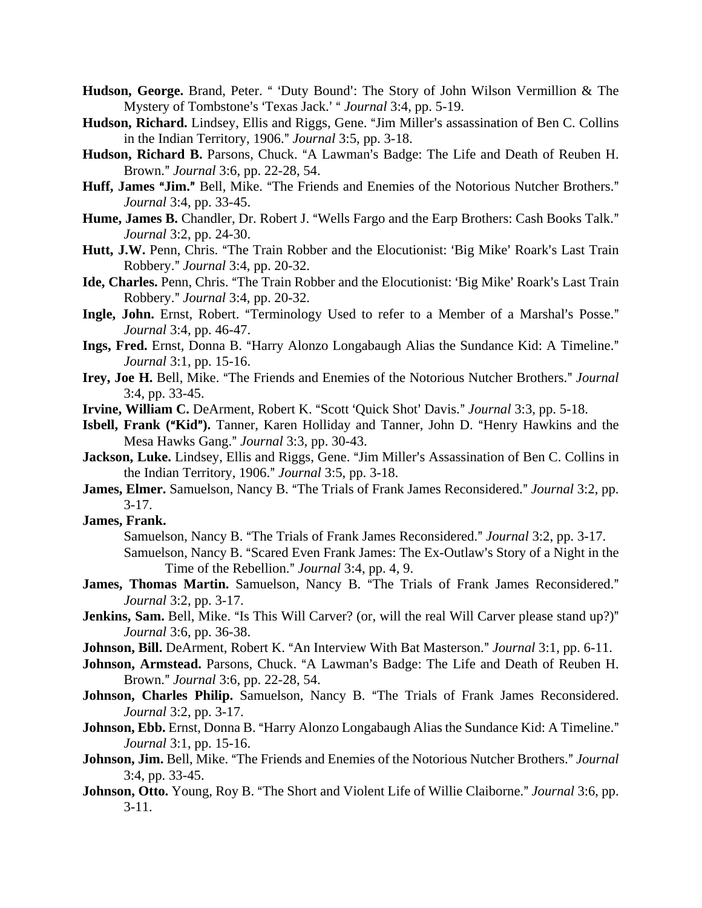- Hudson, George. Brand, Peter. " 'Duty Bound': The Story of John Wilson Vermillion & The Mystery of Tombstone's 'Texas Jack.' " *Journal* 3:4, pp. 5-19.
- Hudson, Richard. Lindsey, Ellis and Riggs, Gene. "Jim Miller's assassination of Ben C. Collins in the Indian Territory, 1906." *Journal* 3:5, pp. 3-18.
- Hudson, Richard B. Parsons, Chuck. "A Lawman's Badge: The Life and Death of Reuben H. Brown.@ *Journal* 3:6, pp. 22-28, 54.
- Huff, James "Jim." Bell, Mike. "The Friends and Enemies of the Notorious Nutcher Brothers." *Journal* 3:4, pp. 33-45.
- Hume, James B. Chandler, Dr. Robert J. "Wells Fargo and the Earp Brothers: Cash Books Talk." *Journal* 3:2, pp. 24-30.
- Hutt, J.W. Penn, Chris. "The Train Robber and the Elocutionist: 'Big Mike' Roark's Last Train Robbery.@ *Journal* 3:4, pp. 20-32.
- Ide, Charles. Penn, Chris. "The Train Robber and the Elocutionist: 'Big Mike' Roark's Last Train Robbery.@ *Journal* 3:4, pp. 20-32.
- Ingle, John. Ernst, Robert. "Terminology Used to refer to a Member of a Marshal's Posse." *Journal* 3:4, pp. 46-47.
- **Ings, Fred.** Ernst, Donna B. "Harry Alonzo Longabaugh Alias the Sundance Kid: A Timeline." *Journal* 3:1, pp. 15-16.
- Irey, Joe H. Bell, Mike. "The Friends and Enemies of the Notorious Nutcher Brothers." Journal 3:4, pp. 33-45.
- **Irvine, William C.** DeArment, Robert K. "Scott 'Quick Shot' Davis." *Journal* 3:3, pp. 5-18.
- **Isbell, Frank ("Kid").** Tanner, Karen Holliday and Tanner, John D. "Henry Hawkins and the Mesa Hawks Gang." *Journal* 3:3, pp. 30-43.
- Jackson, Luke. Lindsey, Ellis and Riggs, Gene. "Jim Miller's Assassination of Ben C. Collins in the Indian Territory, 1906." *Journal* 3:5, pp. 3-18.
- **James, Elmer.** Samuelson, Nancy B. "The Trials of Frank James Reconsidered." *Journal* 3:2, pp.  $3-17.$
- **James, Frank.**
	- Samuelson, Nancy B. "The Trials of Frank James Reconsidered." *Journal* 3:2, pp. 3-17.
	- Samuelson, Nancy B. "Scared Even Frank James: The Ex-Outlaw's Story of a Night in the Time of the Rebellion." *Journal* 3:4, pp. 4, 9.
- James, Thomas Martin. Samuelson, Nancy B. "The Trials of Frank James Reconsidered." *Journal* 3:2, pp. 3-17.
- Jenkins, Sam. Bell, Mike. "Is This Will Carver? (or, will the real Will Carver please stand up?)" *Journal* 3:6, pp. 36-38.
- **Johnson, Bill.** DeArment, Robert K. "An Interview With Bat Masterson." *Journal* 3:1, pp. 6-11.
- Johnson, Armstead. Parsons, Chuck. "A Lawman's Badge: The Life and Death of Reuben H. Brown.@ *Journal* 3:6, pp. 22-28, 54.
- Johnson, Charles Philip. Samuelson, Nancy B. "The Trials of Frank James Reconsidered. *Journal* 3:2, pp. 3-17.
- **Johnson, Ebb.** Ernst, Donna B. "Harry Alonzo Longabaugh Alias the Sundance Kid: A Timeline." *Journal* 3:1, pp. 15-16.
- **Johnson, Jim.** Bell, Mike. "The Friends and Enemies of the Notorious Nutcher Brothers." *Journal* 3:4, pp. 33-45.
- **Johnson, Otto.** Young, Roy B. "The Short and Violent Life of Willie Claiborne." *Journal* 3:6, pp.  $3-11.$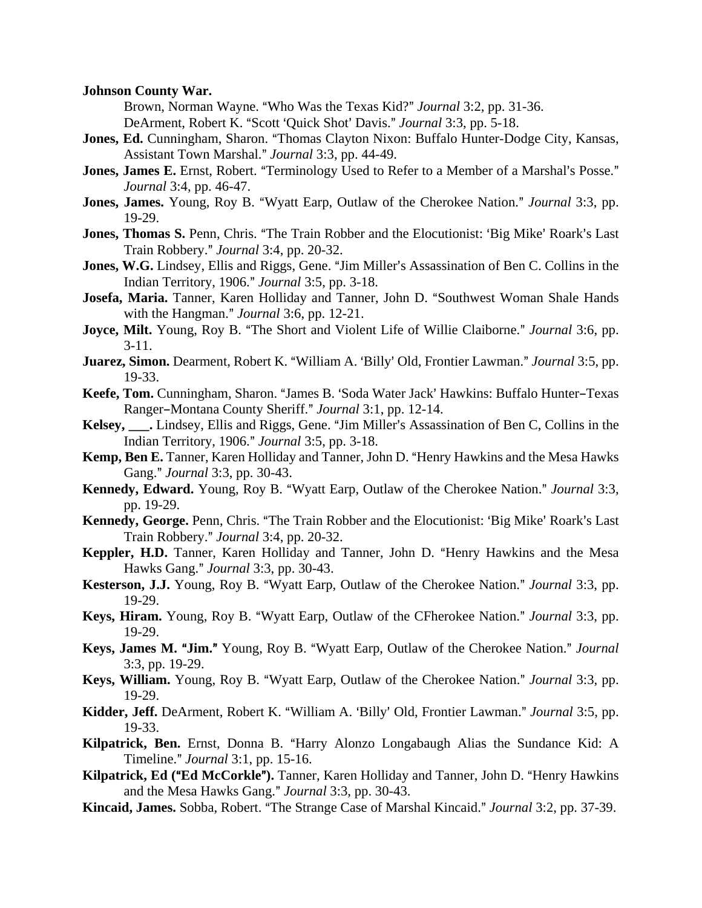#### **Johnson County War.**

Brown, Norman Wayne. "Who Was the Texas Kid?" *Journal* 3:2, pp. 31-36. DeArment, Robert K. "Scott 'Quick Shot' Davis." *Journal* 3:3, pp. 5-18.

- **Jones, Ed.** Cunningham, Sharon. "Thomas Clayton Nixon: Buffalo Hunter-Dodge City, Kansas, Assistant Town Marshal.@ *Journal* 3:3, pp. 44-49.
- **Jones, James E.** Ernst, Robert. "Terminology Used to Refer to a Member of a Marshal's Posse." *Journal* 3:4, pp. 46-47.
- **Jones, James.** Young, Roy B. "Wyatt Earp, Outlaw of the Cherokee Nation." *Journal* 3:3, pp. 19-29.
- **Jones, Thomas S.** Penn, Chris. "The Train Robber and the Elocutionist: 'Big Mike' Roark's Last Train Robbery.@ *Journal* 3:4, pp. 20-32.
- **Jones, W.G.** Lindsey, Ellis and Riggs, Gene. "Jim Miller's Assassination of Ben C. Collins in the Indian Territory, 1906.@ *Journal* 3:5, pp. 3-18.
- Josefa, Maria. Tanner, Karen Holliday and Tanner, John D. "Southwest Woman Shale Hands with the Hangman." *Journal* 3:6, pp. 12-21.
- **Joyce, Milt.** Young, Roy B. "The Short and Violent Life of Willie Claiborne." *Journal* 3:6, pp. 3-11.
- **Juarez, Simon.** Dearment, Robert K. "William A. 'Billy' Old, Frontier Lawman." *Journal* 3:5, pp. 19-33.
- Keefe, Tom. Cunningham, Sharon. "James B. 'Soda Water Jack' Hawkins: Buffalo Hunter-Texas Ranger-Montana County Sheriff." Journal 3:1, pp. 12-14.
- Kelsey, . Lindsey, Ellis and Riggs, Gene. "Jim Miller's Assassination of Ben C, Collins in the Indian Territory, 1906.@ *Journal* 3:5, pp. 3-18.
- Kemp, Ben E. Tanner, Karen Holliday and Tanner, John D. "Henry Hawkins and the Mesa Hawks Gang." *Journal* 3:3, pp. 30-43.
- Kennedy, Edward. Young, Roy B. "Wyatt Earp, Outlaw of the Cherokee Nation." *Journal* 3:3, pp. 19-29.
- Kennedy, George. Penn, Chris. "The Train Robber and the Elocutionist: 'Big Mike' Roark's Last Train Robbery.@ *Journal* 3:4, pp. 20-32.
- Keppler, H.D. Tanner, Karen Holliday and Tanner, John D. "Henry Hawkins and the Mesa Hawks Gang.@ *Journal* 3:3, pp. 30-43.
- **Kesterson, J.J.** Young, Roy B. "Wyatt Earp, Outlaw of the Cherokee Nation." *Journal* 3:3, pp. 19-29.
- **Keys, Hiram.** Young, Roy B. "Wyatt Earp, Outlaw of the CFherokee Nation." *Journal* 3:3, pp. 19-29.
- Keys, James M. "Jim." Young, Roy B. "Wyatt Earp, Outlaw of the Cherokee Nation." Journal 3:3, pp. 19-29.
- **Keys, William.** Young, Roy B. "Wyatt Earp, Outlaw of the Cherokee Nation." *Journal* 3:3, pp. 19-29.
- Kidder, Jeff. DeArment, Robert K. "William A. 'Billy' Old, Frontier Lawman." *Journal* 3:5, pp. 19-33.
- Kilpatrick, Ben. Ernst, Donna B. "Harry Alonzo Longabaugh Alias the Sundance Kid: A Timeline.@ *Journal* 3:1, pp. 15-16.
- Kilpatrick, Ed ("Ed McCorkle"). Tanner, Karen Holliday and Tanner, John D. "Henry Hawkins and the Mesa Hawks Gang." *Journal* 3:3, pp. 30-43.
- Kincaid, James. Sobba, Robert. "The Strange Case of Marshal Kincaid." *Journal* 3:2, pp. 37-39.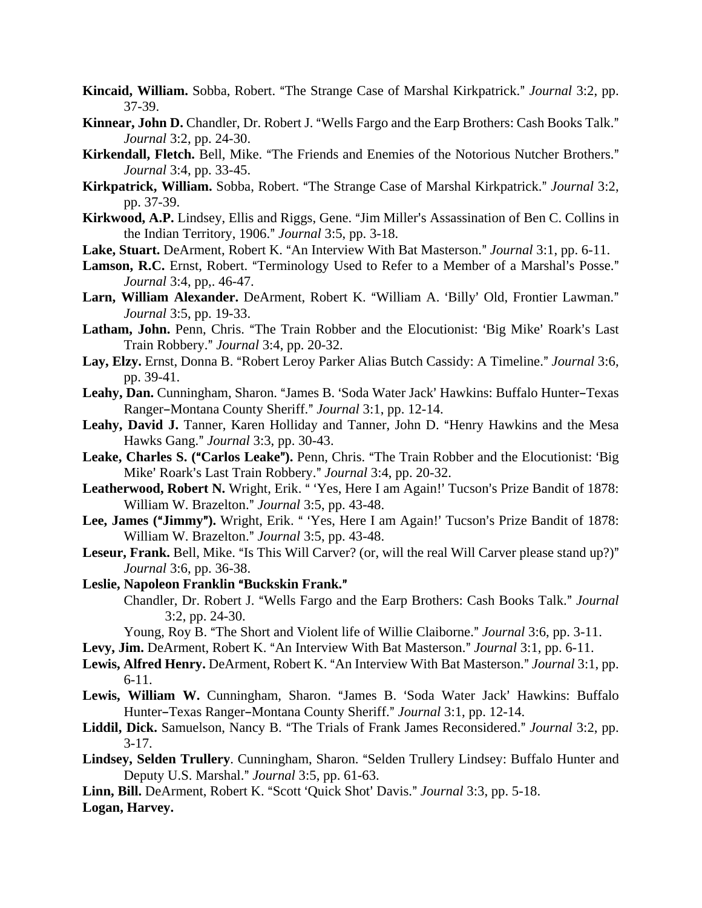- **Kincaid, William.** Sobba, Robert. "The Strange Case of Marshal Kirkpatrick." *Journal* 3:2, pp. 37-39.
- Kinnear, John D. Chandler, Dr. Robert J. "Wells Fargo and the Earp Brothers: Cash Books Talk." *Journal* 3:2, pp. 24-30.
- Kirkendall, Fletch. Bell, Mike. "The Friends and Enemies of the Notorious Nutcher Brothers." *Journal* 3:4, pp. 33-45.
- Kirkpatrick, William. Sobba, Robert. "The Strange Case of Marshal Kirkpatrick." Journal 3:2, pp. 37-39.
- Kirkwood, A.P. Lindsey, Ellis and Riggs, Gene. "Jim Miller's Assassination of Ben C. Collins in the Indian Territory, 1906." *Journal* 3:5, pp. 3-18.
- **Lake, Stuart.** DeArment, Robert K. "An Interview With Bat Masterson." *Journal* 3:1, pp. 6-11.
- Lamson, R.C. Ernst, Robert. "Terminology Used to Refer to a Member of a Marshal's Posse." *Journal* 3:4, pp,. 46-47.
- Larn, William Alexander. DeArment, Robert K. "William A. 'Billy' Old, Frontier Lawman." *Journal* 3:5, pp. 19-33.
- Latham, John. Penn, Chris. "The Train Robber and the Elocutionist: 'Big Mike' Roark's Last Train Robbery.@ *Journal* 3:4, pp. 20-32.
- Lay, Elzy. Ernst, Donna B. "Robert Leroy Parker Alias Butch Cassidy: A Timeline." Journal 3:6, pp. 39-41.
- Leahy, Dan. Cunningham, Sharon. "James B. 'Soda Water Jack' Hawkins: Buffalo Hunter-Texas Ranger-Montana County Sheriff." *Journal* 3:1, pp. 12-14.
- Leahy, David J. Tanner, Karen Holliday and Tanner, John D. "Henry Hawkins and the Mesa Hawks Gang." *Journal* 3:3, pp. 30-43.
- Leake, Charles S. ("Carlos Leake"). Penn, Chris. "The Train Robber and the Elocutionist: 'Big Mike' Roark's Last Train Robbery." *Journal* 3:4, pp. 20-32.
- Leatherwood, Robert N. Wright, Erik. "Yes, Here I am Again!' Tucson's Prize Bandit of 1878: William W. Brazelton." *Journal* 3:5, pp. 43-48.
- Lee, James ("Jimmy"). Wright, Erik. "Yes, Here I am Again!' Tucson's Prize Bandit of 1878: William W. Brazelton." *Journal* 3:5, pp. 43-48.
- **Leseur, Frank.** Bell, Mike. "Is This Will Carver? (or, will the real Will Carver please stand up?)" *Journal* 3:6, pp. 36-38.

Leslie, Napoleon Franklin "Buckskin Frank."

Chandler, Dr. Robert J. "Wells Fargo and the Earp Brothers: Cash Books Talk." Journal 3:2, pp. 24-30.

Young, Roy B. "The Short and Violent life of Willie Claiborne." *Journal* 3:6, pp. 3-11.

- Levy, Jim. DeArment, Robert K. "An Interview With Bat Masterson." *Journal* 3:1, pp. 6-11.
- Lewis, Alfred Henry. DeArment, Robert K. "An Interview With Bat Masterson." *Journal* 3:1, pp. 6-11.
- Lewis, William W. Cunningham, Sharon. "James B. 'Soda Water Jack' Hawkins: Buffalo Hunter-Texas Ranger-Montana County Sheriff." *Journal* 3:1, pp. 12-14.
- Liddil, Dick. Samuelson, Nancy B. "The Trials of Frank James Reconsidered." *Journal* 3:2, pp.  $3-17.$
- Lindsey, Selden Trullery. Cunningham, Sharon. "Selden Trullery Lindsey: Buffalo Hunter and Deputy U.S. Marshal.@ *Journal* 3:5, pp. 61-63.

Linn, Bill. DeArment, Robert K. "Scott 'Quick Shot' Davis." *Journal* 3:3, pp. 5-18. **Logan, Harvey.**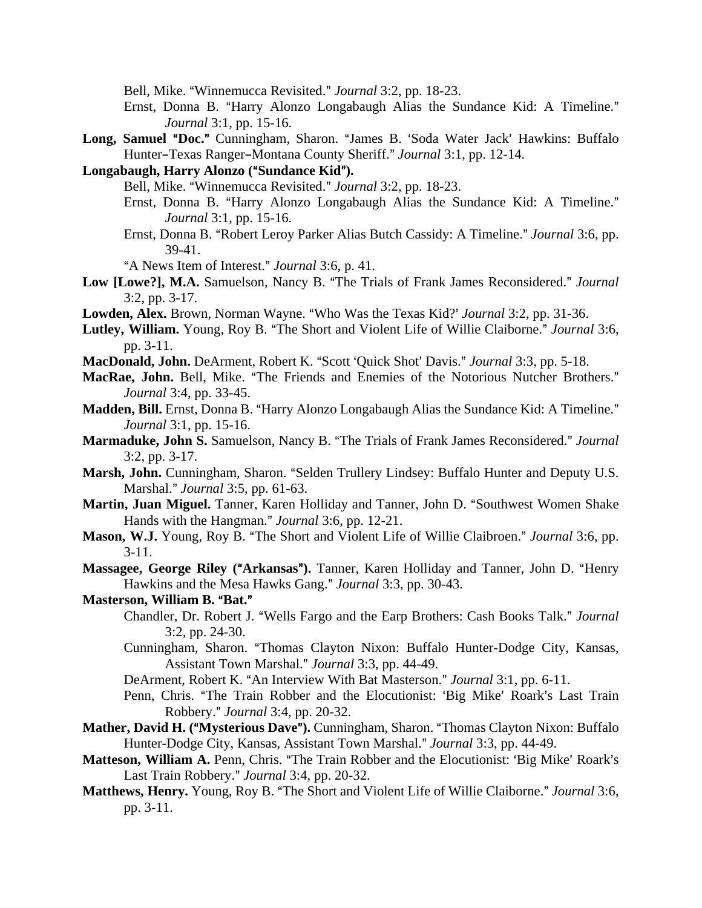Bell, Mike. "Winnemucca Revisited." *Journal* 3:2, pp. 18-23.

- Ernst, Donna B. "Harry Alonzo Longabaugh Alias the Sundance Kid: A Timeline." *Journal* 3:1, pp. 15-16.
- Long, Samuel "Doc." Cunningham, Sharon. "James B. 'Soda Water Jack' Hawkins: Buffalo Hunter-Texas Ranger-Montana County Sheriff." *Journal* 3:1, pp. 12-14.
- Longabaugh, Harry Alonzo ("Sundance Kid").
	- Bell, Mike. "Winnemucca Revisited." *Journal* 3:2, pp. 18-23.
	- Ernst, Donna B. "Harry Alonzo Longabaugh Alias the Sundance Kid: A Timeline." *Journal* 3:1, pp. 15-16.
	- Ernst, Donna B. "Robert Leroy Parker Alias Butch Cassidy: A Timeline." *Journal* 3:6, pp. 39-41.
	- "A News Item of Interest." *Journal* 3:6, p. 41.
- Low [Lowe?], M.A. Samuelson, Nancy B. "The Trials of Frank James Reconsidered." Journal 3:2, pp. 3-17.
- **Lowden, Alex.** Brown, Norman Wayne. "Who Was the Texas Kid?' *Journal* 3:2, pp. 31-36.
- Lutley, William. Young, Roy B. "The Short and Violent Life of Willie Claiborne." *Journal* 3:6, pp. 3-11.
- **MacDonald, John.** DeArment, Robert K. "Scott 'Quick Shot' Davis." *Journal* 3:3, pp. 5-18.
- MacRae, John. Bell, Mike. "The Friends and Enemies of the Notorious Nutcher Brothers." *Journal* 3:4, pp. 33-45.
- Madden, Bill. Ernst, Donna B. "Harry Alonzo Longabaugh Alias the Sundance Kid: A Timeline." *Journal* 3:1, pp. 15-16.
- **Marmaduke, John S.** Samuelson, Nancy B. "The Trials of Frank James Reconsidered." Journal 3:2, pp. 3-17.
- Marsh, John. Cunningham, Sharon. "Selden Trullery Lindsey: Buffalo Hunter and Deputy U.S. Marshal.@ *Journal* 3:5, pp. 61-63.
- Martin, Juan Miguel. Tanner, Karen Holliday and Tanner, John D. "Southwest Women Shake Hands with the Hangman." *Journal* 3:6, pp. 12-21.
- **Mason, W.J.** Young, Roy B. "The Short and Violent Life of Willie Claibroen." *Journal* 3:6, pp. 3-11.
- Massagee, George Riley ("Arkansas"). Tanner, Karen Holliday and Tanner, John D. "Henry Hawkins and the Mesa Hawks Gang." *Journal* 3:3, pp. 30-43.
- **Masterson, William B. "Bat."** 
	- Chandler, Dr. Robert J. "Wells Fargo and the Earp Brothers: Cash Books Talk." *Journal* 3:2, pp. 24-30.
	- Cunningham, Sharon. "Thomas Clayton Nixon: Buffalo Hunter-Dodge City, Kansas, Assistant Town Marshal.@ *Journal* 3:3, pp. 44-49.
	- DeArment, Robert K. "An Interview With Bat Masterson." *Journal* 3:1, pp. 6-11.
	- Penn, Chris. "The Train Robber and the Elocutionist: 'Big Mike' Roark's Last Train Robbery.@ *Journal* 3:4, pp. 20-32.
- **Mather, David H. ("Mysterious Dave").** Cunningham, Sharon. "Thomas Clayton Nixon: Buffalo Hunter-Dodge City, Kansas, Assistant Town Marshal." *Journal* 3:3, pp. 44-49.
- Matteson, William A. Penn, Chris. "The Train Robber and the Elocutionist: 'Big Mike' Roark's Last Train Robbery." *Journal* 3:4, pp. 20-32.
- Matthews, Henry. Young, Roy B. "The Short and Violent Life of Willie Claiborne." Journal 3:6, pp. 3-11.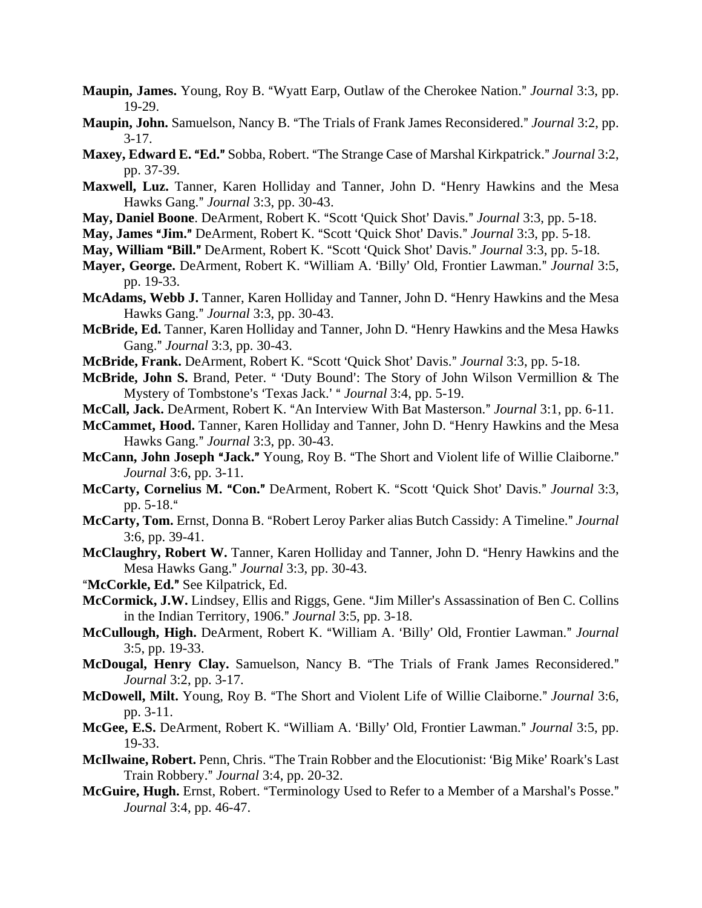- **Maupin, James.** Young, Roy B. "Wyatt Earp, Outlaw of the Cherokee Nation." *Journal* 3:3, pp. 19-29.
- Maupin, John. Samuelson, Nancy B. "The Trials of Frank James Reconsidered." *Journal* 3:2, pp.  $3-17.$
- **Maxey, Edward E. "Ed."** Sobba, Robert. "The Strange Case of Marshal Kirkpatrick." Journal 3:2, pp. 37-39.
- Maxwell, Luz. Tanner, Karen Holliday and Tanner, John D. "Henry Hawkins and the Mesa Hawks Gang.@ *Journal* 3:3, pp. 30-43.
- May, Daniel Boone. DeArment, Robert K. "Scott 'Quick Shot' Davis." Journal 3:3, pp. 5-18.
- **May, James "Jim."** DeArment, Robert K. "Scott 'Ouick Shot' Davis." *Journal* 3:3, pp. 5-18.
- **May, William "Bill."** DeArment, Robert K. "Scott 'Quick Shot' Davis." *Journal* 3:3, pp. 5-18.
- Mayer, George. DeArment, Robert K. "William A. 'Billy' Old, Frontier Lawman." *Journal* 3:5, pp. 19-33.
- McAdams, Webb J. Tanner, Karen Holliday and Tanner, John D. "Henry Hawkins and the Mesa Hawks Gang." *Journal* 3:3, pp. 30-43.
- McBride, Ed. Tanner, Karen Holliday and Tanner, John D. "Henry Hawkins and the Mesa Hawks Gang." *Journal* 3:3, pp. 30-43.
- **McBride, Frank.** DeArment, Robert K. "Scott 'Quick Shot' Davis." *Journal* 3:3, pp. 5-18.
- McBride, John S. Brand, Peter. " 'Duty Bound': The Story of John Wilson Vermillion & The Mystery of Tombstone's 'Texas Jack.' " *Journal* 3:4, pp. 5-19.
- McCall, Jack. DeArment, Robert K. "An Interview With Bat Masterson." *Journal* 3:1, pp. 6-11.
- McCammet, Hood. Tanner, Karen Holliday and Tanner, John D. "Henry Hawkins and the Mesa Hawks Gang." *Journal* 3:3, pp. 30-43.
- **McCann, John Joseph "Jack."** Young, Roy B. "The Short and Violent life of Willie Claiborne." *Journal* 3:6, pp. 3-11.
- McCarty, Cornelius M. "Con." DeArment, Robert K. "Scott 'Quick Shot' Davis." Journal 3:3, pp.  $5-18.$ "
- McCarty, Tom. Ernst, Donna B. "Robert Leroy Parker alias Butch Cassidy: A Timeline." Journal 3:6, pp. 39-41.
- McClaughry, Robert W. Tanner, Karen Holliday and Tanner, John D. "Henry Hawkins and the Mesa Hawks Gang." *Journal* 3:3, pp. 30-43.
- "McCorkle, Ed." See Kilpatrick, Ed.
- McCormick, J.W. Lindsey, Ellis and Riggs, Gene. "Jim Miller's Assassination of Ben C. Collins in the Indian Territory, 1906." *Journal* 3:5, pp. 3-18.
- McCullough, High. DeArment, Robert K. "William A. 'Billy' Old, Frontier Lawman." *Journal* 3:5, pp. 19-33.
- McDougal, Henry Clay. Samuelson, Nancy B. "The Trials of Frank James Reconsidered." *Journal* 3:2, pp. 3-17.
- **McDowell, Milt.** Young, Roy B. "The Short and Violent Life of Willie Claiborne." *Journal* 3:6, pp. 3-11.
- **McGee, E.S.** DeArment, Robert K. "William A. 'Billy' Old, Frontier Lawman." *Journal* 3:5, pp. 19-33.
- **McIlwaine, Robert.** Penn, Chris. "The Train Robber and the Elocutionist: 'Big Mike' Roark's Last Train Robbery.@ *Journal* 3:4, pp. 20-32.
- McGuire, Hugh. Ernst, Robert. "Terminology Used to Refer to a Member of a Marshal's Posse." *Journal* 3:4, pp. 46-47.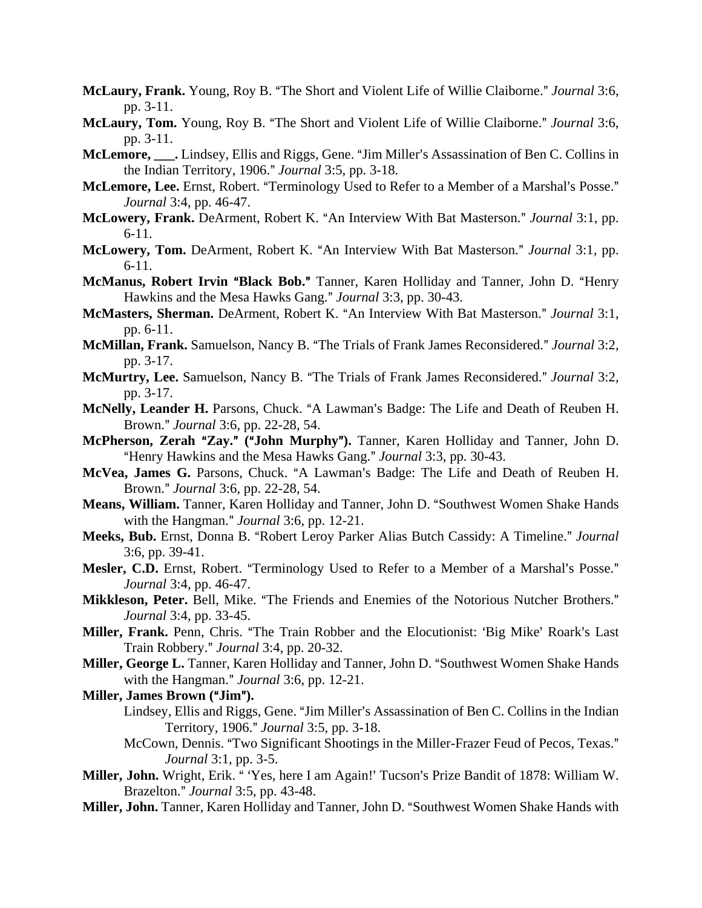- McLaury, Frank. Young, Roy B. "The Short and Violent Life of Willie Claiborne." *Journal* 3:6, pp. 3-11.
- McLaury, Tom. Young, Roy B. "The Short and Violent Life of Willie Claiborne." *Journal* 3:6, pp. 3-11.
- McLemore, \_\_\_. Lindsey, Ellis and Riggs, Gene. "Jim Miller's Assassination of Ben C. Collins in the Indian Territory, 1906." *Journal* 3:5, pp. 3-18.
- McLemore, Lee. Ernst, Robert. "Terminology Used to Refer to a Member of a Marshal's Posse." *Journal* 3:4, pp. 46-47.
- McLowery, Frank. DeArment, Robert K. "An Interview With Bat Masterson." *Journal* 3:1, pp. 6-11.
- McLowery, Tom. DeArment, Robert K. "An Interview With Bat Masterson." *Journal* 3:1, pp. 6-11.
- **McManus, Robert Irvin "Black Bob."** Tanner, Karen Holliday and Tanner, John D. "Henry Hawkins and the Mesa Hawks Gang." *Journal* 3:3, pp. 30-43.
- McMasters, Sherman. DeArment, Robert K. "An Interview With Bat Masterson." Journal 3:1, pp. 6-11.
- **McMillan, Frank.** Samuelson, Nancy B. "The Trials of Frank James Reconsidered." Journal 3:2, pp. 3-17.
- McMurtry, Lee. Samuelson, Nancy B. "The Trials of Frank James Reconsidered." *Journal* 3:2, pp. 3-17.
- McNelly, Leander H. Parsons, Chuck. "A Lawman's Badge: The Life and Death of Reuben H. Brown.@ *Journal* 3:6, pp. 22-28, 54.
- McPherson, Zerah "Zay." ("John Murphy"). Tanner, Karen Holliday and Tanner, John D. "Henry Hawkins and the Mesa Hawks Gang." *Journal* 3:3, pp. 30-43.
- McVea, James G. Parsons, Chuck. "A Lawman's Badge: The Life and Death of Reuben H. Brown.@ *Journal* 3:6, pp. 22-28, 54.
- Means, William. Tanner, Karen Holliday and Tanner, John D. "Southwest Women Shake Hands with the Hangman." *Journal* 3:6, pp. 12-21.
- Meeks, Bub. Ernst, Donna B. "Robert Leroy Parker Alias Butch Cassidy: A Timeline." *Journal* 3:6, pp. 39-41.
- Mesler, C.D. Ernst, Robert. "Terminology Used to Refer to a Member of a Marshal's Posse." *Journal* 3:4, pp. 46-47.
- Mikkleson, Peter. Bell, Mike. "The Friends and Enemies of the Notorious Nutcher Brothers." *Journal* 3:4, pp. 33-45.
- Miller, Frank. Penn, Chris. "The Train Robber and the Elocutionist: 'Big Mike' Roark's Last Train Robbery." *Journal* 3:4, pp. 20-32.
- Miller, George L. Tanner, Karen Holliday and Tanner, John D. "Southwest Women Shake Hands with the Hangman." *Journal* 3:6, pp. 12-21.
- **Miller, James Brown ("Jim").** 
	- Lindsey, Ellis and Riggs, Gene. "Jim Miller's Assassination of Ben C. Collins in the Indian Territory, 1906.@ *Journal* 3:5, pp. 3-18.
	- McCown, Dennis. "Two Significant Shootings in the Miller-Frazer Feud of Pecos, Texas." *Journal* 3:1, pp. 3-5.
- Miller, John. Wright, Erik. "Yes, here I am Again!' Tucson's Prize Bandit of 1878: William W. Brazelton.@ *Journal* 3:5, pp. 43-48.
- Miller, John. Tanner, Karen Holliday and Tanner, John D. "Southwest Women Shake Hands with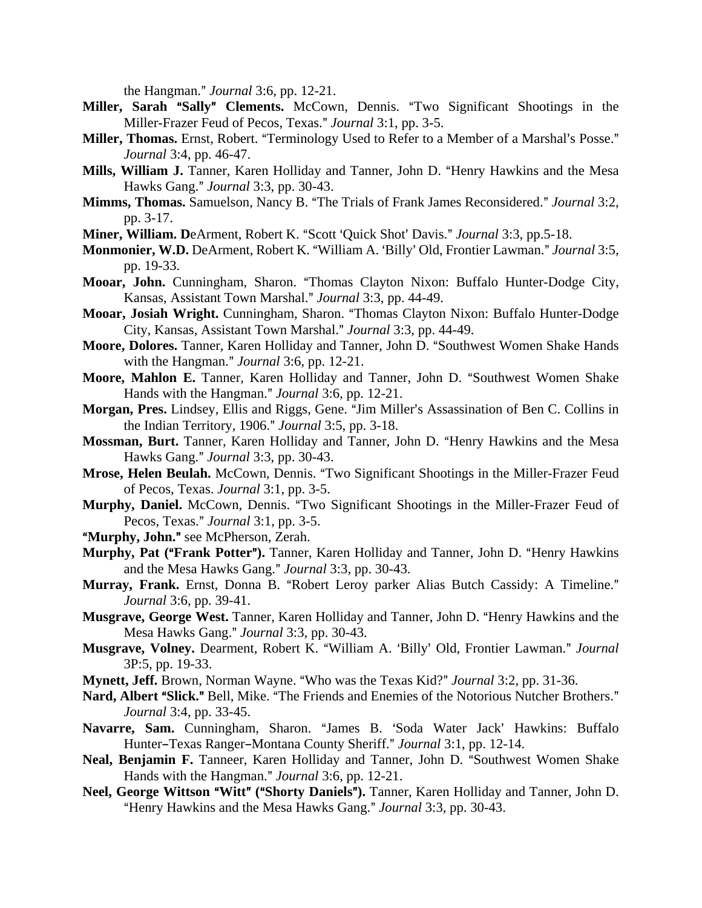the Hangman." *Journal* 3:6, pp. 12-21.

- Miller, Sarah "Sally" Clements. McCown, Dennis. "Two Significant Shootings in the Miller-Frazer Feud of Pecos, Texas." *Journal* 3:1, pp. 3-5.
- **Miller, Thomas.** Ernst, Robert. "Terminology Used to Refer to a Member of a Marshal's Posse." *Journal* 3:4, pp. 46-47.
- Mills, William J. Tanner, Karen Holliday and Tanner, John D. "Henry Hawkins and the Mesa Hawks Gang." *Journal* 3:3, pp. 30-43.
- **Mimms, Thomas.** Samuelson, Nancy B. "The Trials of Frank James Reconsidered." *Journal* 3:2, pp. 3-17.
- **Miner, William. DeArment, Robert K. "Scott 'Quick Shot' Davis."** *Journal* **3:3, pp.5-18.**
- Monmonier, W.D. DeArment, Robert K. "William A. 'Billy' Old, Frontier Lawman." Journal 3:5, pp. 19-33.
- Mooar, John. Cunningham, Sharon. "Thomas Clayton Nixon: Buffalo Hunter-Dodge City, Kansas, Assistant Town Marshal.@ *Journal* 3:3, pp. 44-49.
- Mooar, Josiah Wright. Cunningham, Sharon. "Thomas Clayton Nixon: Buffalo Hunter-Dodge City, Kansas, Assistant Town Marshal.@ *Journal* 3:3, pp. 44-49.
- Moore, Dolores. Tanner, Karen Holliday and Tanner, John D. "Southwest Women Shake Hands with the Hangman." *Journal* 3:6, pp. 12-21.
- Moore, Mahlon E. Tanner, Karen Holliday and Tanner, John D. "Southwest Women Shake Hands with the Hangman." *Journal* 3:6, pp. 12-21.
- Morgan, Pres. Lindsey, Ellis and Riggs, Gene. "Jim Miller's Assassination of Ben C. Collins in the Indian Territory, 1906." *Journal* 3:5, pp. 3-18.
- Mossman, Burt. Tanner, Karen Holliday and Tanner, John D. "Henry Hawkins and the Mesa Hawks Gang." *Journal* 3:3, pp. 30-43.
- **Mrose, Helen Beulah.** McCown, Dennis. "Two Significant Shootings in the Miller-Frazer Feud of Pecos, Texas. *Journal* 3:1, pp. 3-5.
- Murphy, Daniel. McCown, Dennis. "Two Significant Shootings in the Miller-Frazer Feud of Pecos, Texas." *Journal* 3:1, pp. 3-5.
- "Murphy, John." see McPherson, Zerah.
- **Murphy, Pat ("Frank Potter").** Tanner, Karen Holliday and Tanner, John D. "Henry Hawkins and the Mesa Hawks Gang." *Journal* 3:3, pp. 30-43.
- Murray, Frank. Ernst, Donna B. "Robert Leroy parker Alias Butch Cassidy: A Timeline." *Journal* 3:6, pp. 39-41.
- **Musgrave, George West.** Tanner, Karen Holliday and Tanner, John D. "Henry Hawkins and the Mesa Hawks Gang." *Journal* 3:3, pp. 30-43.
- Musgrave, Volney. Dearment, Robert K. "William A. 'Billy' Old, Frontier Lawman." *Journal* 3P:5, pp. 19-33.
- **Mynett, Jeff.** Brown, Norman Wayne. "Who was the Texas Kid?" *Journal* 3:2, pp. 31-36.
- Nard, Albert "Slick." Bell, Mike. "The Friends and Enemies of the Notorious Nutcher Brothers." *Journal* 3:4, pp. 33-45.
- Navarre, Sam. Cunningham, Sharon. "James B. 'Soda Water Jack' Hawkins: Buffalo Hunter-Texas Ranger-Montana County Sheriff." *Journal* 3:1, pp. 12-14.
- Neal, Benjamin F. Tanneer, Karen Holliday and Tanner, John D. "Southwest Women Shake Hands with the Hangman." *Journal* 3:6, pp. 12-21.
- **Neel, George Wittson "Witt" ("Shorty Daniels").** Tanner, Karen Holliday and Tanner, John D. "Henry Hawkins and the Mesa Hawks Gang." *Journal* 3:3, pp. 30-43.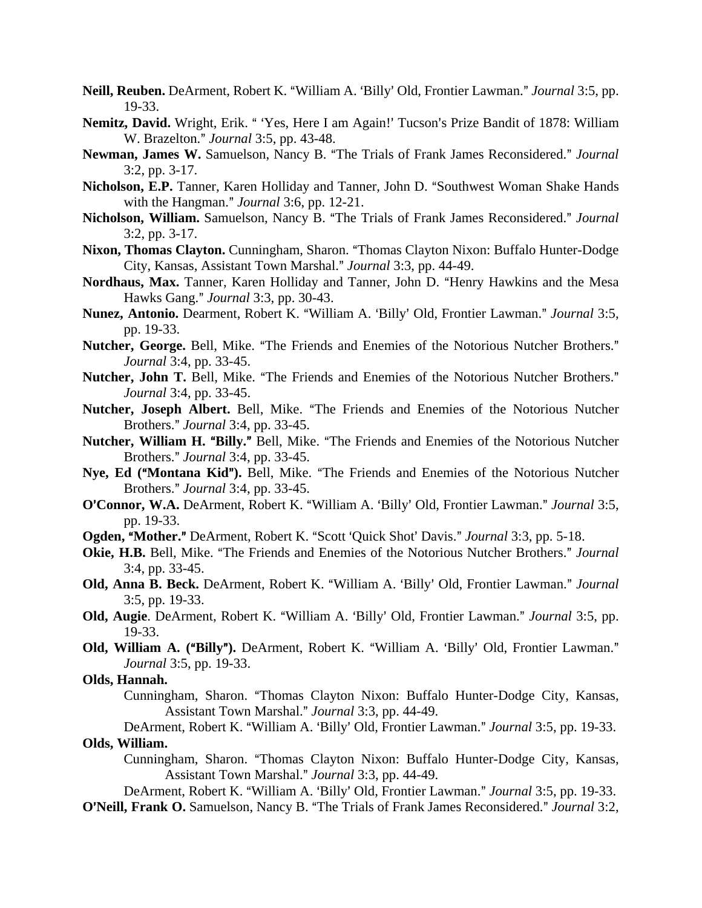- Neill, Reuben. DeArment, Robert K. "William A. 'Billy' Old, Frontier Lawman." *Journal* 3:5, pp. 19-33.
- Nemitz, David. Wright, Erik. "Yes, Here I am Again!' Tucson's Prize Bandit of 1878: William W. Brazelton." *Journal* 3:5, pp. 43-48.
- Newman, James W. Samuelson, Nancy B. "The Trials of Frank James Reconsidered." *Journal* 3:2, pp. 3-17.
- Nicholson, E.P. Tanner, Karen Holliday and Tanner, John D. "Southwest Woman Shake Hands with the Hangman." *Journal* 3:6, pp. 12-21.
- Nicholson, William. Samuelson, Nancy B. "The Trials of Frank James Reconsidered." Journal 3:2, pp. 3-17.
- Nixon, Thomas Clayton. Cunningham, Sharon. "Thomas Clayton Nixon: Buffalo Hunter-Dodge City, Kansas, Assistant Town Marshal.@ *Journal* 3:3, pp. 44-49.
- Nordhaus, Max. Tanner, Karen Holliday and Tanner, John D. "Henry Hawkins and the Mesa Hawks Gang." *Journal* 3:3, pp. 30-43.
- Nunez, Antonio. Dearment, Robert K. "William A. 'Billy' Old, Frontier Lawman." *Journal* 3:5, pp. 19-33.
- Nutcher, George. Bell, Mike. "The Friends and Enemies of the Notorious Nutcher Brothers." *Journal* 3:4, pp. 33-45.
- Nutcher, John T. Bell, Mike. "The Friends and Enemies of the Notorious Nutcher Brothers." *Journal* 3:4, pp. 33-45.
- Nutcher, Joseph Albert. Bell, Mike. "The Friends and Enemies of the Notorious Nutcher Brothers.@ *Journal* 3:4, pp. 33-45.
- Nutcher, William H. "Billy." Bell, Mike. "The Friends and Enemies of the Notorious Nutcher Brothers.@ *Journal* 3:4, pp. 33-45.
- Nye, Ed ("Montana Kid"). Bell, Mike. "The Friends and Enemies of the Notorious Nutcher Brothers.@ *Journal* 3:4, pp. 33-45.
- **O'Connor, W.A.** DeArment, Robert K. "William A. 'Billy' Old, Frontier Lawman." *Journal* 3:5, pp. 19-33.
- **Ogden, "Mother."** DeArment, Robert K. "Scott 'Ouick Shot' Davis." *Journal* 3:3, pp. 5-18.
- **Okie, H.B.** Bell, Mike. "The Friends and Enemies of the Notorious Nutcher Brothers." *Journal* 3:4, pp. 33-45.
- Old, Anna B. Beck. DeArment, Robert K. "William A. 'Billy' Old, Frontier Lawman." Journal 3:5, pp. 19-33.
- Old, Augie. DeArment, Robert K. "William A. 'Billy' Old, Frontier Lawman." *Journal* 3:5, pp. 19-33.
- **Old, William A. ("Billy").** DeArment, Robert K. "William A. 'Billy' Old, Frontier Lawman." *Journal* 3:5, pp. 19-33.

# **Olds, Hannah.**

Cunningham, Sharon. "Thomas Clayton Nixon: Buffalo Hunter-Dodge City, Kansas, Assistant Town Marshal.@ *Journal* 3:3, pp. 44-49.

# DeArment, Robert K. "William A. 'Billy' Old, Frontier Lawman." *Journal* 3:5, pp. 19-33. **Olds, William.**

Cunningham, Sharon. "Thomas Clayton Nixon: Buffalo Hunter-Dodge City, Kansas, Assistant Town Marshal.@ *Journal* 3:3, pp. 44-49.

DeArment, Robert K. "William A. 'Billy' Old, Frontier Lawman." *Journal* 3:5, pp. 19-33.

**O'Neill, Frank O.** Samuelson, Nancy B. "The Trials of Frank James Reconsidered." Journal 3:2,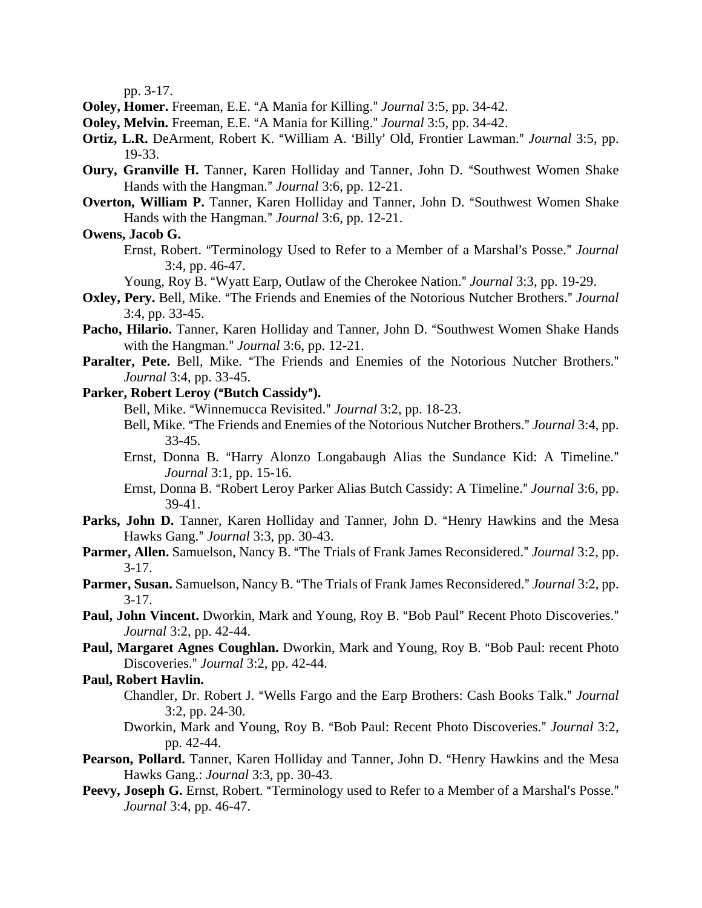pp. 3-17.

- **Ooley, Homer.** Freeman, E.E. "A Mania for Killing." *Journal* 3:5, pp. 34-42.
- **Ooley, Melvin.** Freeman, E.E. "A Mania for Killing." *Journal* 3:5, pp. 34-42.
- **Ortiz, L.R.** DeArment, Robert K. "William A. 'Billy' Old, Frontier Lawman." *Journal* 3:5, pp. 19-33.
- **Oury, Granville H.** Tanner, Karen Holliday and Tanner, John D. "Southwest Women Shake Hands with the Hangman." *Journal* 3:6, pp. 12-21.
- **Overton, William P.** Tanner, Karen Holliday and Tanner, John D. "Southwest Women Shake Hands with the Hangman." *Journal* 3:6, pp. 12-21.

## **Owens, Jacob G.**

Ernst, Robert. "Terminology Used to Refer to a Member of a Marshal's Posse." *Journal* 3:4, pp. 46-47.

Young, Roy B. "Wyatt Earp, Outlaw of the Cherokee Nation." *Journal* 3:3, pp. 19-29.

- **Oxley, Pery.** Bell, Mike. "The Friends and Enemies of the Notorious Nutcher Brothers." *Journal* 3:4, pp. 33-45.
- Pacho, Hilario. Tanner, Karen Holliday and Tanner, John D. "Southwest Women Shake Hands with the Hangman." *Journal* 3:6, pp. 12-21.
- Paralter, Pete. Bell, Mike. "The Friends and Enemies of the Notorious Nutcher Brothers." *Journal* 3:4, pp. 33-45.
- **Parker, Robert Leroy ("Butch Cassidy").** 
	- Bell, Mike. "Winnemucca Revisited." *Journal* 3:2, pp. 18-23.
	- Bell, Mike. "The Friends and Enemies of the Notorious Nutcher Brothers." *Journal* 3:4, pp. 33-45.
	- Ernst, Donna B. "Harry Alonzo Longabaugh Alias the Sundance Kid: A Timeline." *Journal* 3:1, pp. 15-16.
	- Ernst, Donna B. "Robert Leroy Parker Alias Butch Cassidy: A Timeline." *Journal* 3:6, pp. 39-41.
- Parks, John D. Tanner, Karen Holliday and Tanner, John D. "Henry Hawkins and the Mesa Hawks Gang." *Journal* 3:3, pp. 30-43.
- **Parmer, Allen.** Samuelson, Nancy B. "The Trials of Frank James Reconsidered." *Journal* 3:2, pp.  $3-17.$
- Parmer, Susan. Samuelson, Nancy B. "The Trials of Frank James Reconsidered." *Journal* 3:2, pp.  $3-17.$
- Paul, John Vincent. Dworkin, Mark and Young, Roy B. "Bob Paul" Recent Photo Discoveries." *Journal* 3:2, pp. 42-44.
- Paul, Margaret Agnes Coughlan. Dworkin, Mark and Young, Roy B. "Bob Paul: recent Photo Discoveries." *Journal* 3:2, pp. 42-44.

## **Paul, Robert Havlin.**

- Chandler, Dr. Robert J. "Wells Fargo and the Earp Brothers: Cash Books Talk." *Journal* 3:2, pp. 24-30.
- Dworkin, Mark and Young, Roy B. "Bob Paul: Recent Photo Discoveries." *Journal* 3:2, pp. 42-44.
- Pearson, Pollard. Tanner, Karen Holliday and Tanner, John D. "Henry Hawkins and the Mesa Hawks Gang.: *Journal* 3:3, pp. 30-43.
- **Peevy, Joseph G.** Ernst, Robert. "Terminology used to Refer to a Member of a Marshal's Posse." *Journal* 3:4, pp. 46-47.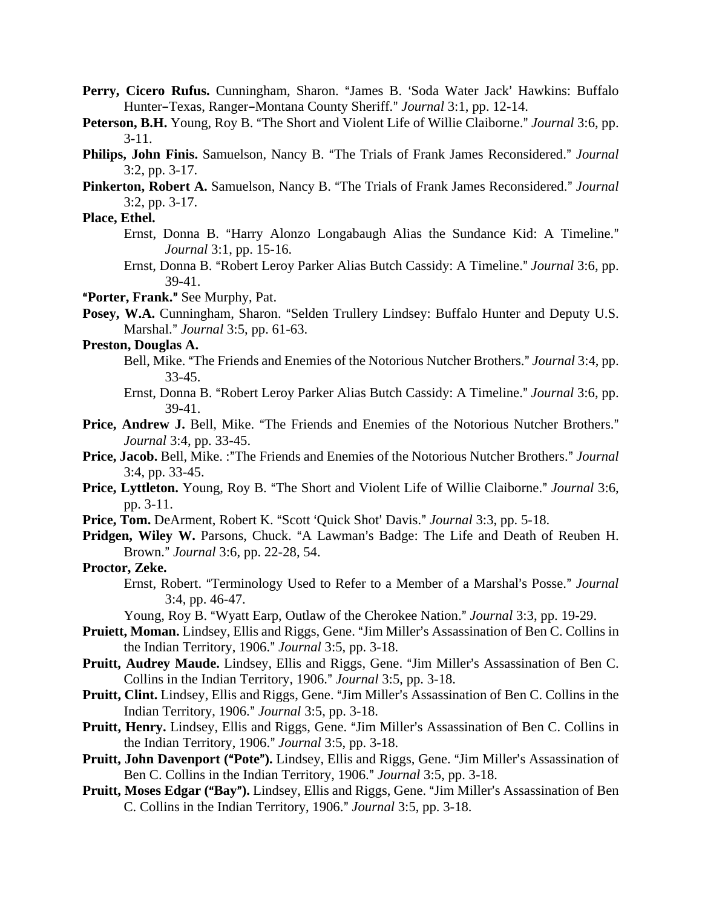- Perry, Cicero Rufus. Cunningham, Sharon. "James B. 'Soda Water Jack' Hawkins: Buffalo Hunter-Texas, Ranger-Montana County Sheriff." *Journal* 3:1, pp. 12-14.
- **Peterson, B.H.** Young, Roy B. "The Short and Violent Life of Willie Claiborne." *Journal* 3:6, pp. 3-11.
- **Philips, John Finis.** Samuelson, Nancy B. "The Trials of Frank James Reconsidered." Journal 3:2, pp. 3-17.
- Pinkerton, Robert A. Samuelson, Nancy B. "The Trials of Frank James Reconsidered." Journal 3:2, pp. 3-17.

## **Place, Ethel.**

- Ernst, Donna B. "Harry Alonzo Longabaugh Alias the Sundance Kid: A Timeline." *Journal* 3:1, pp. 15-16.
- Ernst, Donna B. "Robert Leroy Parker Alias Butch Cassidy: A Timeline." *Journal* 3:6, pp. 39-41.

A**Porter, Frank.**@ See Murphy, Pat.

Posey, W.A. Cunningham, Sharon. "Selden Trullery Lindsey: Buffalo Hunter and Deputy U.S. Marshal.@ *Journal* 3:5, pp. 61-63.

# **Preston, Douglas A.**

- Bell, Mike. "The Friends and Enemies of the Notorious Nutcher Brothers." *Journal* 3:4, pp. 33-45.
- Ernst, Donna B. "Robert Leroy Parker Alias Butch Cassidy: A Timeline." *Journal* 3:6, pp. 39-41.
- **Price, Andrew J.** Bell, Mike. "The Friends and Enemies of the Notorious Nutcher Brothers." *Journal* 3:4, pp. 33-45.
- Price, Jacob. Bell, Mike. :"The Friends and Enemies of the Notorious Nutcher Brothers." *Journal* 3:4, pp. 33-45.
- **Price, Lyttleton.** Young, Roy B. "The Short and Violent Life of Willie Claiborne." *Journal* 3:6, pp. 3-11.
- **Price, Tom.** DeArment, Robert K. "Scott 'Quick Shot' Davis." *Journal* 3:3, pp. 5-18.
- Pridgen, Wiley W. Parsons, Chuck. "A Lawman's Badge: The Life and Death of Reuben H. Brown.@ *Journal* 3:6, pp. 22-28, 54.
- **Proctor, Zeke.**
	- Ernst, Robert. "Terminology Used to Refer to a Member of a Marshal's Posse." *Journal* 3:4, pp. 46-47.

Young, Roy B. "Wyatt Earp, Outlaw of the Cherokee Nation." *Journal* 3:3, pp. 19-29.

- Pruiett, Moman. Lindsey, Ellis and Riggs, Gene. "Jim Miller's Assassination of Ben C. Collins in the Indian Territory, 1906." *Journal* 3:5, pp. 3-18.
- **Pruitt, Audrey Maude.** Lindsey, Ellis and Riggs, Gene. "Jim Miller's Assassination of Ben C. Collins in the Indian Territory, 1906." *Journal* 3:5, pp. 3-18.
- **Pruitt, Clint.** Lindsey, Ellis and Riggs, Gene. "Jim Miller's Assassination of Ben C. Collins in the Indian Territory, 1906.@ *Journal* 3:5, pp. 3-18.
- **Pruitt, Henry.** Lindsey, Ellis and Riggs, Gene. "Jim Miller's Assassination of Ben C. Collins in the Indian Territory, 1906." *Journal* 3:5, pp. 3-18.
- **Pruitt, John Davenport ("Pote").** Lindsey, Ellis and Riggs, Gene. "Jim Miller's Assassination of Ben C. Collins in the Indian Territory, 1906." Journal 3:5, pp. 3-18.
- **Pruitt, Moses Edgar ("Bay").** Lindsey, Ellis and Riggs, Gene. "Jim Miller's Assassination of Ben C. Collins in the Indian Territory, 1906." *Journal* 3:5, pp. 3-18.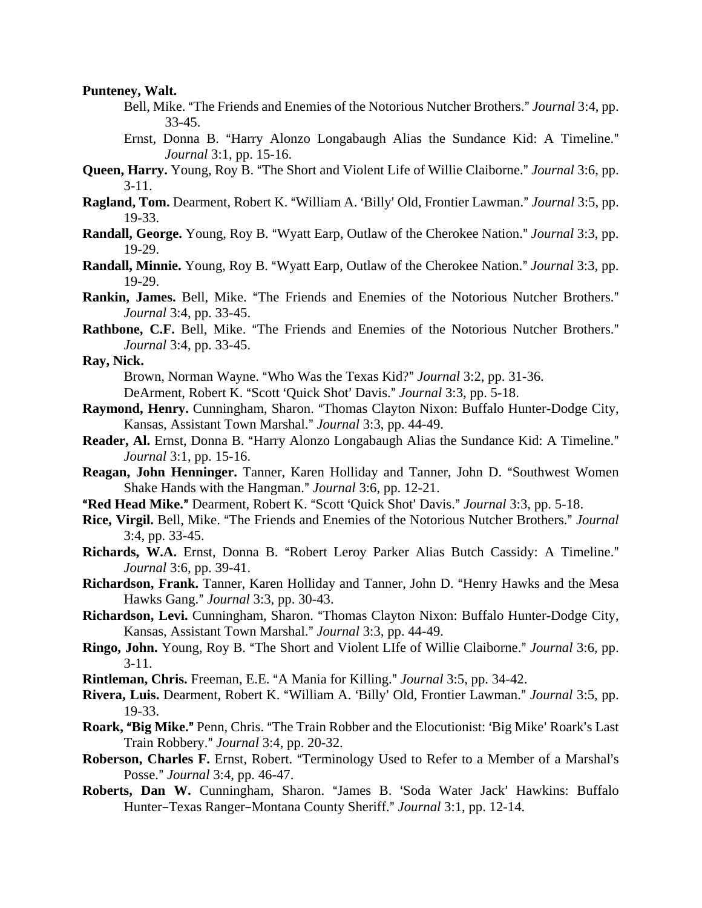#### **Punteney, Walt.**

- Bell, Mike. "The Friends and Enemies of the Notorious Nutcher Brothers." *Journal* 3:4, pp. 33-45.
- Ernst, Donna B. "Harry Alonzo Longabaugh Alias the Sundance Kid: A Timeline." *Journal* 3:1, pp. 15-16.
- **Queen, Harry.** Young, Roy B. "The Short and Violent Life of Willie Claiborne." *Journal* 3:6, pp. 3-11.
- **Ragland, Tom.** Dearment, Robert K. "William A. 'Billy' Old, Frontier Lawman." *Journal* 3:5, pp. 19-33.
- **Randall, George.** Young, Roy B. "Wyatt Earp, Outlaw of the Cherokee Nation." *Journal* 3:3, pp. 19-29.
- **Randall, Minnie.** Young, Roy B. "Wyatt Earp, Outlaw of the Cherokee Nation." *Journal* 3:3, pp. 19-29.
- **Rankin, James.** Bell, Mike. "The Friends and Enemies of the Notorious Nutcher Brothers." *Journal* 3:4, pp. 33-45.
- **Rathbone, C.F.** Bell, Mike. "The Friends and Enemies of the Notorious Nutcher Brothers." *Journal* 3:4, pp. 33-45.

**Ray, Nick.**

Brown, Norman Wayne. "Who Was the Texas Kid?" *Journal* 3:2, pp. 31-36. DeArment, Robert K. "Scott 'Quick Shot' Davis." *Journal* 3:3, pp. 5-18.

- **Raymond, Henry.** Cunningham, Sharon. "Thomas Clayton Nixon: Buffalo Hunter-Dodge City, Kansas, Assistant Town Marshal.@ *Journal* 3:3, pp. 44-49.
- Reader, Al. Ernst, Donna B. "Harry Alonzo Longabaugh Alias the Sundance Kid: A Timeline." *Journal* 3:1, pp. 15-16.
- **Reagan, John Henninger.** Tanner, Karen Holliday and Tanner, John D. "Southwest Women Shake Hands with the Hangman." *Journal* 3:6, pp. 12-21.
- **"Red Head Mike."** Dearment, Robert K. "Scott 'Quick Shot' Davis." *Journal* 3:3, pp. 5-18.
- Rice, Virgil. Bell, Mike. "The Friends and Enemies of the Notorious Nutcher Brothers." Journal 3:4, pp. 33-45.
- Richards, W.A. Ernst, Donna B. "Robert Leroy Parker Alias Butch Cassidy: A Timeline." *Journal* 3:6, pp. 39-41.
- Richardson, Frank. Tanner, Karen Holliday and Tanner, John D. "Henry Hawks and the Mesa Hawks Gang." *Journal* 3:3, pp. 30-43.
- Richardson, Levi. Cunningham, Sharon. "Thomas Clayton Nixon: Buffalo Hunter-Dodge City, Kansas, Assistant Town Marshal.@ *Journal* 3:3, pp. 44-49.
- **Ringo, John.** Young, Roy B. "The Short and Violent LIfe of Willie Claiborne." *Journal* 3:6, pp. 3-11.
- **Rintleman, Chris.** Freeman, E.E. "A Mania for Killing." *Journal* 3:5, pp. 34-42.
- **Rivera, Luis.** Dearment, Robert K. "William A. 'Billy' Old, Frontier Lawman." *Journal* 3:5, pp. 19-33.
- **Roark, "Big Mike."** Penn, Chris. "The Train Robber and the Elocutionist: 'Big Mike' Roark's Last Train Robbery.@ *Journal* 3:4, pp. 20-32.
- **Roberson, Charles F.** Ernst, Robert. "Terminology Used to Refer to a Member of a Marshal's Posse." *Journal* 3:4, pp. 46-47.
- Roberts, Dan W. Cunningham, Sharon. "James B. 'Soda Water Jack' Hawkins: Buffalo Hunter–Texas Ranger–Montana County Sheriff." *Journal* 3:1, pp. 12-14.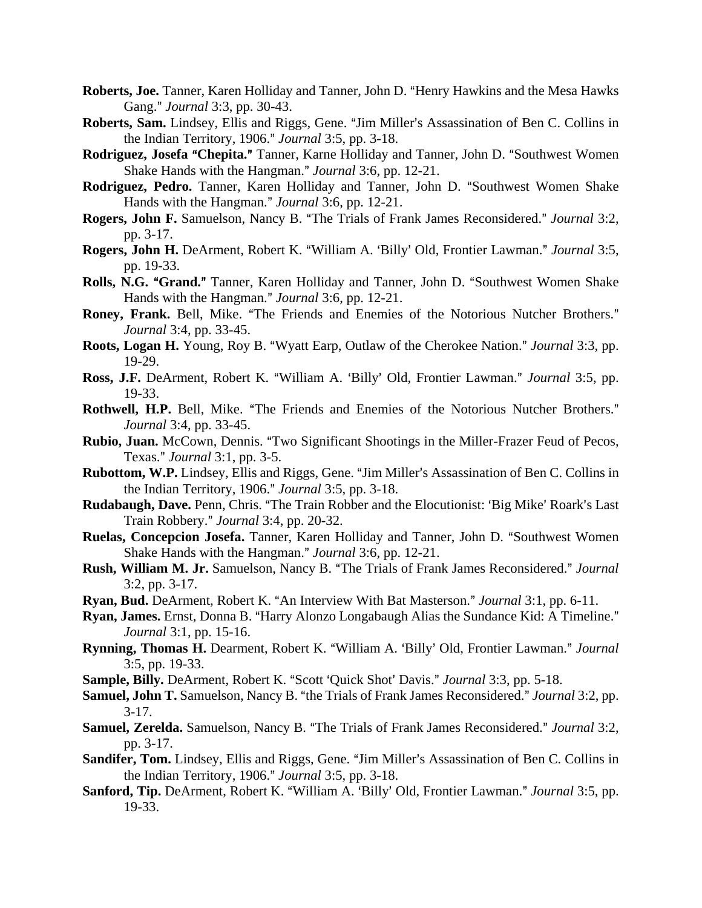- **Roberts, Joe.** Tanner, Karen Holliday and Tanner, John D. "Henry Hawkins and the Mesa Hawks Gang." *Journal* 3:3, pp. 30-43.
- Roberts, Sam. Lindsey, Ellis and Riggs, Gene. "Jim Miller's Assassination of Ben C. Collins in the Indian Territory, 1906." *Journal* 3:5, pp. 3-18.
- **Rodriguez, Josefa "Chepita."** Tanner, Karne Holliday and Tanner, John D. "Southwest Women Shake Hands with the Hangman." *Journal* 3:6, pp. 12-21.
- Rodriguez, Pedro. Tanner, Karen Holliday and Tanner, John D. "Southwest Women Shake Hands with the Hangman." *Journal* 3:6, pp. 12-21.
- **Rogers, John F.** Samuelson, Nancy B. "The Trials of Frank James Reconsidered." *Journal* 3:2, pp. 3-17.
- **Rogers, John H.** DeArment, Robert K. "William A. 'Billy' Old, Frontier Lawman." *Journal* 3:5, pp. 19-33.
- Rolls, N.G. "Grand." Tanner, Karen Holliday and Tanner, John D. "Southwest Women Shake Hands with the Hangman.@ *Journal* 3:6, pp. 12-21.
- Roney, Frank. Bell, Mike. "The Friends and Enemies of the Notorious Nutcher Brothers." *Journal* 3:4, pp. 33-45.
- **Roots, Logan H.** Young, Roy B. "Wyatt Earp, Outlaw of the Cherokee Nation." *Journal* 3:3, pp. 19-29.
- **Ross, J.F.** DeArment, Robert K. "William A. 'Billy' Old, Frontier Lawman." *Journal* 3:5, pp. 19-33.
- Rothwell, H.P. Bell, Mike. "The Friends and Enemies of the Notorious Nutcher Brothers." *Journal* 3:4, pp. 33-45.
- **Rubio, Juan.** McCown, Dennis. "Two Significant Shootings in the Miller-Frazer Feud of Pecos, Texas.@ *Journal* 3:1, pp. 3-5.
- **Rubottom, W.P.** Lindsey, Ellis and Riggs, Gene. "Jim Miller's Assassination of Ben C. Collins in the Indian Territory, 1906." *Journal* 3:5, pp. 3-18.
- **Rudabaugh, Dave.** Penn, Chris. "The Train Robber and the Elocutionist: 'Big Mike' Roark's Last Train Robbery.@ *Journal* 3:4, pp. 20-32.
- Ruelas, Concepcion Josefa. Tanner, Karen Holliday and Tanner, John D. "Southwest Women Shake Hands with the Hangman." *Journal* 3:6, pp. 12-21.
- Rush, William M. Jr. Samuelson, Nancy B. "The Trials of Frank James Reconsidered." Journal 3:2, pp. 3-17.
- **Ryan, Bud.** DeArment, Robert K. "An Interview With Bat Masterson." *Journal* 3:1, pp. 6-11.
- Ryan, James. Ernst, Donna B. "Harry Alonzo Longabaugh Alias the Sundance Kid: A Timeline." *Journal* 3:1, pp. 15-16.
- Rynning, Thomas H. Dearment, Robert K. "William A. 'Billy' Old, Frontier Lawman." Journal 3:5, pp. 19-33.
- **Sample, Billy.** DeArment, Robert K. "Scott 'Quick Shot' Davis." *Journal* 3:3, pp. 5-18.
- **Samuel, John T.** Samuelson, Nancy B. "the Trials of Frank James Reconsidered." *Journal* 3:2, pp. 3-17.
- **Samuel, Zerelda.** Samuelson, Nancy B. "The Trials of Frank James Reconsidered." *Journal* 3:2, pp. 3-17.
- **Sandifer, Tom.** Lindsey, Ellis and Riggs, Gene. "Jim Miller's Assassination of Ben C. Collins in the Indian Territory, 1906." *Journal* 3:5, pp. 3-18.
- Sanford, Tip. DeArment, Robert K. "William A. 'Billy' Old, Frontier Lawman." *Journal* 3:5, pp. 19-33.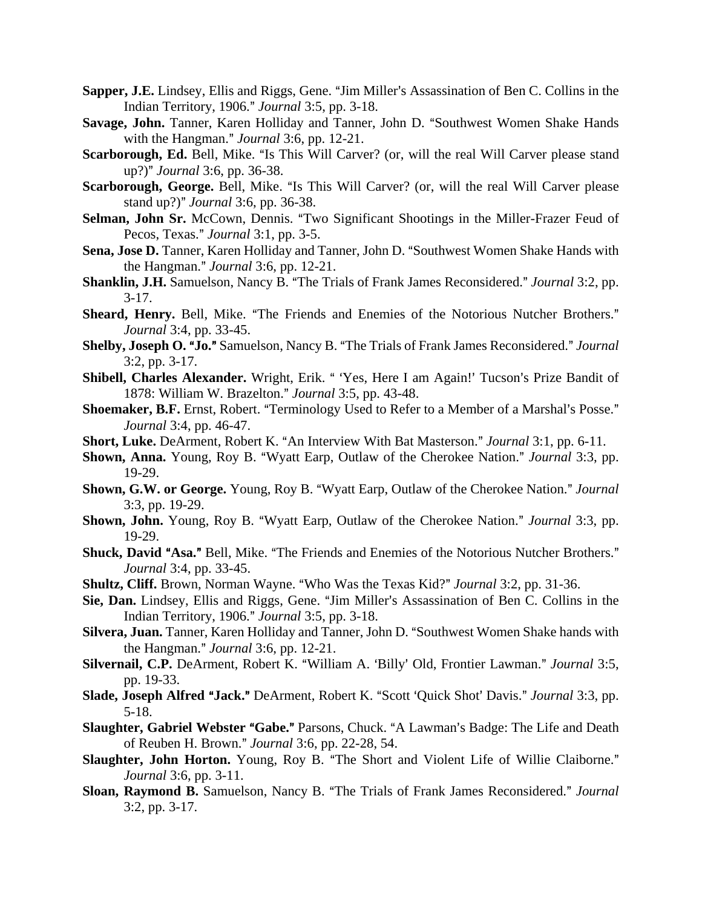- **Sapper, J.E.** Lindsey, Ellis and Riggs, Gene. "Jim Miller's Assassination of Ben C. Collins in the Indian Territory, 1906.@ *Journal* 3:5, pp. 3-18.
- Savage, John. Tanner, Karen Holliday and Tanner, John D. "Southwest Women Shake Hands with the Hangman." *Journal* 3:6, pp. 12-21.
- Scarborough, Ed. Bell, Mike. "Is This Will Carver? (or, will the real Will Carver please stand up?)" *Journal* 3:6, pp. 36-38.
- Scarborough, George. Bell, Mike. "Is This Will Carver? (or, will the real Will Carver please stand up?)" *Journal* 3:6, pp. 36-38.
- Selman, John Sr. McCown, Dennis. "Two Significant Shootings in the Miller-Frazer Feud of Pecos, Texas.@ *Journal* 3:1, pp. 3-5.
- Sena, Jose D. Tanner, Karen Holliday and Tanner, John D. "Southwest Women Shake Hands with the Hangman." *Journal* 3:6, pp. 12-21.
- **Shanklin, J.H.** Samuelson, Nancy B. "The Trials of Frank James Reconsidered." *Journal* 3:2, pp.  $3-17.$
- Sheard, Henry. Bell, Mike. "The Friends and Enemies of the Notorious Nutcher Brothers." *Journal* 3:4, pp. 33-45.
- **Shelby, Joseph O. "Jo."** Samuelson, Nancy B. "The Trials of Frank James Reconsidered." *Journal* 3:2, pp. 3-17.
- Shibell, Charles Alexander. Wright, Erik. "Yes, Here I am Again!' Tucson's Prize Bandit of 1878: William W. Brazelton.@ *Journal* 3:5, pp. 43-48.
- Shoemaker, B.F. Ernst, Robert. "Terminology Used to Refer to a Member of a Marshal's Posse." *Journal* 3:4, pp. 46-47.
- **Short, Luke.** DeArment, Robert K. "An Interview With Bat Masterson." *Journal* 3:1, pp. 6-11.
- **Shown, Anna.** Young, Roy B. "Wyatt Earp, Outlaw of the Cherokee Nation." *Journal* 3:3, pp. 19-29.
- **Shown, G.W. or George.** Young, Roy B. "Wyatt Earp, Outlaw of the Cherokee Nation." *Journal* 3:3, pp. 19-29.
- Shown, John. Young, Roy B. "Wyatt Earp, Outlaw of the Cherokee Nation." *Journal* 3:3, pp. 19-29.
- Shuck, David "Asa." Bell, Mike. "The Friends and Enemies of the Notorious Nutcher Brothers." *Journal* 3:4, pp. 33-45.
- **Shultz, Cliff.** Brown, Norman Wayne. "Who Was the Texas Kid?" *Journal* 3:2, pp. 31-36.
- Sie, Dan. Lindsey, Ellis and Riggs, Gene. "Jim Miller's Assassination of Ben C. Collins in the Indian Territory, 1906.@ *Journal* 3:5, pp. 3-18.
- **Silvera, Juan.** Tanner, Karen Holliday and Tanner, John D. "Southwest Women Shake hands with the Hangman." *Journal* 3:6, pp. 12-21.
- Silvernail, C.P. DeArment, Robert K. "William A. 'Billy' Old, Frontier Lawman." *Journal* 3:5, pp. 19-33.
- **Slade, Joseph Alfred "Jack."** DeArment, Robert K. "Scott 'Quick Shot' Davis." *Journal* 3:3, pp. 5-18.
- **Slaughter, Gabriel Webster "Gabe."** Parsons, Chuck. "A Lawman's Badge: The Life and Death of Reuben H. Brown.@ *Journal* 3:6, pp. 22-28, 54.
- Slaughter, John Horton. Young, Roy B. "The Short and Violent Life of Willie Claiborne." *Journal* 3:6, pp. 3-11.
- Sloan, Raymond B. Samuelson, Nancy B. "The Trials of Frank James Reconsidered." Journal 3:2, pp. 3-17.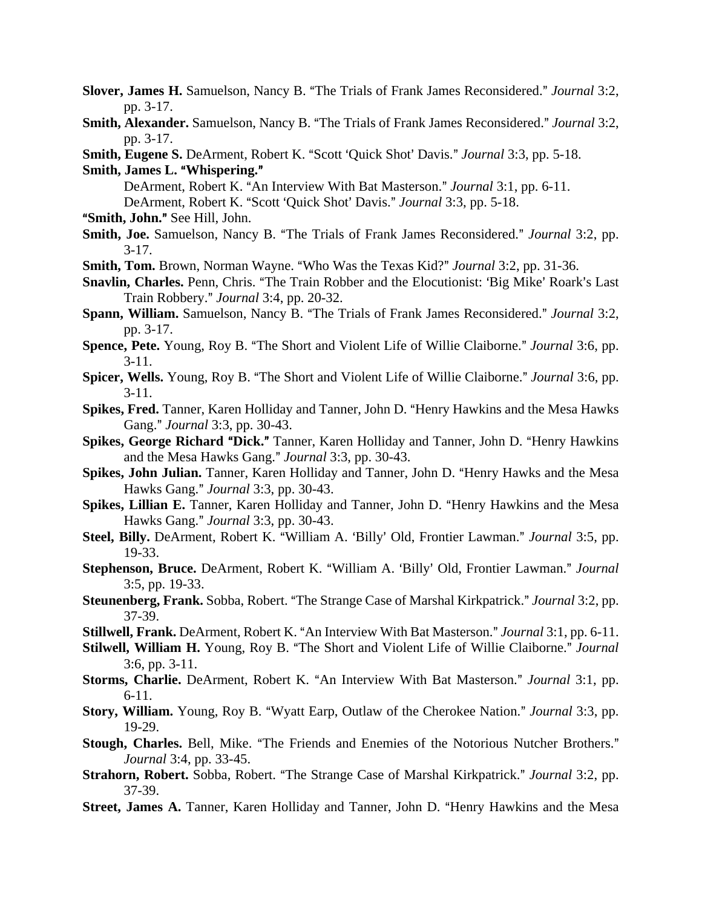- **Slover, James H.** Samuelson, Nancy B. "The Trials of Frank James Reconsidered." *Journal* 3:2, pp. 3-17.
- Smith, Alexander. Samuelson, Nancy B. "The Trials of Frank James Reconsidered." Journal 3:2, pp. 3-17.
- **Smith, Eugene S. DeArment, Robert K. "Scott 'Quick Shot' Davis."** *Journal* **3:3, pp. 5-18. Smith, James L. "Whispering."**
- DeArment, Robert K. "An Interview With Bat Masterson." *Journal* 3:1, pp. 6-11. DeArment, Robert K. "Scott 'Quick Shot' Davis." *Journal* 3:3, pp. 5-18.
- "Smith, John." See Hill, John.
- Smith, Joe. Samuelson, Nancy B. "The Trials of Frank James Reconsidered." Journal 3:2, pp.  $3-17.$
- **Smith, Tom.** Brown, Norman Wayne. "Who Was the Texas Kid?" *Journal* 3:2, pp. 31-36.
- Snavlin, Charles. Penn, Chris. "The Train Robber and the Elocutionist: 'Big Mike' Roark's Last Train Robbery.@ *Journal* 3:4, pp. 20-32.
- **Spann, William.** Samuelson, Nancy B. "The Trials of Frank James Reconsidered." *Journal* 3:2, pp. 3-17.
- **Spence, Pete.** Young, Roy B. "The Short and Violent Life of Willie Claiborne." *Journal* 3:6, pp. 3-11.
- **Spicer, Wells.** Young, Roy B. "The Short and Violent Life of Willie Claiborne." *Journal* 3:6, pp. 3-11.
- **Spikes, Fred.** Tanner, Karen Holliday and Tanner, John D. "Henry Hawkins and the Mesa Hawks Gang." *Journal* 3:3, pp. 30-43.
- **Spikes, George Richard "Dick."** Tanner, Karen Holliday and Tanner, John D. "Henry Hawkins and the Mesa Hawks Gang." *Journal* 3:3, pp. 30-43.
- Spikes, John Julian. Tanner, Karen Holliday and Tanner, John D. "Henry Hawks and the Mesa Hawks Gang.@ *Journal* 3:3, pp. 30-43.
- Spikes, Lillian E. Tanner, Karen Holliday and Tanner, John D. "Henry Hawkins and the Mesa Hawks Gang.@ *Journal* 3:3, pp. 30-43.
- Steel, Billy. DeArment, Robert K. "William A. 'Billy' Old, Frontier Lawman." *Journal* 3:5, pp. 19-33.
- **Stephenson, Bruce.** DeArment, Robert K. "William A. 'Billy' Old, Frontier Lawman." *Journal* 3:5, pp. 19-33.
- **Steunenberg, Frank.** Sobba, Robert. "The Strange Case of Marshal Kirkpatrick." *Journal* 3:2, pp. 37-39.
- **Stillwell, Frank.** DeArment, Robert K. "An Interview With Bat Masterson." *Journal* 3:1, pp. 6-11.
- Stilwell, William H. Young, Roy B. "The Short and Violent Life of Willie Claiborne." *Journal* 3:6, pp. 3-11.
- **Storms, Charlie.** DeArment, Robert K. "An Interview With Bat Masterson." *Journal* 3:1, pp. 6-11.
- **Story, William.** Young, Roy B. "Wyatt Earp, Outlaw of the Cherokee Nation." *Journal* 3:3, pp. 19-29.
- Stough, Charles. Bell, Mike. "The Friends and Enemies of the Notorious Nutcher Brothers." *Journal* 3:4, pp. 33-45.
- **Strahorn, Robert.** Sobba, Robert. "The Strange Case of Marshal Kirkpatrick." *Journal* 3:2, pp. 37-39.
- Street, James A. Tanner, Karen Holliday and Tanner, John D. "Henry Hawkins and the Mesa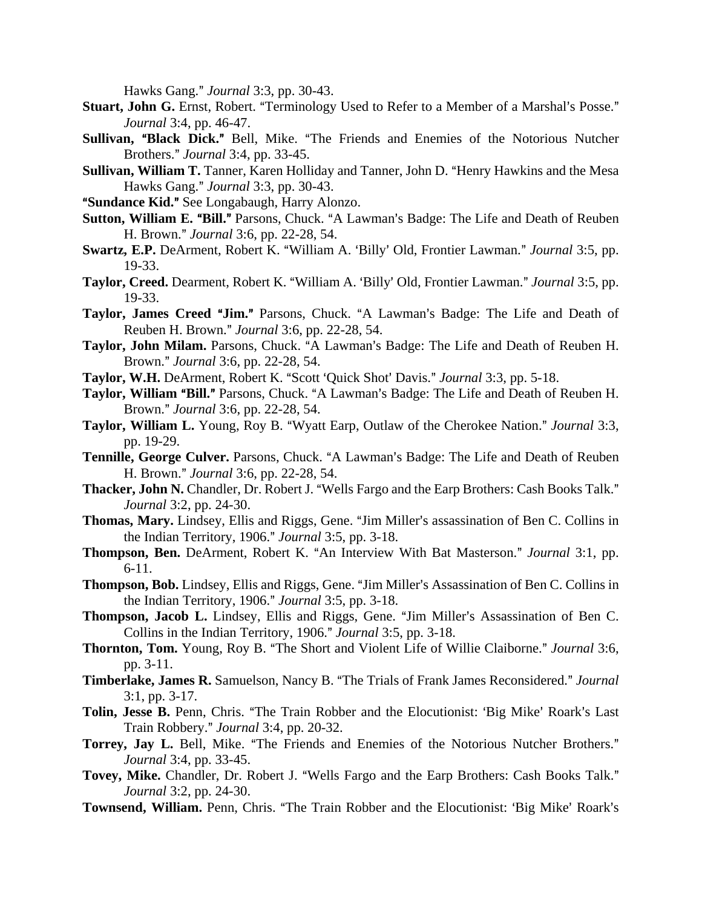Hawks Gang." *Journal* 3:3, pp. 30-43.

- **Stuart, John G.** Ernst, Robert. "Terminology Used to Refer to a Member of a Marshal's Posse." *Journal* 3:4, pp. 46-47.
- Sullivan, "Black Dick." Bell, Mike. "The Friends and Enemies of the Notorious Nutcher Brothers.@ *Journal* 3:4, pp. 33-45.
- **Sullivan, William T.** Tanner, Karen Holliday and Tanner, John D. "Henry Hawkins and the Mesa Hawks Gang.@ *Journal* 3:3, pp. 30-43.
- "Sundance Kid." See Longabaugh, Harry Alonzo.
- **Sutton, William E. "Bill."** Parsons, Chuck. "A Lawman's Badge: The Life and Death of Reuben H. Brown.@ *Journal* 3:6, pp. 22-28, 54.
- **Swartz, E.P.** DeArment, Robert K. "William A. 'Billy' Old, Frontier Lawman." *Journal* 3:5, pp. 19-33.
- Taylor, Creed. Dearment, Robert K. "William A. 'Billy' Old, Frontier Lawman." *Journal* 3:5, pp. 19-33.
- Taylor, James Creed "Jim." Parsons, Chuck. "A Lawman's Badge: The Life and Death of Reuben H. Brown.@ *Journal* 3:6, pp. 22-28, 54.
- Taylor, John Milam. Parsons, Chuck. "A Lawman's Badge: The Life and Death of Reuben H. Brown.@ *Journal* 3:6, pp. 22-28, 54.
- **Taylor, W.H.** DeArment, Robert K. "Scott 'Quick Shot' Davis." *Journal* 3:3, pp. 5-18.
- Taylor, William "Bill." Parsons, Chuck. "A Lawman's Badge: The Life and Death of Reuben H. Brown.@ *Journal* 3:6, pp. 22-28, 54.
- **Taylor, William L.** Young, Roy B. "Wyatt Earp, Outlaw of the Cherokee Nation." *Journal* 3:3, pp. 19-29.
- **Tennille, George Culver.** Parsons, Chuck. "A Lawman's Badge: The Life and Death of Reuben H. Brown.@ *Journal* 3:6, pp. 22-28, 54.
- Thacker, John N. Chandler, Dr. Robert J. "Wells Fargo and the Earp Brothers: Cash Books Talk." *Journal* 3:2, pp. 24-30.
- **Thomas, Mary.** Lindsey, Ellis and Riggs, Gene. "Jim Miller's assassination of Ben C. Collins in the Indian Territory, 1906." *Journal* 3:5, pp. 3-18.
- **Thompson, Ben.** DeArment, Robert K. "An Interview With Bat Masterson." *Journal* 3:1, pp. 6-11.
- **Thompson, Bob.** Lindsey, Ellis and Riggs, Gene. "Jim Miller's Assassination of Ben C. Collins in the Indian Territory, 1906." *Journal* 3:5, pp. 3-18.
- Thompson, Jacob L. Lindsey, Ellis and Riggs, Gene. "Jim Miller's Assassination of Ben C. Collins in the Indian Territory, 1906." *Journal* 3:5, pp. 3-18.
- Thornton, Tom. Young, Roy B. "The Short and Violent Life of Willie Claiborne." Journal 3:6, pp. 3-11.
- **Timberlake, James R.** Samuelson, Nancy B. "The Trials of Frank James Reconsidered." Journal 3:1, pp. 3-17.
- Tolin, Jesse B. Penn, Chris. "The Train Robber and the Elocutionist: 'Big Mike' Roark's Last Train Robbery.@ *Journal* 3:4, pp. 20-32.
- Torrey, Jay L. Bell, Mike. "The Friends and Enemies of the Notorious Nutcher Brothers." *Journal* 3:4, pp. 33-45.
- Tovey, Mike. Chandler, Dr. Robert J. "Wells Fargo and the Earp Brothers: Cash Books Talk." *Journal* 3:2, pp. 24-30.
- Townsend, William. Penn, Chris. "The Train Robber and the Elocutionist: 'Big Mike' Roark's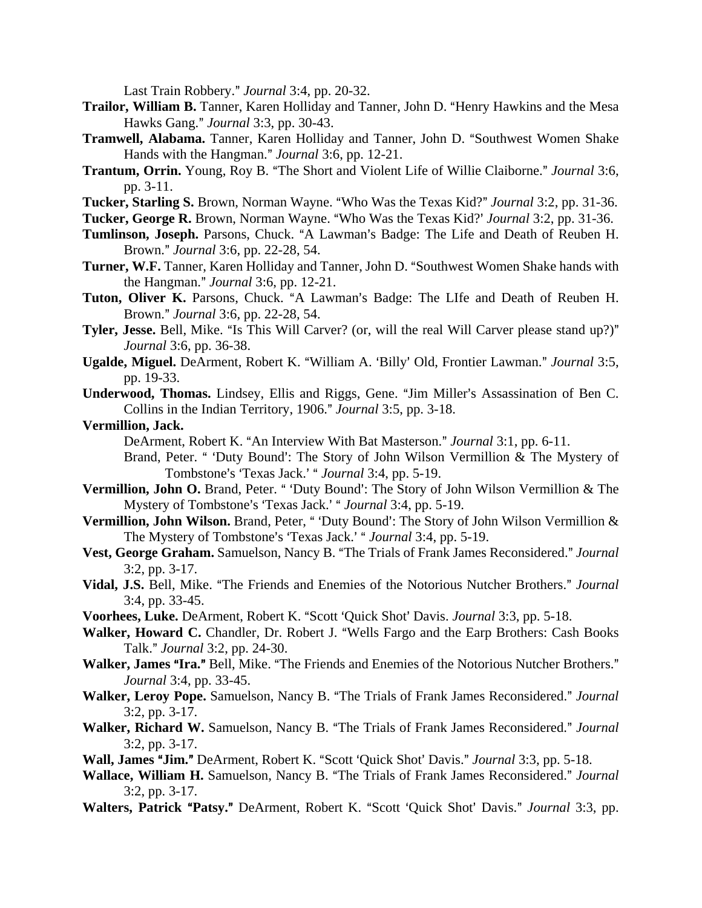Last Train Robbery." *Journal* 3:4, pp. 20-32.

- **Trailor, William B.** Tanner, Karen Holliday and Tanner, John D. "Henry Hawkins and the Mesa Hawks Gang.@ *Journal* 3:3, pp. 30-43.
- **Tramwell, Alabama.** Tanner, Karen Holliday and Tanner, John D. "Southwest Women Shake Hands with the Hangman." *Journal* 3:6, pp. 12-21.
- **Trantum, Orrin.** Young, Roy B. "The Short and Violent Life of Willie Claiborne." *Journal* 3:6, pp. 3-11.
- Tucker, Starling S. Brown, Norman Wayne. "Who Was the Texas Kid?" *Journal* 3:2, pp. 31-36.
- Tucker, George R. Brown, Norman Wayne. "Who Was the Texas Kid?' *Journal* 3:2, pp. 31-36.
- Tumlinson, Joseph. Parsons, Chuck. "A Lawman's Badge: The Life and Death of Reuben H. Brown.@ *Journal* 3:6, pp. 22-28, 54.
- **Turner, W.F.** Tanner, Karen Holliday and Tanner, John D. "Southwest Women Shake hands with the Hangman." *Journal* 3:6, pp. 12-21.
- Tuton, Oliver K. Parsons, Chuck. "A Lawman's Badge: The LIfe and Death of Reuben H. Brown.@ *Journal* 3:6, pp. 22-28, 54.
- **Tyler, Jesse.** Bell, Mike. "Is This Will Carver? (or, will the real Will Carver please stand up?)" *Journal* 3:6, pp. 36-38.
- Ugalde, Miguel. DeArment, Robert K. "William A. 'Billy' Old, Frontier Lawman." *Journal* 3:5, pp. 19-33.
- Underwood, Thomas. Lindsey, Ellis and Riggs, Gene. "Jim Miller's Assassination of Ben C. Collins in the Indian Territory, 1906." *Journal* 3:5, pp. 3-18.

#### **Vermillion, Jack.**

DeArment, Robert K. "An Interview With Bat Masterson." *Journal* 3:1, pp. 6-11.

- Brand, Peter. " 'Duty Bound': The Story of John Wilson Vermillion & The Mystery of Tombstone's 'Texas Jack.' " *Journal* 3:4, pp. 5-19.
- Vermillion, John O. Brand, Peter. " 'Duty Bound': The Story of John Wilson Vermillion & The Mystery of Tombstone's 'Texas Jack.' " *Journal* 3:4, pp. 5-19.
- Vermillion, John Wilson. Brand, Peter, " 'Duty Bound': The Story of John Wilson Vermillion & The Mystery of Tombstone's 'Texas Jack.' " *Journal* 3:4, pp. 5-19.
- Vest, George Graham. Samuelson, Nancy B. "The Trials of Frank James Reconsidered." Journal 3:2, pp. 3-17.
- Vidal, J.S. Bell, Mike. "The Friends and Enemies of the Notorious Nutcher Brothers." Journal 3:4, pp. 33-45.
- **Voorhees, Luke.** DeArment, Robert K. "Scott 'Quick Shot' Davis. *Journal* 3:3, pp. 5-18.
- Walker, Howard C. Chandler, Dr. Robert J. "Wells Fargo and the Earp Brothers: Cash Books Talk.@ *Journal* 3:2, pp. 24-30.
- Walker, James "Ira." Bell, Mike. "The Friends and Enemies of the Notorious Nutcher Brothers." *Journal* 3:4, pp. 33-45.
- Walker, Leroy Pope. Samuelson, Nancy B. "The Trials of Frank James Reconsidered." Journal 3:2, pp. 3-17.
- **Walker, Richard W.** Samuelson, Nancy B. "The Trials of Frank James Reconsidered." Journal 3:2, pp. 3-17.
- **Wall, James "Jim."** DeArment, Robert K. "Scott 'Quick Shot' Davis." *Journal* 3:3, pp. 5-18.
- Wallace, William H. Samuelson, Nancy B. "The Trials of Frank James Reconsidered." Journal 3:2, pp. 3-17.
- Walters, Patrick "Patsy." DeArment, Robert K. "Scott 'Quick Shot' Davis." Journal 3:3, pp.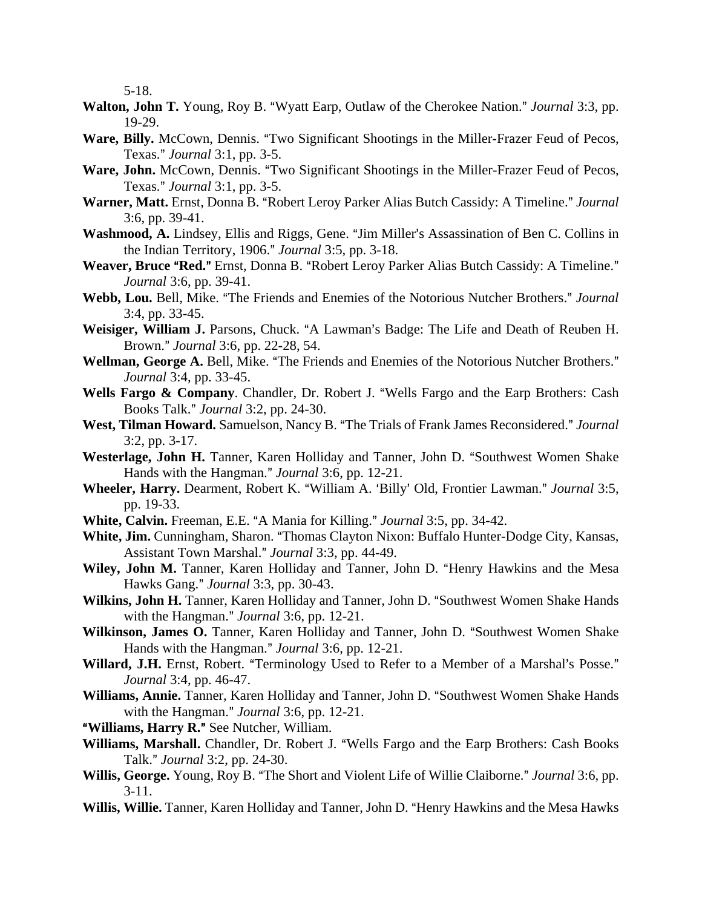5-18.

- **Walton, John T.** Young, Roy B. "Wyatt Earp, Outlaw of the Cherokee Nation." *Journal* 3:3, pp. 19-29.
- Ware, Billy. McCown, Dennis. "Two Significant Shootings in the Miller-Frazer Feud of Pecos, Texas.@ *Journal* 3:1, pp. 3-5.
- Ware, John. McCown, Dennis. "Two Significant Shootings in the Miller-Frazer Feud of Pecos, Texas.@ *Journal* 3:1, pp. 3-5.
- Warner, Matt. Ernst, Donna B. "Robert Leroy Parker Alias Butch Cassidy: A Timeline." Journal 3:6, pp. 39-41.
- **Washmood, A.** Lindsey, Ellis and Riggs, Gene. "Jim Miller's Assassination of Ben C. Collins in the Indian Territory, 1906." *Journal* 3:5, pp. 3-18.
- Weaver, Bruce "Red." Ernst, Donna B. "Robert Leroy Parker Alias Butch Cassidy: A Timeline." *Journal* 3:6, pp. 39-41.
- Webb, Lou. Bell, Mike. "The Friends and Enemies of the Notorious Nutcher Brothers." Journal 3:4, pp. 33-45.
- Weisiger, William J. Parsons, Chuck. "A Lawman's Badge: The Life and Death of Reuben H. Brown.@ *Journal* 3:6, pp. 22-28, 54.
- Wellman, George A. Bell, Mike. "The Friends and Enemies of the Notorious Nutcher Brothers." *Journal* 3:4, pp. 33-45.
- Wells Fargo & Company. Chandler, Dr. Robert J. "Wells Fargo and the Earp Brothers: Cash Books Talk.@ *Journal* 3:2, pp. 24-30.
- West, Tilman Howard. Samuelson, Nancy B. "The Trials of Frank James Reconsidered." Journal 3:2, pp. 3-17.
- **Westerlage, John H.** Tanner, Karen Holliday and Tanner, John D. "Southwest Women Shake Hands with the Hangman." *Journal* 3:6, pp. 12-21.
- Wheeler, Harry. Dearment, Robert K. "William A. 'Billy' Old, Frontier Lawman." *Journal* 3:5, pp. 19-33.
- **White, Calvin.** Freeman, E.E. "A Mania for Killing." *Journal* 3:5, pp. 34-42.
- White, Jim. Cunningham, Sharon. "Thomas Clayton Nixon: Buffalo Hunter-Dodge City, Kansas, Assistant Town Marshal.@ *Journal* 3:3, pp. 44-49.
- Wiley, John M. Tanner, Karen Holliday and Tanner, John D. "Henry Hawkins and the Mesa Hawks Gang.@ *Journal* 3:3, pp. 30-43.
- **Wilkins, John H.** Tanner, Karen Holliday and Tanner, John D. "Southwest Women Shake Hands with the Hangman." *Journal* 3:6, pp. 12-21.
- **Wilkinson, James O.** Tanner, Karen Holliday and Tanner, John D. "Southwest Women Shake Hands with the Hangman." *Journal* 3:6, pp. 12-21.
- Willard, J.H. Ernst, Robert. "Terminology Used to Refer to a Member of a Marshal's Posse." *Journal* 3:4, pp. 46-47.
- Williams, Annie. Tanner, Karen Holliday and Tanner, John D. "Southwest Women Shake Hands with the Hangman." *Journal* 3:6, pp. 12-21.
- "Williams, Harry R." See Nutcher, William.
- Williams, Marshall. Chandler, Dr. Robert J. "Wells Fargo and the Earp Brothers: Cash Books Talk.@ *Journal* 3:2, pp. 24-30.
- **Willis, George.** Young, Roy B. "The Short and Violent Life of Willie Claiborne." *Journal* 3:6, pp. 3-11.
- Willis, Willie. Tanner, Karen Holliday and Tanner, John D. "Henry Hawkins and the Mesa Hawks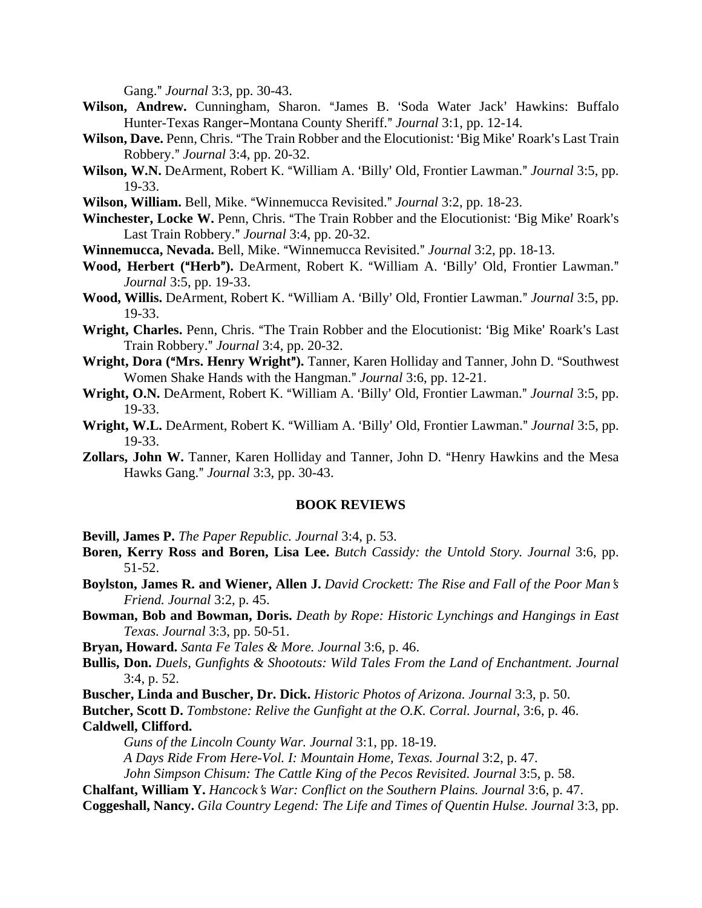Gang." *Journal* 3:3, pp. 30-43.

- Wilson, Andrew. Cunningham, Sharon. "James B. 'Soda Water Jack' Hawkins: Buffalo Hunter-Texas Ranger-Montana County Sheriff." *Journal* 3:1, pp. 12-14.
- Wilson, Dave. Penn, Chris. "The Train Robber and the Elocutionist: 'Big Mike' Roark's Last Train Robbery.@ *Journal* 3:4, pp. 20-32.
- **Wilson, W.N.** DeArment, Robert K. "William A. 'Billy' Old, Frontier Lawman." *Journal* 3:5, pp. 19-33.
- **Wilson, William.** Bell, Mike. "Winnemucca Revisited." *Journal* 3:2, pp. 18-23.
- Winchester, Locke W. Penn, Chris. "The Train Robber and the Elocutionist: 'Big Mike' Roark's Last Train Robbery." *Journal* 3:4, pp. 20-32.
- **Winnemucca, Nevada.** Bell, Mike. "Winnemucca Revisited." *Journal* 3:2, pp. 18-13.
- Wood, Herbert ("Herb"). DeArment, Robert K. "William A. 'Billy' Old, Frontier Lawman." *Journal* 3:5, pp. 19-33.
- Wood, Willis. DeArment, Robert K. "William A. 'Billy' Old, Frontier Lawman." *Journal* 3:5, pp. 19-33.
- **Wright, Charles.** Penn, Chris. "The Train Robber and the Elocutionist: 'Big Mike' Roark's Last Train Robbery.@ *Journal* 3:4, pp. 20-32.
- **Wright, Dora ("Mrs. Henry Wright").** Tanner, Karen Holliday and Tanner, John D. "Southwest Women Shake Hands with the Hangman." *Journal* 3:6, pp. 12-21.
- Wright, O.N. DeArment, Robert K. "William A. 'Billy' Old, Frontier Lawman." *Journal* 3:5, pp. 19-33.
- **Wright, W.L.** DeArment, Robert K. "William A. 'Billy' Old, Frontier Lawman." *Journal* 3:5, pp. 19-33.
- Zollars, John W. Tanner, Karen Holliday and Tanner, John D. "Henry Hawkins and the Mesa Hawks Gang.@ *Journal* 3:3, pp. 30-43.

### **BOOK REVIEWS**

- **Bevill, James P.** *The Paper Republic. Journal* 3:4, p. 53.
- **Boren, Kerry Ross and Boren, Lisa Lee.** *Butch Cassidy: the Untold Story. Journal* 3:6, pp. 51-52.
- **Boylston, James R. and Wiener, Allen J.** *David Crockett: The Rise and Fall of the Poor Man*=*s Friend. Journal* 3:2, p. 45.
- **Bowman, Bob and Bowman, Doris.** *Death by Rope: Historic Lynchings and Hangings in East Texas. Journal* 3:3, pp. 50-51.
- **Bryan, Howard.** *Santa Fe Tales & More. Journal* 3:6, p. 46.
- **Bullis, Don.** *Duels, Gunfights & Shootouts: Wild Tales From the Land of Enchantment. Journal* 3:4, p. 52.
- **Buscher, Linda and Buscher, Dr. Dick.** *Historic Photos of Arizona. Journal* 3:3, p. 50.

**Butcher, Scott D.** *Tombstone: Relive the Gunfight at the O.K. Corral. Journal*, 3:6, p. 46.

**Caldwell, Clifford.**

*Guns of the Lincoln County War. Journal* 3:1, pp. 18-19.

*A Days Ride From Here-Vol. I: Mountain Home, Texas. Journal* 3:2, p. 47.

*John Simpson Chisum: The Cattle King of the Pecos Revisited. Journal* 3:5, p. 58.

- **Chalfant, William Y.** *Hancock*=*s War: Conflict on the Southern Plains. Journal* 3:6, p. 47.
- **Coggeshall, Nancy.** *Gila Country Legend: The Life and Times of Quentin Hulse. Journal* 3:3, pp.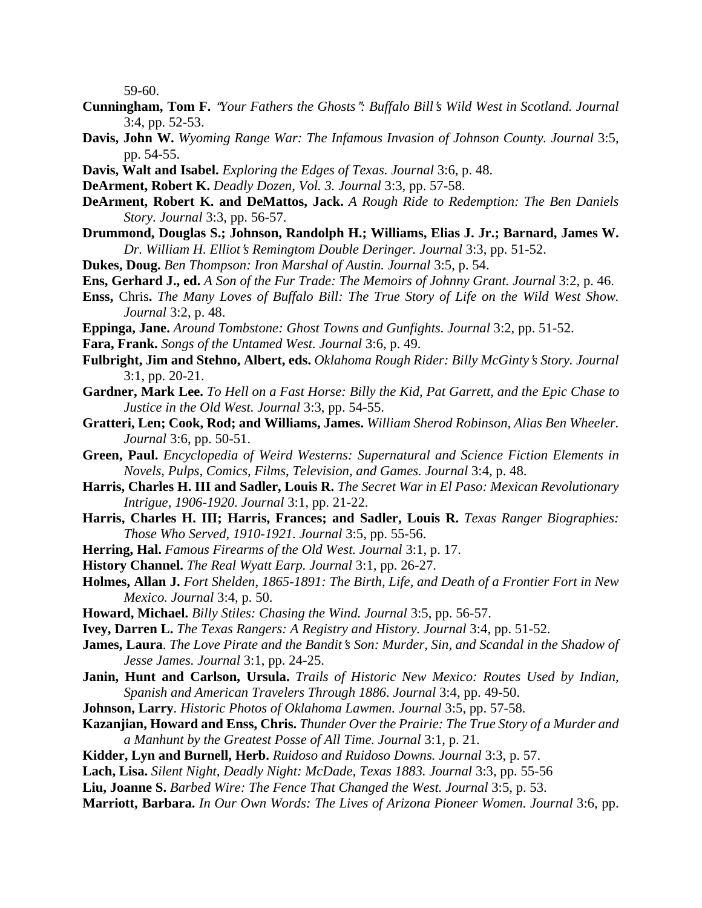59-60.

- **Cunningham, Tom F.** "Your Fathers the Ghosts": Buffalo Bill's Wild West in Scotland. Journal 3:4, pp. 52-53.
- **Davis, John W.** *Wyoming Range War: The Infamous Invasion of Johnson County. Journal* 3:5, pp. 54-55.
- **Davis, Walt and Isabel.** *Exploring the Edges of Texas. Journal* 3:6, p. 48.
- **DeArment, Robert K.** *Deadly Dozen, Vol. 3. Journal* 3:3, pp. 57-58.
- **DeArment, Robert K. and DeMattos, Jack.** *A Rough Ride to Redemption: The Ben Daniels Story. Journal* 3:3, pp. 56-57.
- **Drummond, Douglas S.; Johnson, Randolph H.; Williams, Elias J. Jr.; Barnard, James W.** *Dr. William H. Elliot*=*s Remingtom Double Deringer. Journal* 3:3, pp. 51-52.
- **Dukes, Doug.** *Ben Thompson: Iron Marshal of Austin. Journal* 3:5, p. 54.
- **Ens, Gerhard J., ed.** *A Son of the Fur Trade: The Memoirs of Johnny Grant. Journal* 3:2, p. 46.
- **Enss,** Chris**.** *The Many Loves of Buffalo Bill: The True Story of Life on the Wild West Show. Journal* 3:2, p. 48.
- **Eppinga, Jane.** *Around Tombstone: Ghost Towns and Gunfights. Journal* 3:2, pp. 51-52.
- **Fara, Frank.** *Songs of the Untamed West. Journal* 3:6, p. 49.
- **Fulbright, Jim and Stehno, Albert, eds.** *Oklahoma Rough Rider: Billy McGinty*=*s Story. Journal* 3:1, pp. 20-21.
- **Gardner, Mark Lee.** *To Hell on a Fast Horse: Billy the Kid, Pat Garrett, and the Epic Chase to Justice in the Old West. Journal* 3:3, pp. 54-55.
- **Gratteri, Len; Cook, Rod; and Williams, James.** *William Sherod Robinson, Alias Ben Wheeler. Journal* 3:6, pp. 50-51.
- **Green, Paul.** *Encyclopedia of Weird Westerns: Supernatural and Science Fiction Elements in Novels, Pulps, Comics, Films, Television, and Games. Journal* 3:4, p. 48.
- **Harris, Charles H. III and Sadler, Louis R.** *The Secret War in El Paso: Mexican Revolutionary Intrigue, 1906-1920. Journal* 3:1, pp. 21-22.
- **Harris, Charles H. III; Harris, Frances; and Sadler, Louis R.** *Texas Ranger Biographies: Those Who Served, 1910-1921. Journal* 3:5, pp. 55-56.
- **Herring, Hal.** *Famous Firearms of the Old West. Journal* 3:1, p. 17.
- **History Channel.** *The Real Wyatt Earp. Journal* 3:1, pp. 26-27.
- **Holmes, Allan J.** *Fort Shelden, 1865-1891: The Birth, Life, and Death of a Frontier Fort in New Mexico. Journal* 3:4, p. 50.
- **Howard, Michael.** *Billy Stiles: Chasing the Wind. Journal* 3:5, pp. 56-57.
- **Ivey, Darren L.** *The Texas Rangers: A Registry and History. Journal* 3:4, pp. 51-52.
- **James, Laura**. *The Love Pirate and the Bandit's Son: Murder, Sin, and Scandal in the Shadow of Jesse James. Journal* 3:1, pp. 24-25.
- **Janin, Hunt and Carlson, Ursula.** *Trails of Historic New Mexico: Routes Used by Indian, Spanish and American Travelers Through 1886. Journal* 3:4, pp. 49-50.
- **Johnson, Larry**. *Historic Photos of Oklahoma Lawmen. Journal* 3:5, pp. 57-58.

## **Kazanjian, Howard and Enss, Chris.** *Thunder Over the Prairie: The True Story of a Murder and a Manhunt by the Greatest Posse of All Time. Journal* 3:1, p. 21.

- **Kidder, Lyn and Burnell, Herb.** *Ruidoso and Ruidoso Downs. Journal* 3:3, p. 57.
- **Lach, Lisa.** *Silent Night, Deadly Night: McDade, Texas 1883. Journal* 3:3, pp. 55-56
- **Liu, Joanne S.** *Barbed Wire: The Fence That Changed the West. Journal* 3:5, p. 53.
- **Marriott, Barbara.** *In Our Own Words: The Lives of Arizona Pioneer Women. Journal* 3:6, pp.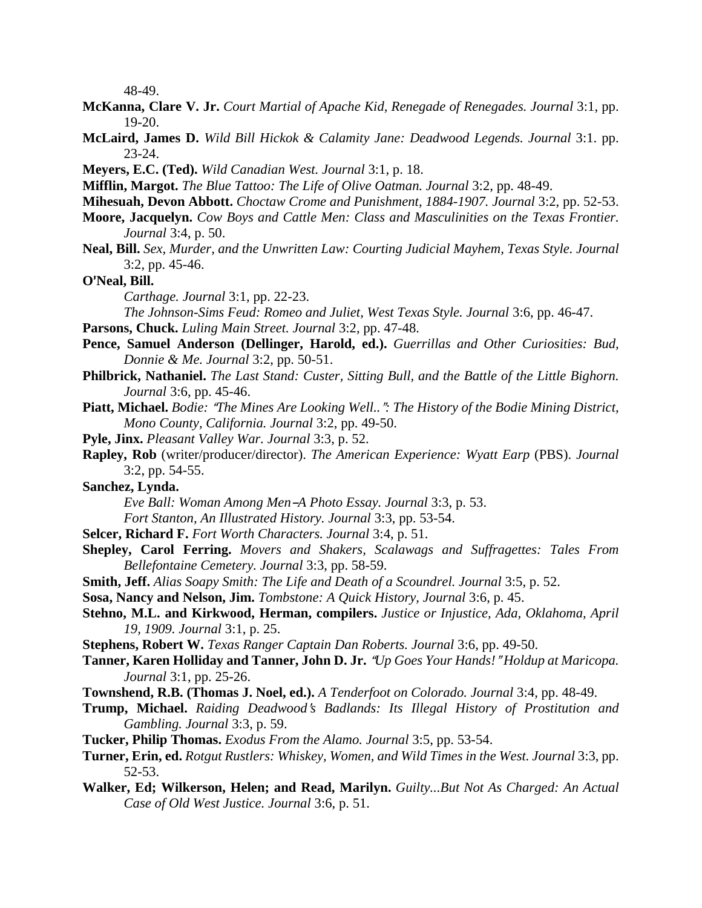48-49.

- **McKanna, Clare V. Jr.** *Court Martial of Apache Kid, Renegade of Renegades. Journal* 3:1, pp. 19-20.
- **McLaird, James D.** *Wild Bill Hickok & Calamity Jane: Deadwood Legends. Journal* 3:1. pp. 23-24.
- **Meyers, E.C. (Ted).** *Wild Canadian West. Journal* 3:1, p. 18.
- **Mifflin, Margot.** *The Blue Tattoo: The Life of Olive Oatman. Journal* 3:2, pp. 48-49.
- **Mihesuah, Devon Abbott.** *Choctaw Crome and Punishment, 1884-1907. Journal* 3:2, pp. 52-53.
- **Moore, Jacquelyn.** *Cow Boys and Cattle Men: Class and Masculinities on the Texas Frontier. Journal* 3:4, p. 50.
- **Neal, Bill.** *Sex, Murder, and the Unwritten Law: Courting Judicial Mayhem, Texas Style. Journal* 3:2, pp. 45-46.

**O**=**Neal, Bill.**

*Carthage. Journal* 3:1, pp. 22-23.

*The Johnson-Sims Feud: Romeo and Juliet, West Texas Style. Journal* 3:6, pp. 46-47.

- **Parsons, Chuck.** *Luling Main Street. Journal* 3:2, pp. 47-48.
- **Pence, Samuel Anderson (Dellinger, Harold, ed.).** *Guerrillas and Other Curiosities: Bud, Donnie & Me. Journal* 3:2, pp. 50-51.
- **Philbrick, Nathaniel.** *The Last Stand: Custer, Sitting Bull, and the Battle of the Little Bighorn. Journal* 3:6, pp. 45-46.
- **Piatt, Michael.** *Bodie: "The Mines Are Looking Well..": The History of the Bodie Mining District, Mono County, California. Journal* 3:2, pp. 49-50.
- **Pyle, Jinx.** *Pleasant Valley War. Journal* 3:3, p. 52.
- **Rapley, Rob** (writer/producer/director). *The American Experience: Wyatt Earp* (PBS). *Journal* 3:2, pp. 54-55.
- **Sanchez, Lynda.**
	- *Eve Ball: Woman Among Men-A Photo Essay. Journal* 3:3, p. 53.
	- *Fort Stanton, An Illustrated History. Journal* 3:3, pp. 53-54.
- **Selcer, Richard F.** *Fort Worth Characters. Journal* 3:4, p. 51.
- **Shepley, Carol Ferring.** *Movers and Shakers, Scalawags and Suffragettes: Tales From Bellefontaine Cemetery. Journal* 3:3, pp. 58-59.
- **Smith, Jeff.** *Alias Soapy Smith: The Life and Death of a Scoundrel. Journal* 3:5, p. 52.
- **Sosa, Nancy and Nelson, Jim.** *Tombstone: A Quick History, Journal* 3:6, p. 45.
- **Stehno, M.L. and Kirkwood, Herman, compilers.** *Justice or Injustice, Ada, Oklahoma, April 19, 1909. Journal* 3:1, p. 25.
- **Stephens, Robert W.** *Texas Ranger Captain Dan Roberts. Journal* 3:6, pp. 49-50.
- Tanner, Karen Holliday and Tanner, John D. Jr. "Up Goes Your Hands!" Holdup at Maricopa. *Journal* 3:1, pp. 25-26.
- **Townshend, R.B. (Thomas J. Noel, ed.).** *A Tenderfoot on Colorado. Journal* 3:4, pp. 48-49.
- **Trump, Michael.** *Raiding Deadwood*=*s Badlands: Its Illegal History of Prostitution and Gambling. Journal* 3:3, p. 59.
- **Tucker, Philip Thomas.** *Exodus From the Alamo. Journal* 3:5, pp. 53-54.
- **Turner, Erin, ed.** *Rotgut Rustlers: Whiskey, Women, and Wild Times in the West. Journal* 3:3, pp. 52-53.
- **Walker, Ed; Wilkerson, Helen; and Read, Marilyn.** *Guilty...But Not As Charged: An Actual Case of Old West Justice. Journal* 3:6, p. 51.